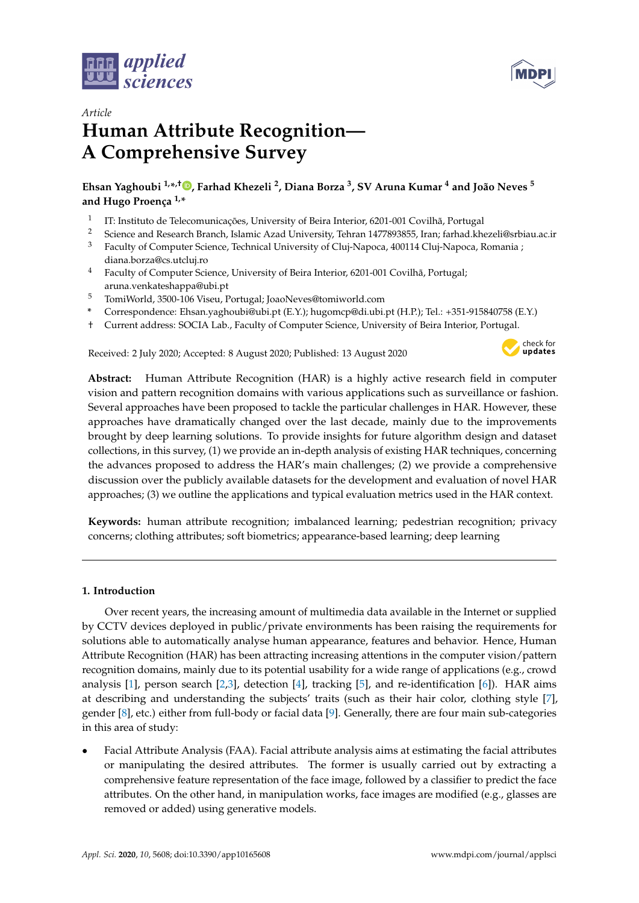



# *Article* **Human Attribute Recognition— A Comprehensive Survey**

**Ehsan Yaghoubi 1,\* ,† [,](https://orcid.org/0000-0003-3639-266X) Farhad Khezeli <sup>2</sup> , Diana Borza <sup>3</sup> , SV Aruna Kumar <sup>4</sup> and João Neves <sup>5</sup> and Hugo Proença 1,\***

- 1 IT: Instituto de Telecomunicações, University of Beira Interior, 6201-001 Covilhã, Portugal
- 2 Science and Research Branch, Islamic Azad University, Tehran 1477893855, Iran; farhad.khezeli@srbiau.ac.ir<br>3 Easylin of Computer Science Technical University of Clui Namore, 400114 Clui Namore, Bernaria e
- <sup>3</sup> Faculty of Computer Science, Technical University of Cluj-Napoca, 400114 Cluj-Napoca, Romania ; diana.borza@cs.utcluj.ro
- <sup>4</sup> Faculty of Computer Science, University of Beira Interior, 6201-001 Covilhã, Portugal; aruna.venkateshappa@ubi.pt
- <sup>5</sup> TomiWorld, 3500-106 Viseu, Portugal; JoaoNeves@tomiworld.com
- **\*** Correspondence: Ehsan.yaghoubi@ubi.pt (E.Y.); hugomcp@di.ubi.pt (H.P.); Tel.: +351-915840758 (E.Y.)
- † Current address: SOCIA Lab., Faculty of Computer Science, University of Beira Interior, Portugal.

Received: 2 July 2020; Accepted: 8 August 2020; Published: 13 August 2020



**Abstract:** Human Attribute Recognition (HAR) is a highly active research field in computer vision and pattern recognition domains with various applications such as surveillance or fashion. Several approaches have been proposed to tackle the particular challenges in HAR. However, these approaches have dramatically changed over the last decade, mainly due to the improvements brought by deep learning solutions. To provide insights for future algorithm design and dataset collections, in this survey, (1) we provide an in-depth analysis of existing HAR techniques, concerning the advances proposed to address the HAR's main challenges; (2) we provide a comprehensive discussion over the publicly available datasets for the development and evaluation of novel HAR approaches; (3) we outline the applications and typical evaluation metrics used in the HAR context.

**Keywords:** human attribute recognition; imbalanced learning; pedestrian recognition; privacy concerns; clothing attributes; soft biometrics; appearance-based learning; deep learning

# **1. Introduction**

Over recent years, the increasing amount of multimedia data available in the Internet or supplied by CCTV devices deployed in public/private environments has been raising the requirements for solutions able to automatically analyse human appearance, features and behavior. Hence, Human Attribute Recognition (HAR) has been attracting increasing attentions in the computer vision/pattern recognition domains, mainly due to its potential usability for a wide range of applications (e.g., crowd analysis [\[1\]](#page-33-0), person search [\[2](#page-34-0)[,3\]](#page-34-1), detection [\[4\]](#page-34-2), tracking [\[5\]](#page-34-3), and re-identification [\[6\]](#page-34-4)). HAR aims at describing and understanding the subjects' traits (such as their hair color, clothing style [\[7\]](#page-34-5), gender [\[8\]](#page-34-6), etc.) either from full-body or facial data [\[9\]](#page-34-7). Generally, there are four main sub-categories in this area of study:

• Facial Attribute Analysis (FAA). Facial attribute analysis aims at estimating the facial attributes or manipulating the desired attributes. The former is usually carried out by extracting a comprehensive feature representation of the face image, followed by a classifier to predict the face attributes. On the other hand, in manipulation works, face images are modified (e.g., glasses are removed or added) using generative models.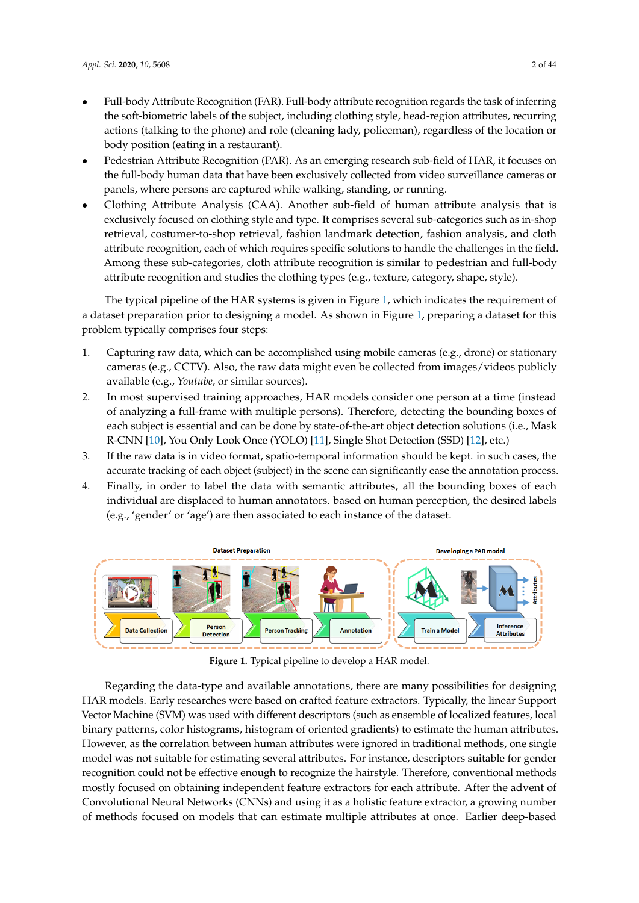- Full-body Attribute Recognition (FAR). Full-body attribute recognition regards the task of inferring the soft-biometric labels of the subject, including clothing style, head-region attributes, recurring actions (talking to the phone) and role (cleaning lady, policeman), regardless of the location or body position (eating in a restaurant).
- Pedestrian Attribute Recognition (PAR). As an emerging research sub-field of HAR, it focuses on the full-body human data that have been exclusively collected from video surveillance cameras or panels, where persons are captured while walking, standing, or running.
- Clothing Attribute Analysis (CAA). Another sub-field of human attribute analysis that is exclusively focused on clothing style and type. It comprises several sub-categories such as in-shop retrieval, costumer-to-shop retrieval, fashion landmark detection, fashion analysis, and cloth attribute recognition, each of which requires specific solutions to handle the challenges in the field. Among these sub-categories, cloth attribute recognition is similar to pedestrian and full-body attribute recognition and studies the clothing types (e.g., texture, category, shape, style).

The typical pipeline of the HAR systems is given in Figure [1,](#page-1-0) which indicates the requirement of a dataset preparation prior to designing a model. As shown in Figure [1,](#page-1-0) preparing a dataset for this problem typically comprises four steps:

- 1. Capturing raw data, which can be accomplished using mobile cameras (e.g., drone) or stationary cameras (e.g., CCTV). Also, the raw data might even be collected from images/videos publicly available (e.g., *Youtube*, or similar sources).
- 2. In most supervised training approaches, HAR models consider one person at a time (instead of analyzing a full-frame with multiple persons). Therefore, detecting the bounding boxes of each subject is essential and can be done by state-of-the-art object detection solutions (i.e., Mask R-CNN [\[10\]](#page-34-8), You Only Look Once (YOLO) [\[11\]](#page-34-9), Single Shot Detection (SSD) [\[12\]](#page-34-10), etc.)
- 3. If the raw data is in video format, spatio-temporal information should be kept. in such cases, the accurate tracking of each object (subject) in the scene can significantly ease the annotation process.
- 4. Finally, in order to label the data with semantic attributes, all the bounding boxes of each individual are displaced to human annotators. based on human perception, the desired labels (e.g., 'gender' or 'age') are then associated to each instance of the dataset.

<span id="page-1-0"></span>

**Figure 1.** Typical pipeline to develop a HAR model.

Regarding the data-type and available annotations, there are many possibilities for designing HAR models. Early researches were based on crafted feature extractors. Typically, the linear Support Vector Machine (SVM) was used with different descriptors (such as ensemble of localized features, local binary patterns, color histograms, histogram of oriented gradients) to estimate the human attributes. However, as the correlation between human attributes were ignored in traditional methods, one single model was not suitable for estimating several attributes. For instance, descriptors suitable for gender recognition could not be effective enough to recognize the hairstyle. Therefore, conventional methods mostly focused on obtaining independent feature extractors for each attribute. After the advent of Convolutional Neural Networks (CNNs) and using it as a holistic feature extractor, a growing number of methods focused on models that can estimate multiple attributes at once. Earlier deep-based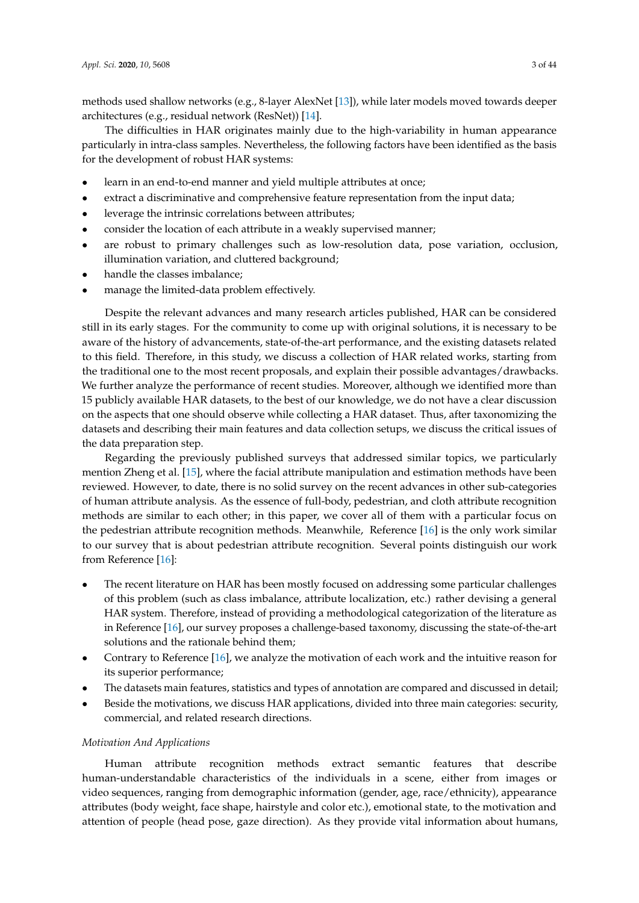methods used shallow networks (e.g., 8-layer AlexNet [\[13\]](#page-34-11)), while later models moved towards deeper architectures (e.g., residual network (ResNet)) [\[14\]](#page-34-12).

The difficulties in HAR originates mainly due to the high-variability in human appearance particularly in intra-class samples. Nevertheless, the following factors have been identified as the basis for the development of robust HAR systems:

- learn in an end-to-end manner and yield multiple attributes at once;
- extract a discriminative and comprehensive feature representation from the input data;
- leverage the intrinsic correlations between attributes;
- consider the location of each attribute in a weakly supervised manner;
- are robust to primary challenges such as low-resolution data, pose variation, occlusion, illumination variation, and cluttered background;
- handle the classes imbalance;
- manage the limited-data problem effectively.

Despite the relevant advances and many research articles published, HAR can be considered still in its early stages. For the community to come up with original solutions, it is necessary to be aware of the history of advancements, state-of-the-art performance, and the existing datasets related to this field. Therefore, in this study, we discuss a collection of HAR related works, starting from the traditional one to the most recent proposals, and explain their possible advantages/drawbacks. We further analyze the performance of recent studies. Moreover, although we identified more than 15 publicly available HAR datasets, to the best of our knowledge, we do not have a clear discussion on the aspects that one should observe while collecting a HAR dataset. Thus, after taxonomizing the datasets and describing their main features and data collection setups, we discuss the critical issues of the data preparation step.

Regarding the previously published surveys that addressed similar topics, we particularly mention Zheng et al. [\[15\]](#page-34-13), where the facial attribute manipulation and estimation methods have been reviewed. However, to date, there is no solid survey on the recent advances in other sub-categories of human attribute analysis. As the essence of full-body, pedestrian, and cloth attribute recognition methods are similar to each other; in this paper, we cover all of them with a particular focus on the pedestrian attribute recognition methods. Meanwhile, Reference [\[16\]](#page-34-14) is the only work similar to our survey that is about pedestrian attribute recognition. Several points distinguish our work from Reference [\[16\]](#page-34-14):

- The recent literature on HAR has been mostly focused on addressing some particular challenges of this problem (such as class imbalance, attribute localization, etc.) rather devising a general HAR system. Therefore, instead of providing a methodological categorization of the literature as in Reference [\[16\]](#page-34-14), our survey proposes a challenge-based taxonomy, discussing the state-of-the-art solutions and the rationale behind them;
- Contrary to Reference [\[16\]](#page-34-14), we analyze the motivation of each work and the intuitive reason for its superior performance;
- The datasets main features, statistics and types of annotation are compared and discussed in detail;
- Beside the motivations, we discuss HAR applications, divided into three main categories: security, commercial, and related research directions.

# *Motivation And Applications*

Human attribute recognition methods extract semantic features that describe human-understandable characteristics of the individuals in a scene, either from images or video sequences, ranging from demographic information (gender, age, race/ethnicity), appearance attributes (body weight, face shape, hairstyle and color etc.), emotional state, to the motivation and attention of people (head pose, gaze direction). As they provide vital information about humans,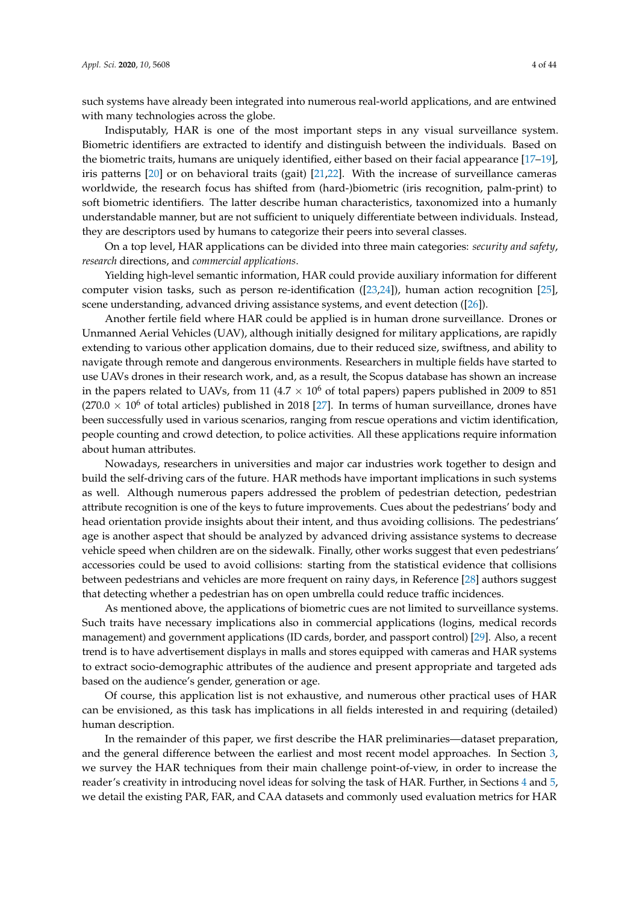such systems have already been integrated into numerous real-world applications, and are entwined with many technologies across the globe.

Indisputably, HAR is one of the most important steps in any visual surveillance system. Biometric identifiers are extracted to identify and distinguish between the individuals. Based on the biometric traits, humans are uniquely identified, either based on their facial appearance [\[17](#page-34-15)[–19\]](#page-34-16), iris patterns [\[20\]](#page-34-17) or on behavioral traits (gait) [\[21](#page-34-18)[,22\]](#page-34-19). With the increase of surveillance cameras worldwide, the research focus has shifted from (hard-)biometric (iris recognition, palm-print) to soft biometric identifiers. The latter describe human characteristics, taxonomized into a humanly understandable manner, but are not sufficient to uniquely differentiate between individuals. Instead, they are descriptors used by humans to categorize their peers into several classes.

On a top level, HAR applications can be divided into three main categories: *security and safety*, *research* directions, and *commercial applications*.

Yielding high-level semantic information, HAR could provide auxiliary information for different computer vision tasks, such as person re-identification ([\[23,](#page-34-20)[24\]](#page-35-0)), human action recognition [\[25\]](#page-35-1), scene understanding, advanced driving assistance systems, and event detection ([\[26\]](#page-35-2)).

Another fertile field where HAR could be applied is in human drone surveillance. Drones or Unmanned Aerial Vehicles (UAV), although initially designed for military applications, are rapidly extending to various other application domains, due to their reduced size, swiftness, and ability to navigate through remote and dangerous environments. Researchers in multiple fields have started to use UAVs drones in their research work, and, as a result, the Scopus database has shown an increase in the papers related to UAVs, from 11 (4.7  $\times$  10<sup>6</sup> of total papers) papers published in 2009 to 851  $(270.0 \times 10^6$  of total articles) published in 2018 [\[27\]](#page-35-3). In terms of human surveillance, drones have been successfully used in various scenarios, ranging from rescue operations and victim identification, people counting and crowd detection, to police activities. All these applications require information about human attributes.

Nowadays, researchers in universities and major car industries work together to design and build the self-driving cars of the future. HAR methods have important implications in such systems as well. Although numerous papers addressed the problem of pedestrian detection, pedestrian attribute recognition is one of the keys to future improvements. Cues about the pedestrians' body and head orientation provide insights about their intent, and thus avoiding collisions. The pedestrians' age is another aspect that should be analyzed by advanced driving assistance systems to decrease vehicle speed when children are on the sidewalk. Finally, other works suggest that even pedestrians' accessories could be used to avoid collisions: starting from the statistical evidence that collisions between pedestrians and vehicles are more frequent on rainy days, in Reference [\[28\]](#page-35-4) authors suggest that detecting whether a pedestrian has on open umbrella could reduce traffic incidences.

As mentioned above, the applications of biometric cues are not limited to surveillance systems. Such traits have necessary implications also in commercial applications (logins, medical records management) and government applications (ID cards, border, and passport control) [\[29\]](#page-35-5). Also, a recent trend is to have advertisement displays in malls and stores equipped with cameras and HAR systems to extract socio-demographic attributes of the audience and present appropriate and targeted ads based on the audience's gender, generation or age.

Of course, this application list is not exhaustive, and numerous other practical uses of HAR can be envisioned, as this task has implications in all fields interested in and requiring (detailed) human description.

In the remainder of this paper, we first describe the HAR preliminaries—dataset preparation, and the general difference between the earliest and most recent model approaches. In Section [3,](#page-5-0) we survey the HAR techniques from their main challenge point-of-view, in order to increase the reader's creativity in introducing novel ideas for solving the task of HAR. Further, in Sections [4](#page-17-0) and [5,](#page-22-0) we detail the existing PAR, FAR, and CAA datasets and commonly used evaluation metrics for HAR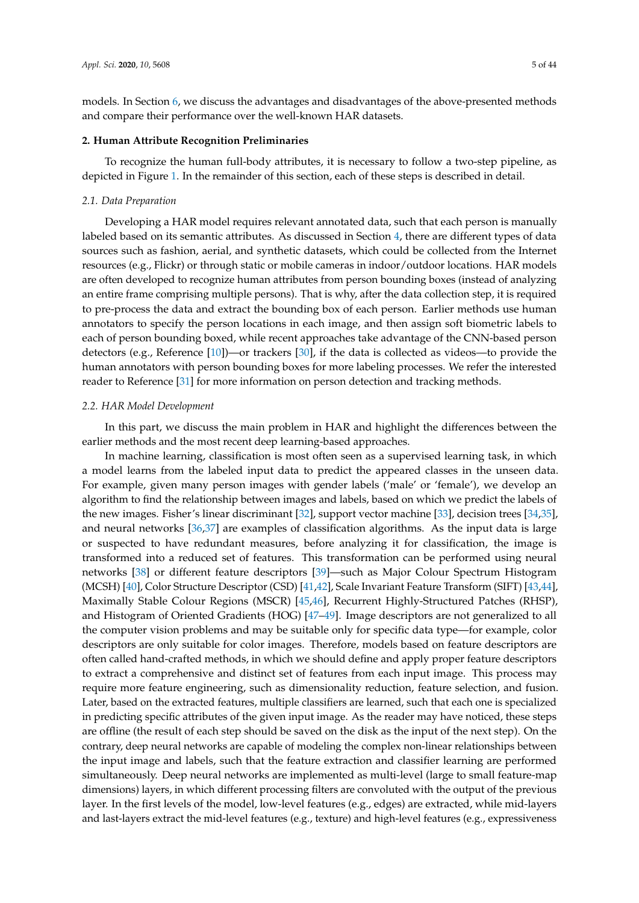models. In Section [6,](#page-22-1) we discuss the advantages and disadvantages of the above-presented methods and compare their performance over the well-known HAR datasets.

# **2. Human Attribute Recognition Preliminaries**

To recognize the human full-body attributes, it is necessary to follow a two-step pipeline, as depicted in Figure [1.](#page-1-0) In the remainder of this section, each of these steps is described in detail.

#### *2.1. Data Preparation*

Developing a HAR model requires relevant annotated data, such that each person is manually labeled based on its semantic attributes. As discussed in Section [4,](#page-17-0) there are different types of data sources such as fashion, aerial, and synthetic datasets, which could be collected from the Internet resources (e.g., Flickr) or through static or mobile cameras in indoor/outdoor locations. HAR models are often developed to recognize human attributes from person bounding boxes (instead of analyzing an entire frame comprising multiple persons). That is why, after the data collection step, it is required to pre-process the data and extract the bounding box of each person. Earlier methods use human annotators to specify the person locations in each image, and then assign soft biometric labels to each of person bounding boxed, while recent approaches take advantage of the CNN-based person detectors (e.g., Reference [\[10\]](#page-34-8))—or trackers [\[30\]](#page-35-6), if the data is collected as videos—to provide the human annotators with person bounding boxes for more labeling processes. We refer the interested reader to Reference [\[31\]](#page-35-7) for more information on person detection and tracking methods.

#### *2.2. HAR Model Development*

In this part, we discuss the main problem in HAR and highlight the differences between the earlier methods and the most recent deep learning-based approaches.

In machine learning, classification is most often seen as a supervised learning task, in which a model learns from the labeled input data to predict the appeared classes in the unseen data. For example, given many person images with gender labels ('male' or 'female'), we develop an algorithm to find the relationship between images and labels, based on which we predict the labels of the new images. Fisher's linear discriminant [\[32\]](#page-35-8), support vector machine [\[33\]](#page-35-9), decision trees [\[34,](#page-35-10)[35\]](#page-35-11), and neural networks [\[36](#page-35-12)[,37\]](#page-35-13) are examples of classification algorithms. As the input data is large or suspected to have redundant measures, before analyzing it for classification, the image is transformed into a reduced set of features. This transformation can be performed using neural networks [\[38\]](#page-35-14) or different feature descriptors [\[39\]](#page-35-15)—such as Major Colour Spectrum Histogram (MCSH) [\[40\]](#page-35-16), Color Structure Descriptor (CSD) [\[41,](#page-35-17)[42\]](#page-35-18), Scale Invariant Feature Transform (SIFT) [\[43](#page-35-19)[,44\]](#page-35-20), Maximally Stable Colour Regions (MSCR) [\[45](#page-35-21)[,46\]](#page-35-22), Recurrent Highly-Structured Patches (RHSP), and Histogram of Oriented Gradients (HOG) [\[47](#page-35-23)[–49\]](#page-36-0). Image descriptors are not generalized to all the computer vision problems and may be suitable only for specific data type—for example, color descriptors are only suitable for color images. Therefore, models based on feature descriptors are often called hand-crafted methods, in which we should define and apply proper feature descriptors to extract a comprehensive and distinct set of features from each input image. This process may require more feature engineering, such as dimensionality reduction, feature selection, and fusion. Later, based on the extracted features, multiple classifiers are learned, such that each one is specialized in predicting specific attributes of the given input image. As the reader may have noticed, these steps are offline (the result of each step should be saved on the disk as the input of the next step). On the contrary, deep neural networks are capable of modeling the complex non-linear relationships between the input image and labels, such that the feature extraction and classifier learning are performed simultaneously. Deep neural networks are implemented as multi-level (large to small feature-map dimensions) layers, in which different processing filters are convoluted with the output of the previous layer. In the first levels of the model, low-level features (e.g., edges) are extracted, while mid-layers and last-layers extract the mid-level features (e.g., texture) and high-level features (e.g., expressiveness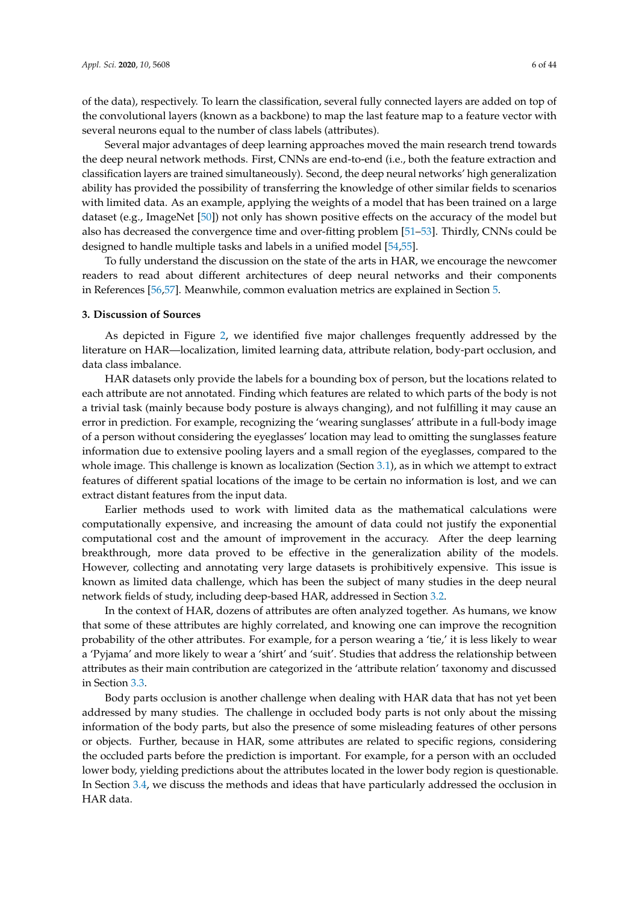of the data), respectively. To learn the classification, several fully connected layers are added on top of the convolutional layers (known as a backbone) to map the last feature map to a feature vector with several neurons equal to the number of class labels (attributes).

Several major advantages of deep learning approaches moved the main research trend towards the deep neural network methods. First, CNNs are end-to-end (i.e., both the feature extraction and classification layers are trained simultaneously). Second, the deep neural networks' high generalization ability has provided the possibility of transferring the knowledge of other similar fields to scenarios with limited data. As an example, applying the weights of a model that has been trained on a large dataset (e.g., ImageNet [\[50\]](#page-36-1)) not only has shown positive effects on the accuracy of the model but also has decreased the convergence time and over-fitting problem [\[51](#page-36-2)[–53\]](#page-36-3). Thirdly, CNNs could be designed to handle multiple tasks and labels in a unified model [\[54,](#page-36-4)[55\]](#page-36-5).

To fully understand the discussion on the state of the arts in HAR, we encourage the newcomer readers to read about different architectures of deep neural networks and their components in References [\[56](#page-36-6)[,57\]](#page-36-7). Meanwhile, common evaluation metrics are explained in Section [5.](#page-22-0)

#### <span id="page-5-0"></span>**3. Discussion of Sources**

As depicted in Figure [2,](#page-6-0) we identified five major challenges frequently addressed by the literature on HAR—localization, limited learning data, attribute relation, body-part occlusion, and data class imbalance.

HAR datasets only provide the labels for a bounding box of person, but the locations related to each attribute are not annotated. Finding which features are related to which parts of the body is not a trivial task (mainly because body posture is always changing), and not fulfilling it may cause an error in prediction. For example, recognizing the 'wearing sunglasses' attribute in a full-body image of a person without considering the eyeglasses' location may lead to omitting the sunglasses feature information due to extensive pooling layers and a small region of the eyeglasses, compared to the whole image. This challenge is known as localization (Section [3.1\)](#page-6-1), as in which we attempt to extract features of different spatial locations of the image to be certain no information is lost, and we can extract distant features from the input data.

Earlier methods used to work with limited data as the mathematical calculations were computationally expensive, and increasing the amount of data could not justify the exponential computational cost and the amount of improvement in the accuracy. After the deep learning breakthrough, more data proved to be effective in the generalization ability of the models. However, collecting and annotating very large datasets is prohibitively expensive. This issue is known as limited data challenge, which has been the subject of many studies in the deep neural network fields of study, including deep-based HAR, addressed in Section [3.2.](#page-11-0)

In the context of HAR, dozens of attributes are often analyzed together. As humans, we know that some of these attributes are highly correlated, and knowing one can improve the recognition probability of the other attributes. For example, for a person wearing a 'tie,' it is less likely to wear a 'Pyjama' and more likely to wear a 'shirt' and 'suit'. Studies that address the relationship between attributes as their main contribution are categorized in the 'attribute relation' taxonomy and discussed in Section [3.3.](#page-11-1)

Body parts occlusion is another challenge when dealing with HAR data that has not yet been addressed by many studies. The challenge in occluded body parts is not only about the missing information of the body parts, but also the presence of some misleading features of other persons or objects. Further, because in HAR, some attributes are related to specific regions, considering the occluded parts before the prediction is important. For example, for a person with an occluded lower body, yielding predictions about the attributes located in the lower body region is questionable. In Section [3.4,](#page-15-0) we discuss the methods and ideas that have particularly addressed the occlusion in HAR data.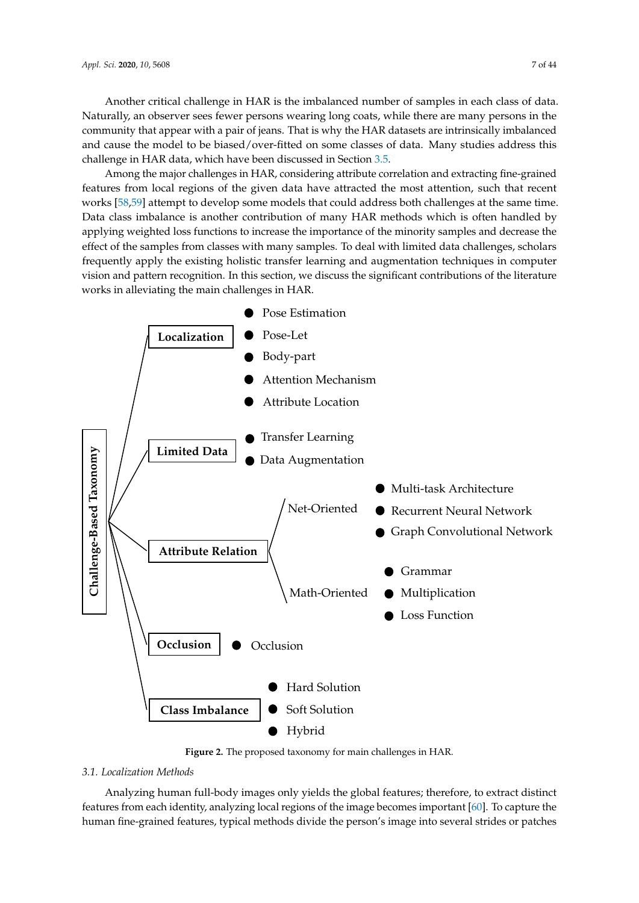Another critical challenge in HAR is the imbalanced number of samples in each class of data. Naturally, an observer sees fewer persons wearing long coats, while there are many persons in the community that appear with a pair of jeans. That is why the HAR datasets are intrinsically imbalanced and cause the model to be biased/over-fitted on some classes of data. Many studies address this challenge in HAR data, which have been discussed in Section [3.5.](#page-16-0)

Among the major challenges in HAR, considering attribute correlation and extracting fine-grained features from local regions of the given data have attracted the most attention, such that recent works [\[58](#page-36-8)[,59\]](#page-36-9) attempt to develop some models that could address both challenges at the same time. Data class imbalance is another contribution of many HAR methods which is often handled by applying weighted loss functions to increase the importance of the minority samples and decrease the effect of the samples from classes with many samples. To deal with limited data challenges, scholars frequently apply the existing holistic transfer learning and augmentation techniques in computer vision and pattern recognition. In this section, we discuss the significant contributions of the literature works in alleviating the main challenges in HAR.

<span id="page-6-0"></span>

**Figure 2.** The proposed taxonomy for main challenges in HAR.

# <span id="page-6-1"></span>*3.1. Localization Methods*

Analyzing human full-body images only yields the global features; therefore, to extract distinct features from each identity, analyzing local regions of the image becomes important [\[60\]](#page-36-10). To capture the human fine-grained features, typical methods divide the person's image into several strides or patches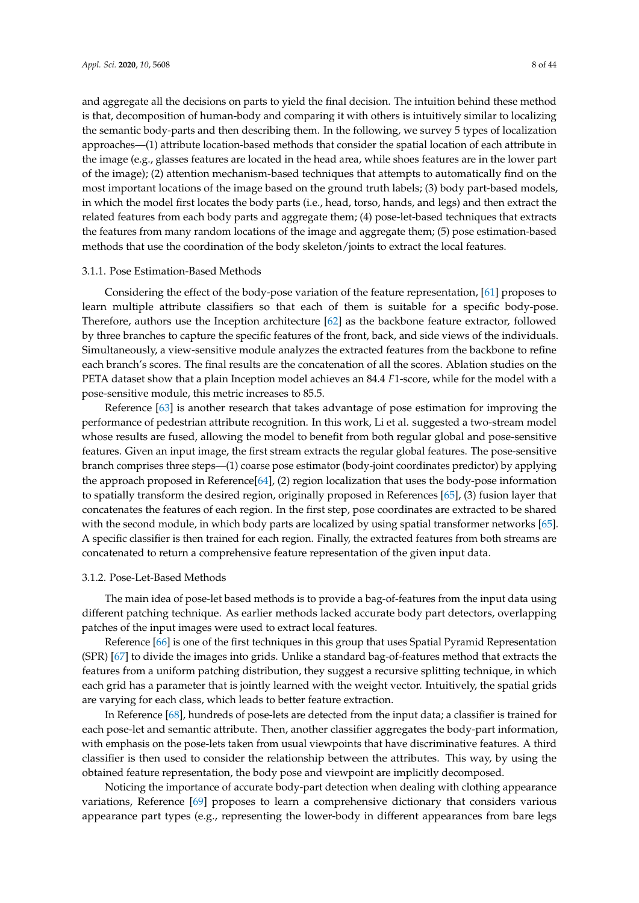and aggregate all the decisions on parts to yield the final decision. The intuition behind these method is that, decomposition of human-body and comparing it with others is intuitively similar to localizing the semantic body-parts and then describing them. In the following, we survey 5 types of localization approaches—(1) attribute location-based methods that consider the spatial location of each attribute in the image (e.g., glasses features are located in the head area, while shoes features are in the lower part of the image); (2) attention mechanism-based techniques that attempts to automatically find on the most important locations of the image based on the ground truth labels; (3) body part-based models, in which the model first locates the body parts (i.e., head, torso, hands, and legs) and then extract the related features from each body parts and aggregate them; (4) pose-let-based techniques that extracts the features from many random locations of the image and aggregate them; (5) pose estimation-based methods that use the coordination of the body skeleton/joints to extract the local features.

# 3.1.1. Pose Estimation-Based Methods

Considering the effect of the body-pose variation of the feature representation, [\[61\]](#page-36-11) proposes to learn multiple attribute classifiers so that each of them is suitable for a specific body-pose. Therefore, authors use the Inception architecture [\[62\]](#page-36-12) as the backbone feature extractor, followed by three branches to capture the specific features of the front, back, and side views of the individuals. Simultaneously, a view-sensitive module analyzes the extracted features from the backbone to refine each branch's scores. The final results are the concatenation of all the scores. Ablation studies on the PETA dataset show that a plain Inception model achieves an 84.4 *F*1-score, while for the model with a pose-sensitive module, this metric increases to 85.5.

Reference [\[63\]](#page-36-13) is another research that takes advantage of pose estimation for improving the performance of pedestrian attribute recognition. In this work, Li et al. suggested a two-stream model whose results are fused, allowing the model to benefit from both regular global and pose-sensitive features. Given an input image, the first stream extracts the regular global features. The pose-sensitive branch comprises three steps—(1) coarse pose estimator (body-joint coordinates predictor) by applying the approach proposed in Reference[\[64\]](#page-36-14), (2) region localization that uses the body-pose information to spatially transform the desired region, originally proposed in References [\[65\]](#page-36-15), (3) fusion layer that concatenates the features of each region. In the first step, pose coordinates are extracted to be shared with the second module, in which body parts are localized by using spatial transformer networks [\[65\]](#page-36-15). A specific classifier is then trained for each region. Finally, the extracted features from both streams are concatenated to return a comprehensive feature representation of the given input data.

#### 3.1.2. Pose-Let-Based Methods

The main idea of pose-let based methods is to provide a bag-of-features from the input data using different patching technique. As earlier methods lacked accurate body part detectors, overlapping patches of the input images were used to extract local features.

Reference [\[66\]](#page-36-16) is one of the first techniques in this group that uses Spatial Pyramid Representation (SPR) [\[67\]](#page-37-0) to divide the images into grids. Unlike a standard bag-of-features method that extracts the features from a uniform patching distribution, they suggest a recursive splitting technique, in which each grid has a parameter that is jointly learned with the weight vector. Intuitively, the spatial grids are varying for each class, which leads to better feature extraction.

In Reference [\[68\]](#page-37-1), hundreds of pose-lets are detected from the input data; a classifier is trained for each pose-let and semantic attribute. Then, another classifier aggregates the body-part information, with emphasis on the pose-lets taken from usual viewpoints that have discriminative features. A third classifier is then used to consider the relationship between the attributes. This way, by using the obtained feature representation, the body pose and viewpoint are implicitly decomposed.

Noticing the importance of accurate body-part detection when dealing with clothing appearance variations, Reference [\[69\]](#page-37-2) proposes to learn a comprehensive dictionary that considers various appearance part types (e.g., representing the lower-body in different appearances from bare legs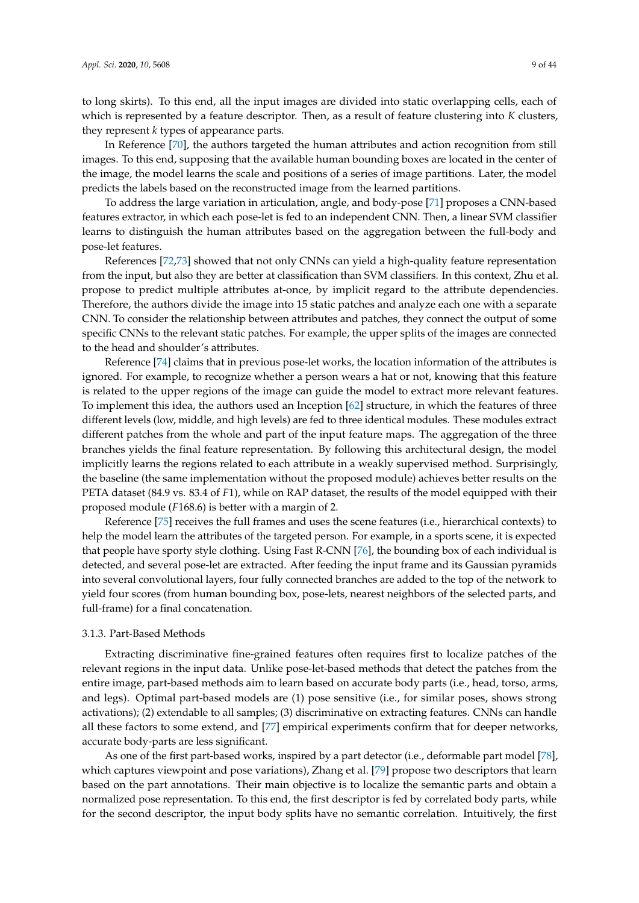to long skirts). To this end, all the input images are divided into static overlapping cells, each of which is represented by a feature descriptor. Then, as a result of feature clustering into *K* clusters, they represent *k* types of appearance parts.

In Reference [\[70\]](#page-37-3), the authors targeted the human attributes and action recognition from still images. To this end, supposing that the available human bounding boxes are located in the center of the image, the model learns the scale and positions of a series of image partitions. Later, the model predicts the labels based on the reconstructed image from the learned partitions.

To address the large variation in articulation, angle, and body-pose [\[71\]](#page-37-4) proposes a CNN-based features extractor, in which each pose-let is fed to an independent CNN. Then, a linear SVM classifier learns to distinguish the human attributes based on the aggregation between the full-body and pose-let features.

References [\[72,](#page-37-5)[73\]](#page-37-6) showed that not only CNNs can yield a high-quality feature representation from the input, but also they are better at classification than SVM classifiers. In this context, Zhu et al. propose to predict multiple attributes at-once, by implicit regard to the attribute dependencies. Therefore, the authors divide the image into 15 static patches and analyze each one with a separate CNN. To consider the relationship between attributes and patches, they connect the output of some specific CNNs to the relevant static patches. For example, the upper splits of the images are connected to the head and shoulder's attributes.

Reference [\[74\]](#page-37-7) claims that in previous pose-let works, the location information of the attributes is ignored. For example, to recognize whether a person wears a hat or not, knowing that this feature is related to the upper regions of the image can guide the model to extract more relevant features. To implement this idea, the authors used an Inception [\[62\]](#page-36-12) structure, in which the features of three different levels (low, middle, and high levels) are fed to three identical modules. These modules extract different patches from the whole and part of the input feature maps. The aggregation of the three branches yields the final feature representation. By following this architectural design, the model implicitly learns the regions related to each attribute in a weakly supervised method. Surprisingly, the baseline (the same implementation without the proposed module) achieves better results on the PETA dataset (84.9 vs. 83.4 of *F*1), while on RAP dataset, the results of the model equipped with their proposed module (*F*168.6) is better with a margin of 2.

Reference [\[75\]](#page-37-8) receives the full frames and uses the scene features (i.e., hierarchical contexts) to help the model learn the attributes of the targeted person. For example, in a sports scene, it is expected that people have sporty style clothing. Using Fast R-CNN [\[76\]](#page-37-9), the bounding box of each individual is detected, and several pose-let are extracted. After feeding the input frame and its Gaussian pyramids into several convolutional layers, four fully connected branches are added to the top of the network to yield four scores (from human bounding box, pose-lets, nearest neighbors of the selected parts, and full-frame) for a final concatenation.

# 3.1.3. Part-Based Methods

Extracting discriminative fine-grained features often requires first to localize patches of the relevant regions in the input data. Unlike pose-let-based methods that detect the patches from the entire image, part-based methods aim to learn based on accurate body parts (i.e., head, torso, arms, and legs). Optimal part-based models are (1) pose sensitive (i.e., for similar poses, shows strong activations); (2) extendable to all samples; (3) discriminative on extracting features. CNNs can handle all these factors to some extend, and [\[77\]](#page-37-10) empirical experiments confirm that for deeper networks, accurate body-parts are less significant.

As one of the first part-based works, inspired by a part detector (i.e., deformable part model [\[78\]](#page-37-11), which captures viewpoint and pose variations), Zhang et al. [\[79\]](#page-37-12) propose two descriptors that learn based on the part annotations. Their main objective is to localize the semantic parts and obtain a normalized pose representation. To this end, the first descriptor is fed by correlated body parts, while for the second descriptor, the input body splits have no semantic correlation. Intuitively, the first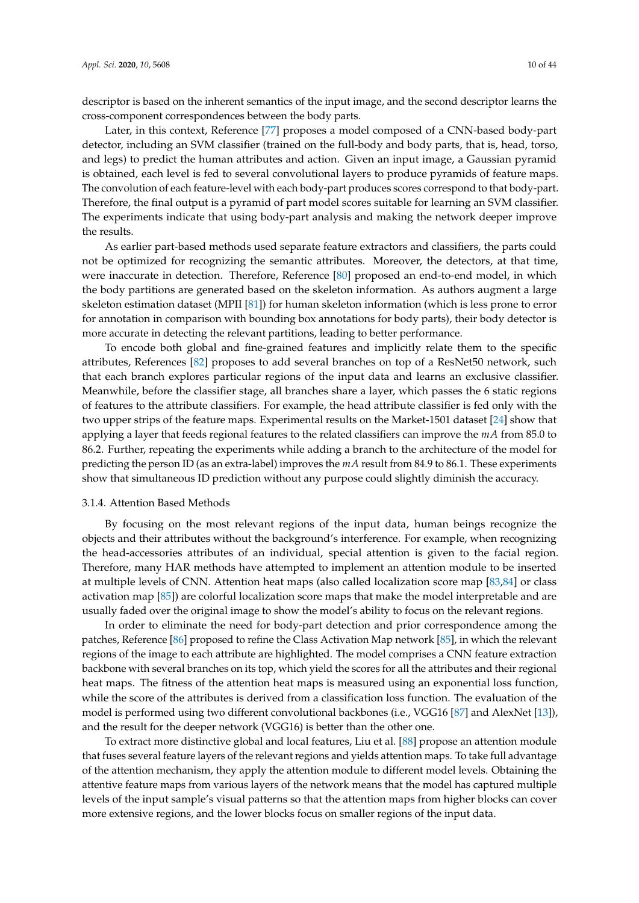descriptor is based on the inherent semantics of the input image, and the second descriptor learns the cross-component correspondences between the body parts.

Later, in this context, Reference [\[77\]](#page-37-10) proposes a model composed of a CNN-based body-part detector, including an SVM classifier (trained on the full-body and body parts, that is, head, torso, and legs) to predict the human attributes and action. Given an input image, a Gaussian pyramid is obtained, each level is fed to several convolutional layers to produce pyramids of feature maps. The convolution of each feature-level with each body-part produces scores correspond to that body-part. Therefore, the final output is a pyramid of part model scores suitable for learning an SVM classifier. The experiments indicate that using body-part analysis and making the network deeper improve the results.

As earlier part-based methods used separate feature extractors and classifiers, the parts could not be optimized for recognizing the semantic attributes. Moreover, the detectors, at that time, were inaccurate in detection. Therefore, Reference [\[80\]](#page-37-13) proposed an end-to-end model, in which the body partitions are generated based on the skeleton information. As authors augment a large skeleton estimation dataset (MPII [\[81\]](#page-37-14)) for human skeleton information (which is less prone to error for annotation in comparison with bounding box annotations for body parts), their body detector is more accurate in detecting the relevant partitions, leading to better performance.

To encode both global and fine-grained features and implicitly relate them to the specific attributes, References [\[82\]](#page-37-15) proposes to add several branches on top of a ResNet50 network, such that each branch explores particular regions of the input data and learns an exclusive classifier. Meanwhile, before the classifier stage, all branches share a layer, which passes the 6 static regions of features to the attribute classifiers. For example, the head attribute classifier is fed only with the two upper strips of the feature maps. Experimental results on the Market-1501 dataset [\[24\]](#page-35-0) show that applying a layer that feeds regional features to the related classifiers can improve the *mA* from 85.0 to 86.2. Further, repeating the experiments while adding a branch to the architecture of the model for predicting the person ID (as an extra-label) improves the *mA* result from 84.9 to 86.1. These experiments show that simultaneous ID prediction without any purpose could slightly diminish the accuracy.

# 3.1.4. Attention Based Methods

By focusing on the most relevant regions of the input data, human beings recognize the objects and their attributes without the background's interference. For example, when recognizing the head-accessories attributes of an individual, special attention is given to the facial region. Therefore, many HAR methods have attempted to implement an attention module to be inserted at multiple levels of CNN. Attention heat maps (also called localization score map [\[83,](#page-37-16)[84\]](#page-37-17) or class activation map [\[85\]](#page-37-18)) are colorful localization score maps that make the model interpretable and are usually faded over the original image to show the model's ability to focus on the relevant regions.

In order to eliminate the need for body-part detection and prior correspondence among the patches, Reference [\[86\]](#page-37-19) proposed to refine the Class Activation Map network [\[85\]](#page-37-18), in which the relevant regions of the image to each attribute are highlighted. The model comprises a CNN feature extraction backbone with several branches on its top, which yield the scores for all the attributes and their regional heat maps. The fitness of the attention heat maps is measured using an exponential loss function, while the score of the attributes is derived from a classification loss function. The evaluation of the model is performed using two different convolutional backbones (i.e., VGG16 [\[87\]](#page-38-0) and AlexNet [\[13\]](#page-34-11)), and the result for the deeper network (VGG16) is better than the other one.

To extract more distinctive global and local features, Liu et al. [\[88\]](#page-38-1) propose an attention module that fuses several feature layers of the relevant regions and yields attention maps. To take full advantage of the attention mechanism, they apply the attention module to different model levels. Obtaining the attentive feature maps from various layers of the network means that the model has captured multiple levels of the input sample's visual patterns so that the attention maps from higher blocks can cover more extensive regions, and the lower blocks focus on smaller regions of the input data.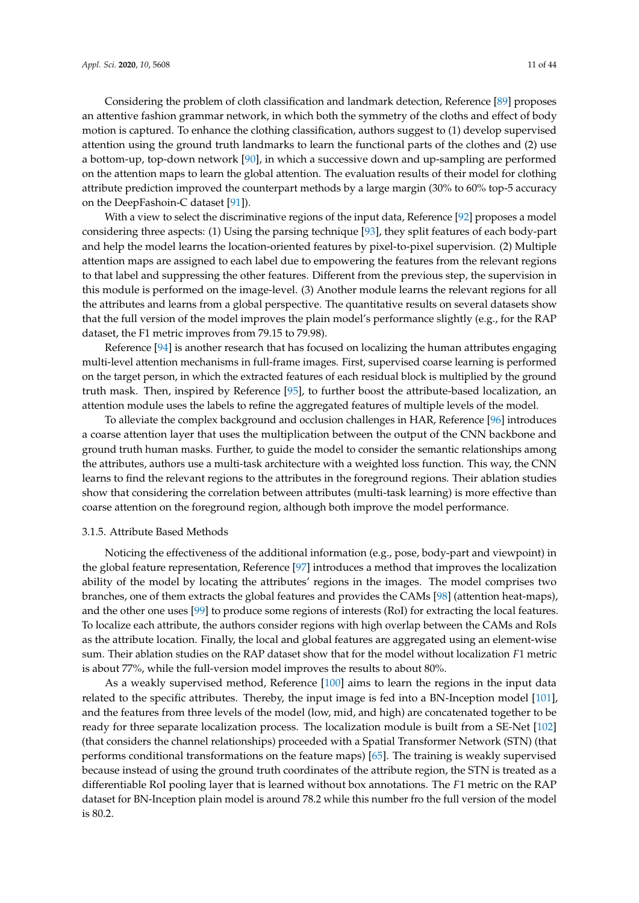Considering the problem of cloth classification and landmark detection, Reference [\[89\]](#page-38-2) proposes an attentive fashion grammar network, in which both the symmetry of the cloths and effect of body motion is captured. To enhance the clothing classification, authors suggest to (1) develop supervised attention using the ground truth landmarks to learn the functional parts of the clothes and (2) use a bottom-up, top-down network [\[90\]](#page-38-3), in which a successive down and up-sampling are performed on the attention maps to learn the global attention. The evaluation results of their model for clothing attribute prediction improved the counterpart methods by a large margin (30% to 60% top-5 accuracy on the DeepFashoin-C dataset [\[91\]](#page-38-4)).

With a view to select the discriminative regions of the input data, Reference [\[92\]](#page-38-5) proposes a model considering three aspects: (1) Using the parsing technique [\[93\]](#page-38-6), they split features of each body-part and help the model learns the location-oriented features by pixel-to-pixel supervision. (2) Multiple attention maps are assigned to each label due to empowering the features from the relevant regions to that label and suppressing the other features. Different from the previous step, the supervision in this module is performed on the image-level. (3) Another module learns the relevant regions for all the attributes and learns from a global perspective. The quantitative results on several datasets show that the full version of the model improves the plain model's performance slightly (e.g., for the RAP dataset, the F1 metric improves from 79.15 to 79.98).

Reference [\[94\]](#page-38-7) is another research that has focused on localizing the human attributes engaging multi-level attention mechanisms in full-frame images. First, supervised coarse learning is performed on the target person, in which the extracted features of each residual block is multiplied by the ground truth mask. Then, inspired by Reference [\[95\]](#page-38-8), to further boost the attribute-based localization, an attention module uses the labels to refine the aggregated features of multiple levels of the model.

To alleviate the complex background and occlusion challenges in HAR, Reference [\[96\]](#page-38-9) introduces a coarse attention layer that uses the multiplication between the output of the CNN backbone and ground truth human masks. Further, to guide the model to consider the semantic relationships among the attributes, authors use a multi-task architecture with a weighted loss function. This way, the CNN learns to find the relevant regions to the attributes in the foreground regions. Their ablation studies show that considering the correlation between attributes (multi-task learning) is more effective than coarse attention on the foreground region, although both improve the model performance.

# 3.1.5. Attribute Based Methods

Noticing the effectiveness of the additional information (e.g., pose, body-part and viewpoint) in the global feature representation, Reference [\[97\]](#page-38-10) introduces a method that improves the localization ability of the model by locating the attributes' regions in the images. The model comprises two branches, one of them extracts the global features and provides the CAMs [\[98\]](#page-38-11) (attention heat-maps), and the other one uses [\[99\]](#page-38-12) to produce some regions of interests (RoI) for extracting the local features. To localize each attribute, the authors consider regions with high overlap between the CAMs and RoIs as the attribute location. Finally, the local and global features are aggregated using an element-wise sum. Their ablation studies on the RAP dataset show that for the model without localization *F*1 metric is about 77%, while the full-version model improves the results to about 80%.

As a weakly supervised method, Reference [\[100\]](#page-38-13) aims to learn the regions in the input data related to the specific attributes. Thereby, the input image is fed into a BN-Inception model [\[101\]](#page-38-14), and the features from three levels of the model (low, mid, and high) are concatenated together to be ready for three separate localization process. The localization module is built from a SE-Net [\[102\]](#page-38-15) (that considers the channel relationships) proceeded with a Spatial Transformer Network (STN) (that performs conditional transformations on the feature maps) [\[65\]](#page-36-15). The training is weakly supervised because instead of using the ground truth coordinates of the attribute region, the STN is treated as a differentiable RoI pooling layer that is learned without box annotations. The *F*1 metric on the RAP dataset for BN-Inception plain model is around 78.2 while this number fro the full version of the model is  $80.2$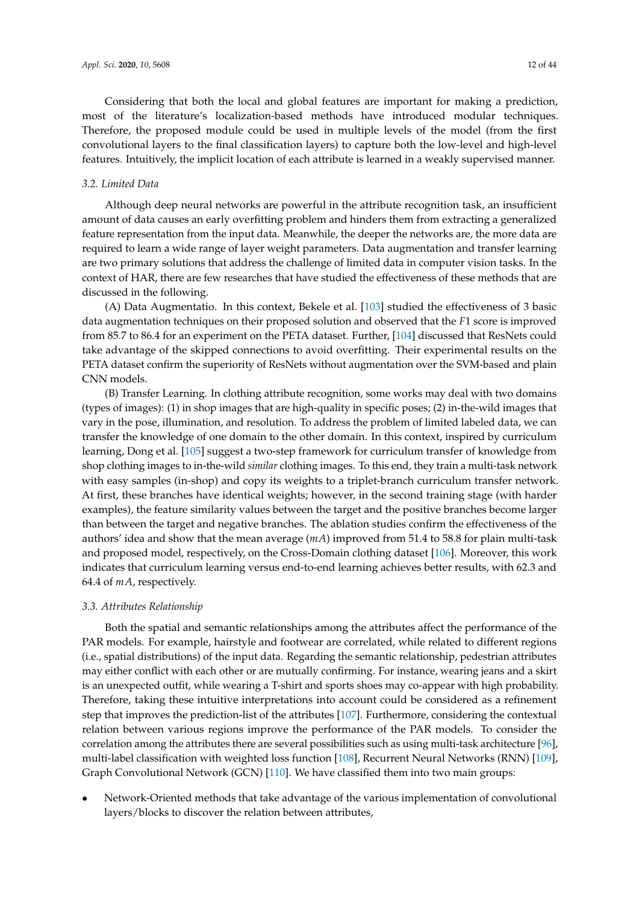Considering that both the local and global features are important for making a prediction, most of the literature's localization-based methods have introduced modular techniques. Therefore, the proposed module could be used in multiple levels of the model (from the first convolutional layers to the final classification layers) to capture both the low-level and high-level features. Intuitively, the implicit location of each attribute is learned in a weakly supervised manner.

# <span id="page-11-0"></span>*3.2. Limited Data*

Although deep neural networks are powerful in the attribute recognition task, an insufficient amount of data causes an early overfitting problem and hinders them from extracting a generalized feature representation from the input data. Meanwhile, the deeper the networks are, the more data are required to learn a wide range of layer weight parameters. Data augmentation and transfer learning are two primary solutions that address the challenge of limited data in computer vision tasks. In the context of HAR, there are few researches that have studied the effectiveness of these methods that are discussed in the following.

(A) Data Augmentatio. In this context, Bekele et al. [\[103\]](#page-38-16) studied the effectiveness of 3 basic data augmentation techniques on their proposed solution and observed that the *F*1 score is improved from 85.7 to 86.4 for an experiment on the PETA dataset. Further, [\[104\]](#page-38-17) discussed that ResNets could take advantage of the skipped connections to avoid overfitting. Their experimental results on the PETA dataset confirm the superiority of ResNets without augmentation over the SVM-based and plain CNN models.

(B) Transfer Learning. In clothing attribute recognition, some works may deal with two domains (types of images): (1) in shop images that are high-quality in specific poses; (2) in-the-wild images that vary in the pose, illumination, and resolution. To address the problem of limited labeled data, we can transfer the knowledge of one domain to the other domain. In this context, inspired by curriculum learning, Dong et al. [\[105\]](#page-38-18) suggest a two-step framework for curriculum transfer of knowledge from shop clothing images to in-the-wild *similar* clothing images. To this end, they train a multi-task network with easy samples (in-shop) and copy its weights to a triplet-branch curriculum transfer network. At first, these branches have identical weights; however, in the second training stage (with harder examples), the feature similarity values between the target and the positive branches become larger than between the target and negative branches. The ablation studies confirm the effectiveness of the authors' idea and show that the mean average (*mA*) improved from 51.4 to 58.8 for plain multi-task and proposed model, respectively, on the Cross-Domain clothing dataset [\[106\]](#page-38-19). Moreover, this work indicates that curriculum learning versus end-to-end learning achieves better results, with 62.3 and 64.4 of *mA*, respectively.

#### <span id="page-11-1"></span>*3.3. Attributes Relationship*

Both the spatial and semantic relationships among the attributes affect the performance of the PAR models. For example, hairstyle and footwear are correlated, while related to different regions (i.e., spatial distributions) of the input data. Regarding the semantic relationship, pedestrian attributes may either conflict with each other or are mutually confirming. For instance, wearing jeans and a skirt is an unexpected outfit, while wearing a T-shirt and sports shoes may co-appear with high probability. Therefore, taking these intuitive interpretations into account could be considered as a refinement step that improves the prediction-list of the attributes [\[107\]](#page-39-0). Furthermore, considering the contextual relation between various regions improve the performance of the PAR models. To consider the correlation among the attributes there are several possibilities such as using multi-task architecture [\[96\]](#page-38-9), multi-label classification with weighted loss function [\[108\]](#page-39-1), Recurrent Neural Networks (RNN) [\[109\]](#page-39-2), Graph Convolutional Network (GCN) [\[110\]](#page-39-3). We have classified them into two main groups:

• Network-Oriented methods that take advantage of the various implementation of convolutional layers/blocks to discover the relation between attributes,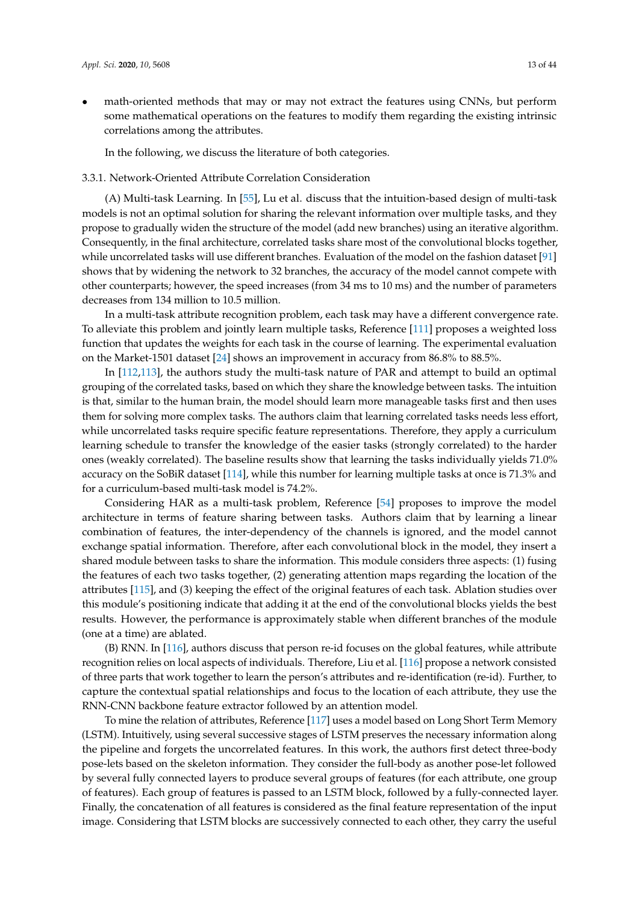math-oriented methods that may or may not extract the features using CNNs, but perform some mathematical operations on the features to modify them regarding the existing intrinsic correlations among the attributes.

In the following, we discuss the literature of both categories.

# 3.3.1. Network-Oriented Attribute Correlation Consideration

(A) Multi-task Learning. In [\[55\]](#page-36-5), Lu et al. discuss that the intuition-based design of multi-task models is not an optimal solution for sharing the relevant information over multiple tasks, and they propose to gradually widen the structure of the model (add new branches) using an iterative algorithm. Consequently, in the final architecture, correlated tasks share most of the convolutional blocks together, while uncorrelated tasks will use different branches. Evaluation of the model on the fashion dataset [\[91\]](#page-38-4) shows that by widening the network to 32 branches, the accuracy of the model cannot compete with other counterparts; however, the speed increases (from 34 ms to 10 ms) and the number of parameters decreases from 134 million to 10.5 million.

In a multi-task attribute recognition problem, each task may have a different convergence rate. To alleviate this problem and jointly learn multiple tasks, Reference [\[111\]](#page-39-4) proposes a weighted loss function that updates the weights for each task in the course of learning. The experimental evaluation on the Market-1501 dataset [\[24\]](#page-35-0) shows an improvement in accuracy from 86.8% to 88.5%.

In [\[112,](#page-39-5)[113\]](#page-39-6), the authors study the multi-task nature of PAR and attempt to build an optimal grouping of the correlated tasks, based on which they share the knowledge between tasks. The intuition is that, similar to the human brain, the model should learn more manageable tasks first and then uses them for solving more complex tasks. The authors claim that learning correlated tasks needs less effort, while uncorrelated tasks require specific feature representations. Therefore, they apply a curriculum learning schedule to transfer the knowledge of the easier tasks (strongly correlated) to the harder ones (weakly correlated). The baseline results show that learning the tasks individually yields 71.0% accuracy on the SoBiR dataset [\[114\]](#page-39-7), while this number for learning multiple tasks at once is 71.3% and for a curriculum-based multi-task model is 74.2%.

Considering HAR as a multi-task problem, Reference [\[54\]](#page-36-4) proposes to improve the model architecture in terms of feature sharing between tasks. Authors claim that by learning a linear combination of features, the inter-dependency of the channels is ignored, and the model cannot exchange spatial information. Therefore, after each convolutional block in the model, they insert a shared module between tasks to share the information. This module considers three aspects: (1) fusing the features of each two tasks together, (2) generating attention maps regarding the location of the attributes [\[115\]](#page-39-8), and (3) keeping the effect of the original features of each task. Ablation studies over this module's positioning indicate that adding it at the end of the convolutional blocks yields the best results. However, the performance is approximately stable when different branches of the module (one at a time) are ablated.

(B) RNN. In [\[116\]](#page-39-9), authors discuss that person re-id focuses on the global features, while attribute recognition relies on local aspects of individuals. Therefore, Liu et al. [\[116\]](#page-39-9) propose a network consisted of three parts that work together to learn the person's attributes and re-identification (re-id). Further, to capture the contextual spatial relationships and focus to the location of each attribute, they use the RNN-CNN backbone feature extractor followed by an attention model.

To mine the relation of attributes, Reference [\[117\]](#page-39-10) uses a model based on Long Short Term Memory (LSTM). Intuitively, using several successive stages of LSTM preserves the necessary information along the pipeline and forgets the uncorrelated features. In this work, the authors first detect three-body pose-lets based on the skeleton information. They consider the full-body as another pose-let followed by several fully connected layers to produce several groups of features (for each attribute, one group of features). Each group of features is passed to an LSTM block, followed by a fully-connected layer. Finally, the concatenation of all features is considered as the final feature representation of the input image. Considering that LSTM blocks are successively connected to each other, they carry the useful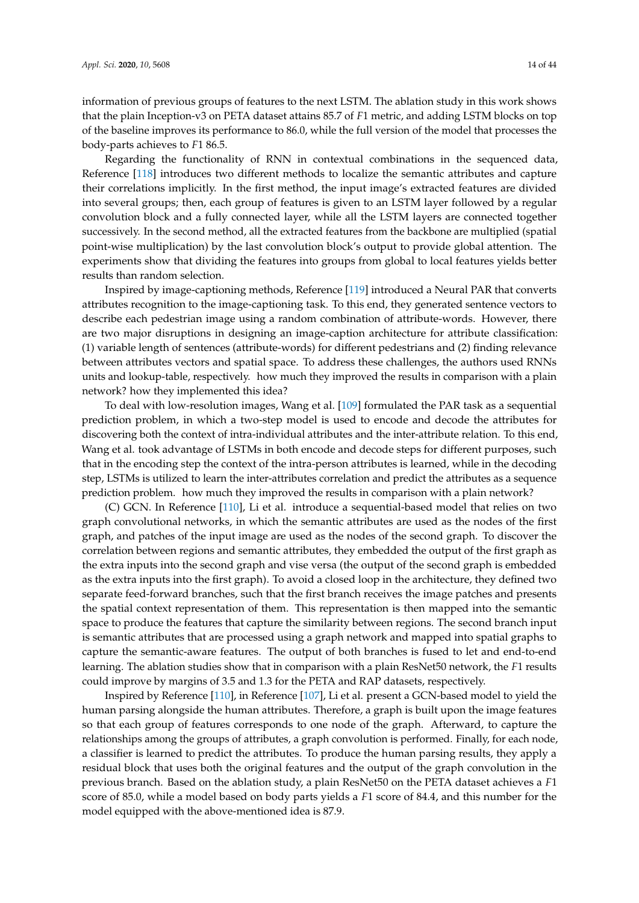information of previous groups of features to the next LSTM. The ablation study in this work shows that the plain Inception-v3 on PETA dataset attains 85.7 of *F*1 metric, and adding LSTM blocks on top of the baseline improves its performance to 86.0, while the full version of the model that processes the body-parts achieves to *F*1 86.5.

Regarding the functionality of RNN in contextual combinations in the sequenced data, Reference [\[118\]](#page-39-11) introduces two different methods to localize the semantic attributes and capture their correlations implicitly. In the first method, the input image's extracted features are divided into several groups; then, each group of features is given to an LSTM layer followed by a regular convolution block and a fully connected layer, while all the LSTM layers are connected together successively. In the second method, all the extracted features from the backbone are multiplied (spatial point-wise multiplication) by the last convolution block's output to provide global attention. The experiments show that dividing the features into groups from global to local features yields better results than random selection.

Inspired by image-captioning methods, Reference [\[119\]](#page-39-12) introduced a Neural PAR that converts attributes recognition to the image-captioning task. To this end, they generated sentence vectors to describe each pedestrian image using a random combination of attribute-words. However, there are two major disruptions in designing an image-caption architecture for attribute classification: (1) variable length of sentences (attribute-words) for different pedestrians and (2) finding relevance between attributes vectors and spatial space. To address these challenges, the authors used RNNs units and lookup-table, respectively. how much they improved the results in comparison with a plain network? how they implemented this idea?

To deal with low-resolution images, Wang et al. [\[109\]](#page-39-2) formulated the PAR task as a sequential prediction problem, in which a two-step model is used to encode and decode the attributes for discovering both the context of intra-individual attributes and the inter-attribute relation. To this end, Wang et al. took advantage of LSTMs in both encode and decode steps for different purposes, such that in the encoding step the context of the intra-person attributes is learned, while in the decoding step, LSTMs is utilized to learn the inter-attributes correlation and predict the attributes as a sequence prediction problem. how much they improved the results in comparison with a plain network?

(C) GCN. In Reference [\[110\]](#page-39-3), Li et al. introduce a sequential-based model that relies on two graph convolutional networks, in which the semantic attributes are used as the nodes of the first graph, and patches of the input image are used as the nodes of the second graph. To discover the correlation between regions and semantic attributes, they embedded the output of the first graph as the extra inputs into the second graph and vise versa (the output of the second graph is embedded as the extra inputs into the first graph). To avoid a closed loop in the architecture, they defined two separate feed-forward branches, such that the first branch receives the image patches and presents the spatial context representation of them. This representation is then mapped into the semantic space to produce the features that capture the similarity between regions. The second branch input is semantic attributes that are processed using a graph network and mapped into spatial graphs to capture the semantic-aware features. The output of both branches is fused to let and end-to-end learning. The ablation studies show that in comparison with a plain ResNet50 network, the *F*1 results could improve by margins of 3.5 and 1.3 for the PETA and RAP datasets, respectively.

Inspired by Reference [\[110\]](#page-39-3), in Reference [\[107\]](#page-39-0), Li et al. present a GCN-based model to yield the human parsing alongside the human attributes. Therefore, a graph is built upon the image features so that each group of features corresponds to one node of the graph. Afterward, to capture the relationships among the groups of attributes, a graph convolution is performed. Finally, for each node, a classifier is learned to predict the attributes. To produce the human parsing results, they apply a residual block that uses both the original features and the output of the graph convolution in the previous branch. Based on the ablation study, a plain ResNet50 on the PETA dataset achieves a *F*1 score of 85.0, while a model based on body parts yields a *F*1 score of 84.4, and this number for the model equipped with the above-mentioned idea is 87.9.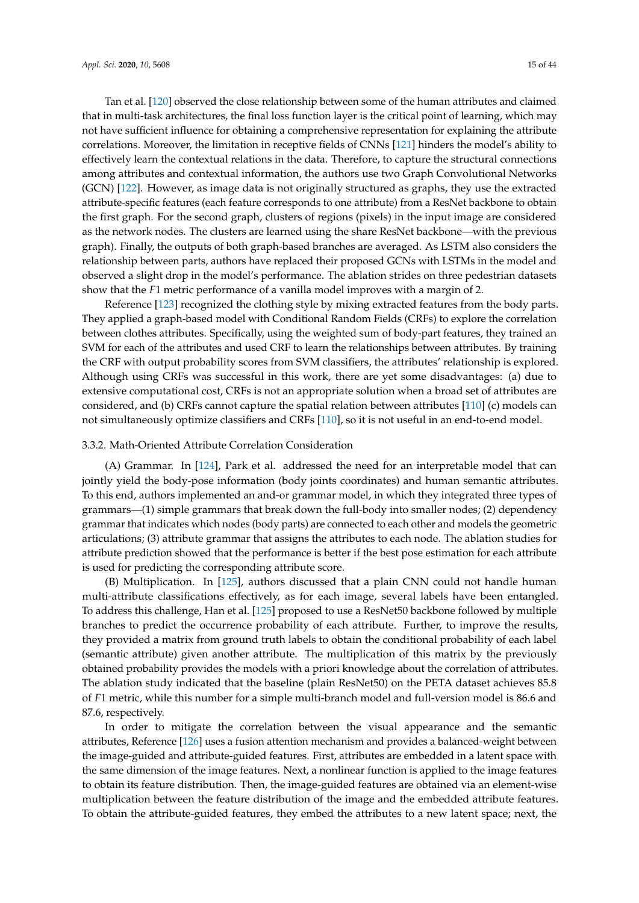Tan et al. [\[120\]](#page-39-13) observed the close relationship between some of the human attributes and claimed that in multi-task architectures, the final loss function layer is the critical point of learning, which may not have sufficient influence for obtaining a comprehensive representation for explaining the attribute correlations. Moreover, the limitation in receptive fields of CNNs [\[121\]](#page-39-14) hinders the model's ability to effectively learn the contextual relations in the data. Therefore, to capture the structural connections among attributes and contextual information, the authors use two Graph Convolutional Networks (GCN) [\[122\]](#page-39-15). However, as image data is not originally structured as graphs, they use the extracted attribute-specific features (each feature corresponds to one attribute) from a ResNet backbone to obtain the first graph. For the second graph, clusters of regions (pixels) in the input image are considered as the network nodes. The clusters are learned using the share ResNet backbone—with the previous graph). Finally, the outputs of both graph-based branches are averaged. As LSTM also considers the relationship between parts, authors have replaced their proposed GCNs with LSTMs in the model and observed a slight drop in the model's performance. The ablation strides on three pedestrian datasets show that the *F*1 metric performance of a vanilla model improves with a margin of 2.

Reference [\[123\]](#page-39-16) recognized the clothing style by mixing extracted features from the body parts. They applied a graph-based model with Conditional Random Fields (CRFs) to explore the correlation between clothes attributes. Specifically, using the weighted sum of body-part features, they trained an SVM for each of the attributes and used CRF to learn the relationships between attributes. By training the CRF with output probability scores from SVM classifiers, the attributes' relationship is explored. Although using CRFs was successful in this work, there are yet some disadvantages: (a) due to extensive computational cost, CRFs is not an appropriate solution when a broad set of attributes are considered, and (b) CRFs cannot capture the spatial relation between attributes [\[110\]](#page-39-3) (c) models can not simultaneously optimize classifiers and CRFs [\[110\]](#page-39-3), so it is not useful in an end-to-end model.

## <span id="page-14-0"></span>3.3.2. Math-Oriented Attribute Correlation Consideration

(A) Grammar. In [\[124\]](#page-39-17), Park et al. addressed the need for an interpretable model that can jointly yield the body-pose information (body joints coordinates) and human semantic attributes. To this end, authors implemented an and-or grammar model, in which they integrated three types of grammars—(1) simple grammars that break down the full-body into smaller nodes; (2) dependency grammar that indicates which nodes (body parts) are connected to each other and models the geometric articulations; (3) attribute grammar that assigns the attributes to each node. The ablation studies for attribute prediction showed that the performance is better if the best pose estimation for each attribute is used for predicting the corresponding attribute score.

(B) Multiplication. In [\[125\]](#page-39-18), authors discussed that a plain CNN could not handle human multi-attribute classifications effectively, as for each image, several labels have been entangled. To address this challenge, Han et al. [\[125\]](#page-39-18) proposed to use a ResNet50 backbone followed by multiple branches to predict the occurrence probability of each attribute. Further, to improve the results, they provided a matrix from ground truth labels to obtain the conditional probability of each label (semantic attribute) given another attribute. The multiplication of this matrix by the previously obtained probability provides the models with a priori knowledge about the correlation of attributes. The ablation study indicated that the baseline (plain ResNet50) on the PETA dataset achieves 85.8 of *F*1 metric, while this number for a simple multi-branch model and full-version model is 86.6 and 87.6, respectively.

In order to mitigate the correlation between the visual appearance and the semantic attributes, Reference [\[126\]](#page-39-19) uses a fusion attention mechanism and provides a balanced-weight between the image-guided and attribute-guided features. First, attributes are embedded in a latent space with the same dimension of the image features. Next, a nonlinear function is applied to the image features to obtain its feature distribution. Then, the image-guided features are obtained via an element-wise multiplication between the feature distribution of the image and the embedded attribute features. To obtain the attribute-guided features, they embed the attributes to a new latent space; next, the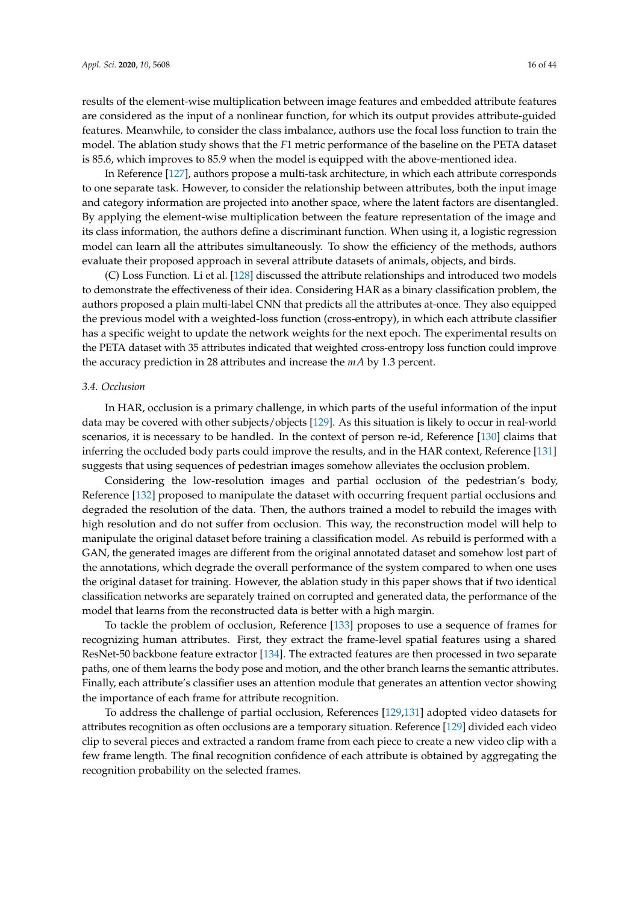results of the element-wise multiplication between image features and embedded attribute features are considered as the input of a nonlinear function, for which its output provides attribute-guided features. Meanwhile, to consider the class imbalance, authors use the focal loss function to train the model. The ablation study shows that the *F*1 metric performance of the baseline on the PETA dataset is 85.6, which improves to 85.9 when the model is equipped with the above-mentioned idea.

In Reference [\[127\]](#page-40-0), authors propose a multi-task architecture, in which each attribute corresponds to one separate task. However, to consider the relationship between attributes, both the input image and category information are projected into another space, where the latent factors are disentangled. By applying the element-wise multiplication between the feature representation of the image and its class information, the authors define a discriminant function. When using it, a logistic regression model can learn all the attributes simultaneously. To show the efficiency of the methods, authors evaluate their proposed approach in several attribute datasets of animals, objects, and birds.

(C) Loss Function. Li et al. [\[128\]](#page-40-1) discussed the attribute relationships and introduced two models to demonstrate the effectiveness of their idea. Considering HAR as a binary classification problem, the authors proposed a plain multi-label CNN that predicts all the attributes at-once. They also equipped the previous model with a weighted-loss function (cross-entropy), in which each attribute classifier has a specific weight to update the network weights for the next epoch. The experimental results on the PETA dataset with 35 attributes indicated that weighted cross-entropy loss function could improve the accuracy prediction in 28 attributes and increase the *mA* by 1.3 percent.

#### <span id="page-15-0"></span>*3.4. Occlusion*

In HAR, occlusion is a primary challenge, in which parts of the useful information of the input data may be covered with other subjects/objects [\[129\]](#page-40-2). As this situation is likely to occur in real-world scenarios, it is necessary to be handled. In the context of person re-id, Reference [\[130\]](#page-40-3) claims that inferring the occluded body parts could improve the results, and in the HAR context, Reference [\[131\]](#page-40-4) suggests that using sequences of pedestrian images somehow alleviates the occlusion problem.

Considering the low-resolution images and partial occlusion of the pedestrian's body, Reference [\[132\]](#page-40-5) proposed to manipulate the dataset with occurring frequent partial occlusions and degraded the resolution of the data. Then, the authors trained a model to rebuild the images with high resolution and do not suffer from occlusion. This way, the reconstruction model will help to manipulate the original dataset before training a classification model. As rebuild is performed with a GAN, the generated images are different from the original annotated dataset and somehow lost part of the annotations, which degrade the overall performance of the system compared to when one uses the original dataset for training. However, the ablation study in this paper shows that if two identical classification networks are separately trained on corrupted and generated data, the performance of the model that learns from the reconstructed data is better with a high margin.

To tackle the problem of occlusion, Reference [\[133\]](#page-40-6) proposes to use a sequence of frames for recognizing human attributes. First, they extract the frame-level spatial features using a shared ResNet-50 backbone feature extractor [\[134\]](#page-40-7). The extracted features are then processed in two separate paths, one of them learns the body pose and motion, and the other branch learns the semantic attributes. Finally, each attribute's classifier uses an attention module that generates an attention vector showing the importance of each frame for attribute recognition.

To address the challenge of partial occlusion, References [\[129,](#page-40-2)[131\]](#page-40-4) adopted video datasets for attributes recognition as often occlusions are a temporary situation. Reference [\[129\]](#page-40-2) divided each video clip to several pieces and extracted a random frame from each piece to create a new video clip with a few frame length. The final recognition confidence of each attribute is obtained by aggregating the recognition probability on the selected frames.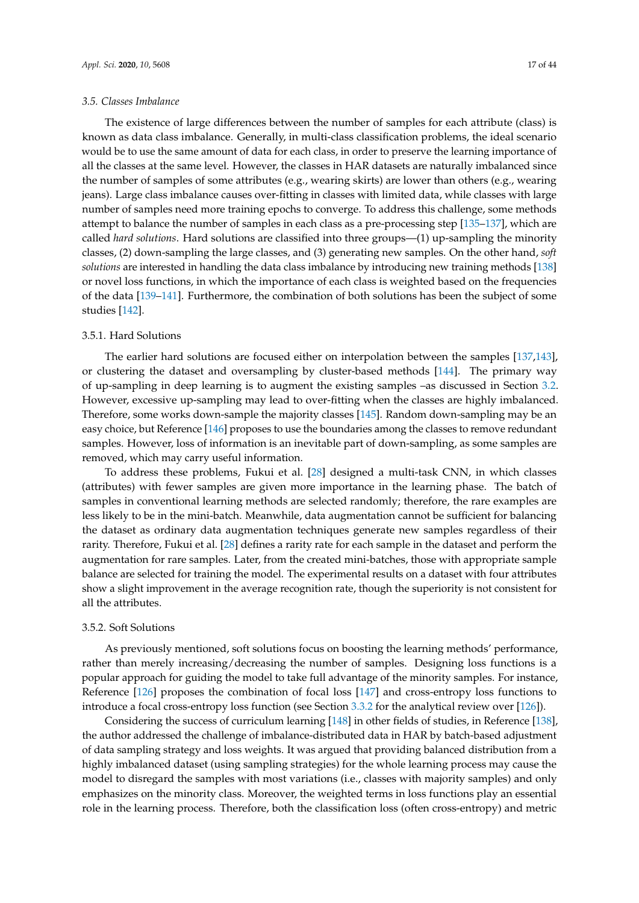#### <span id="page-16-0"></span>*3.5. Classes Imbalance*

The existence of large differences between the number of samples for each attribute (class) is known as data class imbalance. Generally, in multi-class classification problems, the ideal scenario would be to use the same amount of data for each class, in order to preserve the learning importance of all the classes at the same level. However, the classes in HAR datasets are naturally imbalanced since the number of samples of some attributes (e.g., wearing skirts) are lower than others (e.g., wearing jeans). Large class imbalance causes over-fitting in classes with limited data, while classes with large number of samples need more training epochs to converge. To address this challenge, some methods attempt to balance the number of samples in each class as a pre-processing step [\[135](#page-40-8)[–137\]](#page-40-9), which are called *hard solutions*. Hard solutions are classified into three groups—(1) up-sampling the minority classes, (2) down-sampling the large classes, and (3) generating new samples. On the other hand, *soft solutions* are interested in handling the data class imbalance by introducing new training methods [\[138\]](#page-40-10) or novel loss functions, in which the importance of each class is weighted based on the frequencies of the data [\[139](#page-40-11)[–141\]](#page-40-12). Furthermore, the combination of both solutions has been the subject of some studies [\[142\]](#page-40-13).

# 3.5.1. Hard Solutions

The earlier hard solutions are focused either on interpolation between the samples [\[137,](#page-40-9)[143\]](#page-40-14), or clustering the dataset and oversampling by cluster-based methods [\[144\]](#page-40-15). The primary way of up-sampling in deep learning is to augment the existing samples –as discussed in Section [3.2.](#page-11-0) However, excessive up-sampling may lead to over-fitting when the classes are highly imbalanced. Therefore, some works down-sample the majority classes [\[145\]](#page-40-16). Random down-sampling may be an easy choice, but Reference [\[146\]](#page-40-17) proposes to use the boundaries among the classes to remove redundant samples. However, loss of information is an inevitable part of down-sampling, as some samples are removed, which may carry useful information.

To address these problems, Fukui et al. [\[28\]](#page-35-4) designed a multi-task CNN, in which classes (attributes) with fewer samples are given more importance in the learning phase. The batch of samples in conventional learning methods are selected randomly; therefore, the rare examples are less likely to be in the mini-batch. Meanwhile, data augmentation cannot be sufficient for balancing the dataset as ordinary data augmentation techniques generate new samples regardless of their rarity. Therefore, Fukui et al. [\[28\]](#page-35-4) defines a rarity rate for each sample in the dataset and perform the augmentation for rare samples. Later, from the created mini-batches, those with appropriate sample balance are selected for training the model. The experimental results on a dataset with four attributes show a slight improvement in the average recognition rate, though the superiority is not consistent for all the attributes.

# 3.5.2. Soft Solutions

As previously mentioned, soft solutions focus on boosting the learning methods' performance, rather than merely increasing/decreasing the number of samples. Designing loss functions is a popular approach for guiding the model to take full advantage of the minority samples. For instance, Reference [\[126\]](#page-39-19) proposes the combination of focal loss [\[147\]](#page-41-0) and cross-entropy loss functions to introduce a focal cross-entropy loss function (see Section [3.3.2](#page-14-0) for the analytical review over [\[126\]](#page-39-19)).

Considering the success of curriculum learning [\[148\]](#page-41-1) in other fields of studies, in Reference [\[138\]](#page-40-10), the author addressed the challenge of imbalance-distributed data in HAR by batch-based adjustment of data sampling strategy and loss weights. It was argued that providing balanced distribution from a highly imbalanced dataset (using sampling strategies) for the whole learning process may cause the model to disregard the samples with most variations (i.e., classes with majority samples) and only emphasizes on the minority class. Moreover, the weighted terms in loss functions play an essential role in the learning process. Therefore, both the classification loss (often cross-entropy) and metric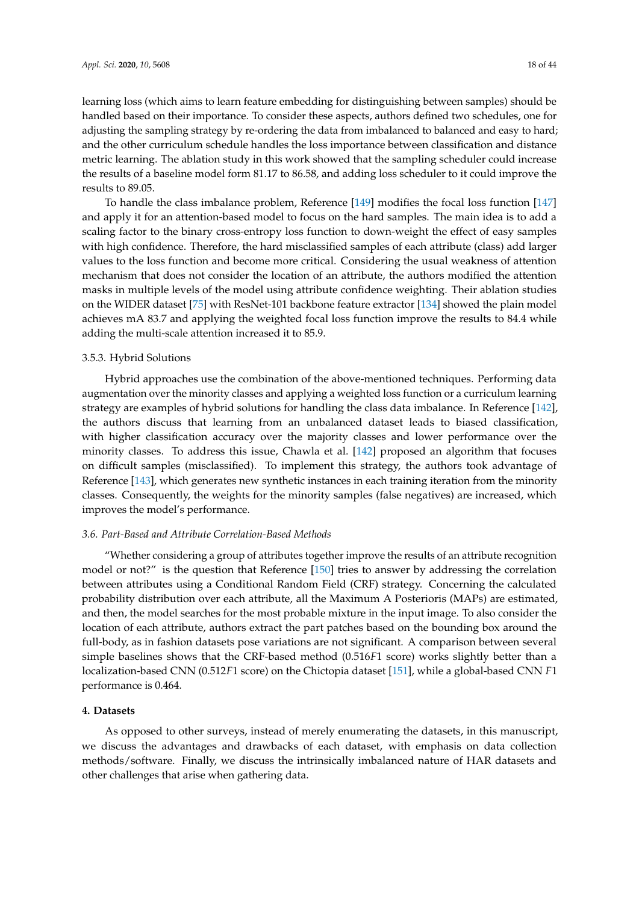learning loss (which aims to learn feature embedding for distinguishing between samples) should be handled based on their importance. To consider these aspects, authors defined two schedules, one for adjusting the sampling strategy by re-ordering the data from imbalanced to balanced and easy to hard; and the other curriculum schedule handles the loss importance between classification and distance metric learning. The ablation study in this work showed that the sampling scheduler could increase the results of a baseline model form 81.17 to 86.58, and adding loss scheduler to it could improve the results to 89.05.

To handle the class imbalance problem, Reference [\[149\]](#page-41-2) modifies the focal loss function [\[147\]](#page-41-0) and apply it for an attention-based model to focus on the hard samples. The main idea is to add a scaling factor to the binary cross-entropy loss function to down-weight the effect of easy samples with high confidence. Therefore, the hard misclassified samples of each attribute (class) add larger values to the loss function and become more critical. Considering the usual weakness of attention mechanism that does not consider the location of an attribute, the authors modified the attention masks in multiple levels of the model using attribute confidence weighting. Their ablation studies on the WIDER dataset [\[75\]](#page-37-8) with ResNet-101 backbone feature extractor [\[134\]](#page-40-7) showed the plain model achieves mA 83.7 and applying the weighted focal loss function improve the results to 84.4 while adding the multi-scale attention increased it to 85.9.

# 3.5.3. Hybrid Solutions

Hybrid approaches use the combination of the above-mentioned techniques. Performing data augmentation over the minority classes and applying a weighted loss function or a curriculum learning strategy are examples of hybrid solutions for handling the class data imbalance. In Reference [\[142\]](#page-40-13), the authors discuss that learning from an unbalanced dataset leads to biased classification, with higher classification accuracy over the majority classes and lower performance over the minority classes. To address this issue, Chawla et al. [\[142\]](#page-40-13) proposed an algorithm that focuses on difficult samples (misclassified). To implement this strategy, the authors took advantage of Reference [\[143\]](#page-40-14), which generates new synthetic instances in each training iteration from the minority classes. Consequently, the weights for the minority samples (false negatives) are increased, which improves the model's performance.

## *3.6. Part-Based and Attribute Correlation-Based Methods*

"Whether considering a group of attributes together improve the results of an attribute recognition model or not?" is the question that Reference [\[150\]](#page-41-3) tries to answer by addressing the correlation between attributes using a Conditional Random Field (CRF) strategy. Concerning the calculated probability distribution over each attribute, all the Maximum A Posterioris (MAPs) are estimated, and then, the model searches for the most probable mixture in the input image. To also consider the location of each attribute, authors extract the part patches based on the bounding box around the full-body, as in fashion datasets pose variations are not significant. A comparison between several simple baselines shows that the CRF-based method (0.516*F*1 score) works slightly better than a localization-based CNN (0.512*F*1 score) on the Chictopia dataset [\[151\]](#page-41-4), while a global-based CNN *F*1 performance is 0.464.

#### <span id="page-17-0"></span>**4. Datasets**

As opposed to other surveys, instead of merely enumerating the datasets, in this manuscript, we discuss the advantages and drawbacks of each dataset, with emphasis on data collection methods/software. Finally, we discuss the intrinsically imbalanced nature of HAR datasets and other challenges that arise when gathering data.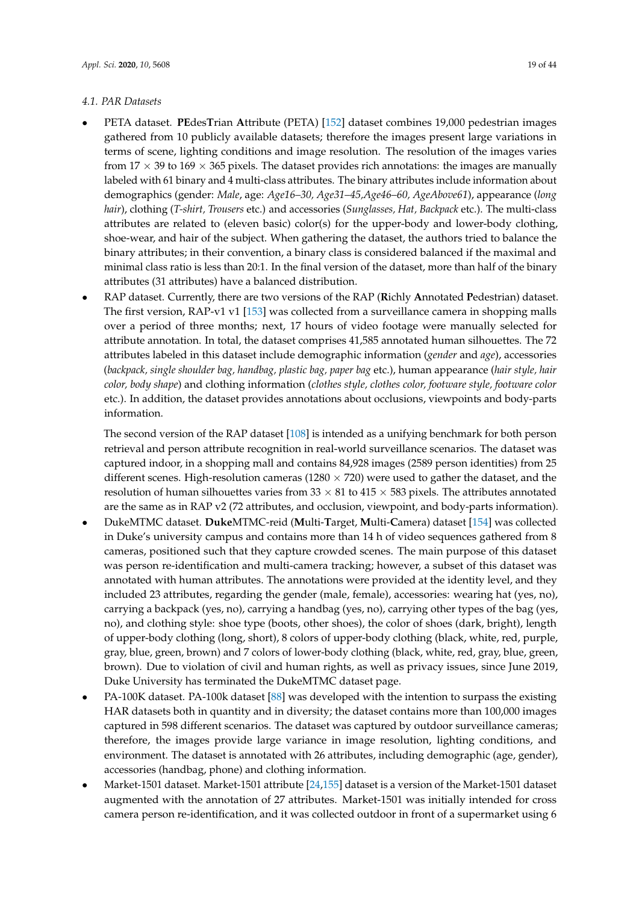## *4.1. PAR Datasets*

- PETA dataset. **PE**des**T**rian **A**ttribute (PETA) [\[152\]](#page-41-5) dataset combines 19,000 pedestrian images gathered from 10 publicly available datasets; therefore the images present large variations in terms of scene, lighting conditions and image resolution. The resolution of the images varies from  $17 \times 39$  to  $169 \times 365$  pixels. The dataset provides rich annotations: the images are manually labeled with 61 binary and 4 multi-class attributes. The binary attributes include information about demographics (gender: *Male*, age: *Age16–30, Age31–45,Age46–60, AgeAbove61*), appearance (*long hair*), clothing (*T-shirt, Trousers* etc.) and accessories (*Sunglasses, Hat, Backpack* etc.). The multi-class attributes are related to (eleven basic) color(s) for the upper-body and lower-body clothing, shoe-wear, and hair of the subject. When gathering the dataset, the authors tried to balance the binary attributes; in their convention, a binary class is considered balanced if the maximal and minimal class ratio is less than 20:1. In the final version of the dataset, more than half of the binary attributes (31 attributes) have a balanced distribution.
- RAP dataset. Currently, there are two versions of the RAP (**R**ichly **A**nnotated **P**edestrian) dataset. The first version, RAP-v1 v1 [\[153\]](#page-41-6) was collected from a surveillance camera in shopping malls over a period of three months; next, 17 hours of video footage were manually selected for attribute annotation. In total, the dataset comprises 41,585 annotated human silhouettes. The 72 attributes labeled in this dataset include demographic information (*gender* and *age*), accessories (*backpack, single shoulder bag, handbag, plastic bag, paper bag* etc.), human appearance (*hair style, hair color, body shape*) and clothing information (*clothes style, clothes color, footware style, footware color* etc.). In addition, the dataset provides annotations about occlusions, viewpoints and body-parts information.

The second version of the RAP dataset [\[108\]](#page-39-1) is intended as a unifying benchmark for both person retrieval and person attribute recognition in real-world surveillance scenarios. The dataset was captured indoor, in a shopping mall and contains 84,928 images (2589 person identities) from 25 different scenes. High-resolution cameras ( $1280 \times 720$ ) were used to gather the dataset, and the resolution of human silhouettes varies from  $33 \times 81$  to  $415 \times 583$  pixels. The attributes annotated are the same as in RAP v2 (72 attributes, and occlusion, viewpoint, and body-parts information).

- DukeMTMC dataset. **Duke**MTMC-reid (**M**ulti-**T**arget, **M**ulti-**C**amera) dataset [\[154\]](#page-41-7) was collected in Duke's university campus and contains more than 14 h of video sequences gathered from 8 cameras, positioned such that they capture crowded scenes. The main purpose of this dataset was person re-identification and multi-camera tracking; however, a subset of this dataset was annotated with human attributes. The annotations were provided at the identity level, and they included 23 attributes, regarding the gender (male, female), accessories: wearing hat (yes, no), carrying a backpack (yes, no), carrying a handbag (yes, no), carrying other types of the bag (yes, no), and clothing style: shoe type (boots, other shoes), the color of shoes (dark, bright), length of upper-body clothing (long, short), 8 colors of upper-body clothing (black, white, red, purple, gray, blue, green, brown) and 7 colors of lower-body clothing (black, white, red, gray, blue, green, brown). Due to violation of civil and human rights, as well as privacy issues, since June 2019, Duke University has terminated the DukeMTMC dataset page.
- PA-100K dataset. PA-100k dataset [\[88\]](#page-38-1) was developed with the intention to surpass the existing HAR datasets both in quantity and in diversity; the dataset contains more than 100,000 images captured in 598 different scenarios. The dataset was captured by outdoor surveillance cameras; therefore, the images provide large variance in image resolution, lighting conditions, and environment. The dataset is annotated with 26 attributes, including demographic (age, gender), accessories (handbag, phone) and clothing information.
- Market-1501 dataset. Market-1501 attribute [\[24](#page-35-0)[,155\]](#page-41-8) dataset is a version of the Market-1501 dataset augmented with the annotation of 27 attributes. Market-1501 was initially intended for cross camera person re-identification, and it was collected outdoor in front of a supermarket using 6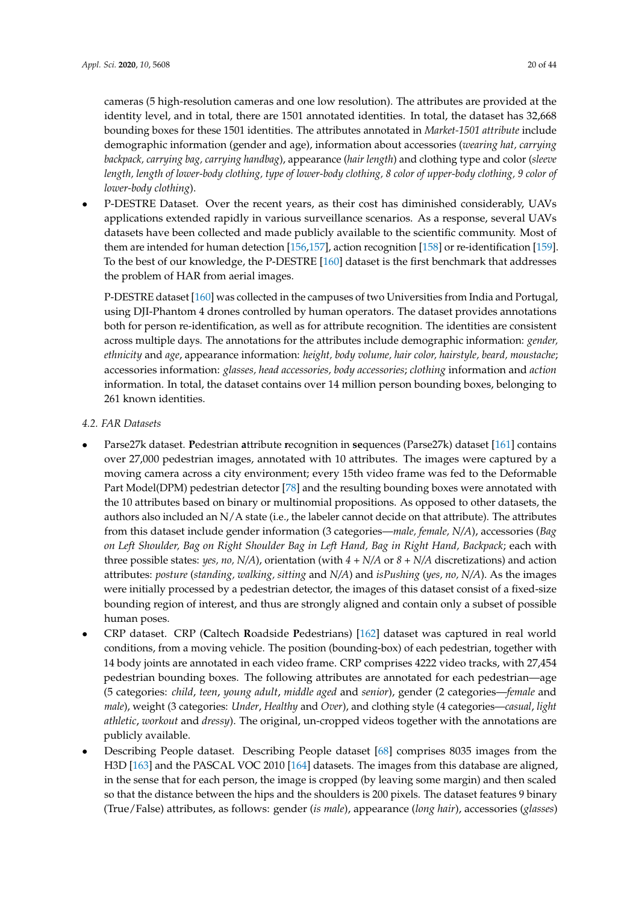cameras (5 high-resolution cameras and one low resolution). The attributes are provided at the identity level, and in total, there are 1501 annotated identities. In total, the dataset has 32,668 bounding boxes for these 1501 identities. The attributes annotated in *Market-1501 attribute* include demographic information (gender and age), information about accessories (*wearing hat, carrying backpack, carrying bag, carrying handbag*), appearance (*hair length*) and clothing type and color (*sleeve length, length of lower-body clothing, type of lower-body clothing, 8 color of upper-body clothing, 9 color of lower-body clothing*).

• P-DESTRE Dataset. Over the recent years, as their cost has diminished considerably, UAVs applications extended rapidly in various surveillance scenarios. As a response, several UAVs datasets have been collected and made publicly available to the scientific community. Most of them are intended for human detection [\[156,](#page-41-9)[157\]](#page-41-10), action recognition [\[158\]](#page-41-11) or re-identification [\[159\]](#page-41-12). To the best of our knowledge, the P-DESTRE [\[160\]](#page-41-13) dataset is the first benchmark that addresses the problem of HAR from aerial images.

P-DESTRE dataset [\[160\]](#page-41-13) was collected in the campuses of two Universities from India and Portugal, using DJI-Phantom 4 drones controlled by human operators. The dataset provides annotations both for person re-identification, as well as for attribute recognition. The identities are consistent across multiple days. The annotations for the attributes include demographic information: *gender, ethnicity* and *age*, appearance information: *height, body volume, hair color, hairstyle, beard, moustache*; accessories information: *glasses, head accessories, body accessories*; *clothing* information and *action* information. In total, the dataset contains over 14 million person bounding boxes, belonging to 261 known identities.

- *4.2. FAR Datasets*
- Parse27k dataset. **P**edestrian **a**ttribute **r**ecognition in **se**quences (Parse27k) dataset [\[161\]](#page-41-14) contains over 27,000 pedestrian images, annotated with 10 attributes. The images were captured by a moving camera across a city environment; every 15th video frame was fed to the Deformable Part Model(DPM) pedestrian detector [\[78\]](#page-37-11) and the resulting bounding boxes were annotated with the 10 attributes based on binary or multinomial propositions. As opposed to other datasets, the authors also included an  $N/A$  state (i.e., the labeler cannot decide on that attribute). The attributes from this dataset include gender information (3 categories—*male, female, N/A*), accessories (*Bag on Left Shoulder, Bag on Right Shoulder Bag in Left Hand, Bag in Right Hand, Backpack*; each with three possible states: *yes, no, N/A*), orientation (with *4 + N/A* or *8 + N/A* discretizations) and action attributes: *posture* (*standing, walking, sitting* and *N/A*) and *isPushing* (*yes, no, N/A*). As the images were initially processed by a pedestrian detector, the images of this dataset consist of a fixed-size bounding region of interest, and thus are strongly aligned and contain only a subset of possible human poses.
- CRP dataset. CRP (**C**altech **R**oadside **P**edestrians) [\[162\]](#page-41-15) dataset was captured in real world conditions, from a moving vehicle. The position (bounding-box) of each pedestrian, together with 14 body joints are annotated in each video frame. CRP comprises 4222 video tracks, with 27,454 pedestrian bounding boxes. The following attributes are annotated for each pedestrian—age (5 categories: *child*, *teen*, *young adult*, *middle aged* and *senior*), gender (2 categories—*female* and *male*), weight (3 categories: *Under*, *Healthy* and *Over*), and clothing style (4 categories—*casual*, *light athletic*, *workout* and *dressy*). The original, un-cropped videos together with the annotations are publicly available.
- Describing People dataset. Describing People dataset [\[68\]](#page-37-1) comprises 8035 images from the H3D [\[163\]](#page-41-16) and the PASCAL VOC 2010 [\[164\]](#page-41-17) datasets. The images from this database are aligned, in the sense that for each person, the image is cropped (by leaving some margin) and then scaled so that the distance between the hips and the shoulders is 200 pixels. The dataset features 9 binary (True/False) attributes, as follows: gender (*is male*), appearance (*long hair*), accessories (*glasses*)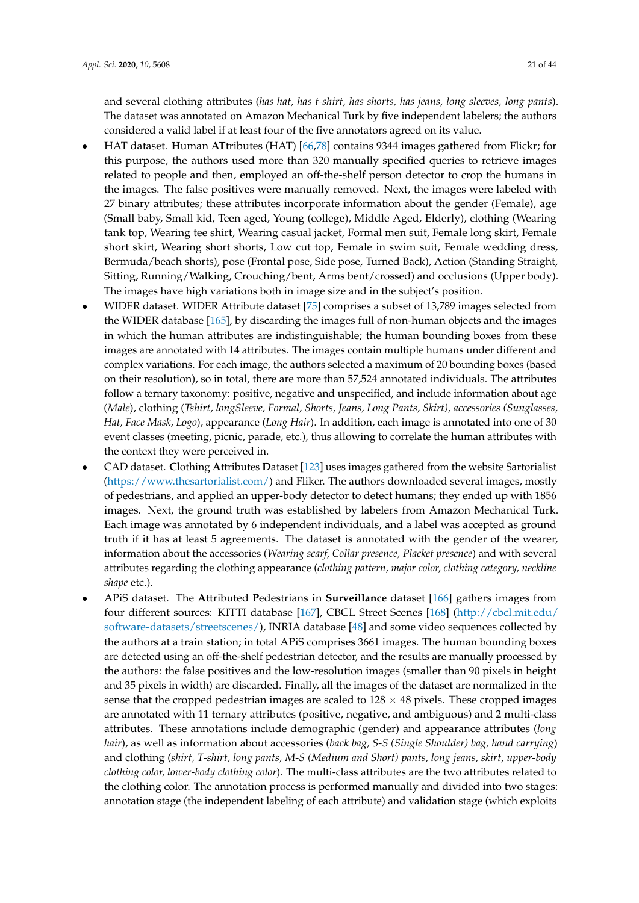and several clothing attributes (*has hat, has t-shirt, has shorts, has jeans, long sleeves, long pants*). The dataset was annotated on Amazon Mechanical Turk by five independent labelers; the authors considered a valid label if at least four of the five annotators agreed on its value.

- HAT dataset. **H**uman **AT**tributes (HAT) [\[66,](#page-36-16)[78\]](#page-37-11) contains 9344 images gathered from Flickr; for this purpose, the authors used more than 320 manually specified queries to retrieve images related to people and then, employed an off-the-shelf person detector to crop the humans in the images. The false positives were manually removed. Next, the images were labeled with 27 binary attributes; these attributes incorporate information about the gender (Female), age (Small baby, Small kid, Teen aged, Young (college), Middle Aged, Elderly), clothing (Wearing tank top, Wearing tee shirt, Wearing casual jacket, Formal men suit, Female long skirt, Female short skirt, Wearing short shorts, Low cut top, Female in swim suit, Female wedding dress, Bermuda/beach shorts), pose (Frontal pose, Side pose, Turned Back), Action (Standing Straight, Sitting, Running/Walking, Crouching/bent, Arms bent/crossed) and occlusions (Upper body). The images have high variations both in image size and in the subject's position.
- WIDER dataset. WIDER Attribute dataset [\[75\]](#page-37-8) comprises a subset of 13,789 images selected from the WIDER database [\[165\]](#page-41-18), by discarding the images full of non-human objects and the images in which the human attributes are indistinguishable; the human bounding boxes from these images are annotated with 14 attributes. The images contain multiple humans under different and complex variations. For each image, the authors selected a maximum of 20 bounding boxes (based on their resolution), so in total, there are more than 57,524 annotated individuals. The attributes follow a ternary taxonomy: positive, negative and unspecified, and include information about age (*Male*), clothing (*Tshirt, longSleeve, Formal, Shorts, Jeans, Long Pants, Skirt), accessories (Sunglasses, Hat, Face Mask, Logo*), appearance (*Long Hair*). In addition, each image is annotated into one of 30 event classes (meeting, picnic, parade, etc.), thus allowing to correlate the human attributes with the context they were perceived in.
- CAD dataset. **C**lothing **A**ttributes **D**ataset [\[123\]](#page-39-16) uses images gathered from the website Sartorialist [\(https://www.thesartorialist.com/\)](https://www.thesartorialist.com/) and Flikcr. The authors downloaded several images, mostly of pedestrians, and applied an upper-body detector to detect humans; they ended up with 1856 images. Next, the ground truth was established by labelers from Amazon Mechanical Turk. Each image was annotated by 6 independent individuals, and a label was accepted as ground truth if it has at least 5 agreements. The dataset is annotated with the gender of the wearer, information about the accessories (*Wearing scarf, Collar presence, Placket presence*) and with several attributes regarding the clothing appearance (*clothing pattern, major color, clothing category, neckline shape* etc.).
- APiS dataset. The **A**ttributed **P**edestrians **i**n **Surveillance** dataset [\[166\]](#page-41-19) gathers images from four different sources: KITTI database [\[167\]](#page-41-20), CBCL Street Scenes [\[168\]](#page-42-0) [\(http://cbcl.mit.edu/](http://cbcl.mit.edu/software-datasets/streetscenes/) [software-datasets/streetscenes/\)](http://cbcl.mit.edu/software-datasets/streetscenes/), INRIA database [\[48\]](#page-36-17) and some video sequences collected by the authors at a train station; in total APiS comprises 3661 images. The human bounding boxes are detected using an off-the-shelf pedestrian detector, and the results are manually processed by the authors: the false positives and the low-resolution images (smaller than 90 pixels in height and 35 pixels in width) are discarded. Finally, all the images of the dataset are normalized in the sense that the cropped pedestrian images are scaled to  $128 \times 48$  pixels. These cropped images are annotated with 11 ternary attributes (positive, negative, and ambiguous) and 2 multi-class attributes. These annotations include demographic (gender) and appearance attributes (*long hair*), as well as information about accessories (*back bag, S-S (Single Shoulder) bag, hand carrying*) and clothing (*shirt, T-shirt, long pants, M-S (Medium and Short) pants, long jeans, skirt, upper-body clothing color, lower-body clothing color*). The multi-class attributes are the two attributes related to the clothing color. The annotation process is performed manually and divided into two stages: annotation stage (the independent labeling of each attribute) and validation stage (which exploits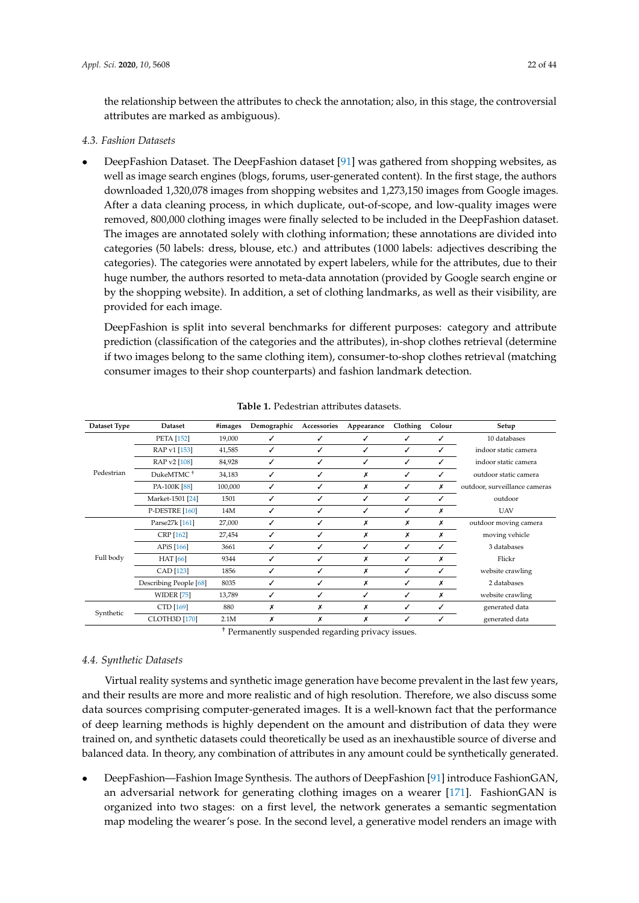the relationship between the attributes to check the annotation; also, in this stage, the controversial attributes are marked as ambiguous).

# *4.3. Fashion Datasets*

• DeepFashion Dataset. The DeepFashion dataset [\[91\]](#page-38-4) was gathered from shopping websites, as well as image search engines (blogs, forums, user-generated content). In the first stage, the authors downloaded 1,320,078 images from shopping websites and 1,273,150 images from Google images. After a data cleaning process, in which duplicate, out-of-scope, and low-quality images were removed, 800,000 clothing images were finally selected to be included in the DeepFashion dataset. The images are annotated solely with clothing information; these annotations are divided into categories (50 labels: dress, blouse, etc.) and attributes (1000 labels: adjectives describing the categories). The categories were annotated by expert labelers, while for the attributes, due to their huge number, the authors resorted to meta-data annotation (provided by Google search engine or by the shopping website). In addition, a set of clothing landmarks, as well as their visibility, are provided for each image.

DeepFashion is split into several benchmarks for different purposes: category and attribute prediction (classification of the categories and the attributes), in-shop clothes retrieval (determine if two images belong to the same clothing item), consumer-to-shop clothes retrieval (matching consumer images to their shop counterparts) and fashion landmark detection.

<span id="page-21-0"></span>

| Dataset Type | Dataset                     | #images | Demographic | Accessories | Appearance | Clothing | Colour | Setup                         |
|--------------|-----------------------------|---------|-------------|-------------|------------|----------|--------|-------------------------------|
|              | <b>PETA</b> [152]           | 19,000  |             | ℐ           | J          |          |        | 10 databases                  |
|              | RAP v1 [153]                | 41,585  | ✓           | ✓           | J          | ✓        | ✓      | indoor static camera          |
|              | RAP v2 [108]                | 84,928  | ℐ           | ✓           | ✓          | ✓        | ✓      | indoor static camera          |
| Pedestrian   | DukeMTMC <sup>+</sup>       | 34,183  | ✓           | ✓           | х          | ✓        |        | outdoor static camera         |
|              | PA-100K [88]                | 100,000 | ✓           | ✓           | х          | ✓        | х      | outdoor, surveillance cameras |
|              | Market-1501 <sup>[24]</sup> | 1501    | ✓           | ✓           | ✓          | ✓        | ✓      | outdoor                       |
|              | P-DESTRE [160]              | 14M     | ✓           | ✓           | ✓          | ✓        | х      | <b>UAV</b>                    |
|              | Parse27k [161]              | 27,000  | ✓           | ✓           | х          | х        | х      | outdoor moving camera         |
|              | CRP [162]                   | 27,454  | ℐ           | ✓           | х          | x        | х      | moving vehicle                |
|              | APiS [166]                  | 3661    | ✓           | ✓           | ✓          | ✓        | ✓      | 3 databases                   |
| Full body    | <b>HAT</b> [66]             | 9344    | ✓           | ✓           | х          | ✓        | х      | Flickr                        |
|              | CAD [123]                   | 1856    | ✓           | ✓           | х          | ✓        | ✓      | website crawling              |
|              | Describing People [68]      | 8035    | ✓           | ✓           | х          | ✓        | х      | 2 databases                   |
|              | <b>WIDER</b> [75]           | 13,789  | ✓           | ✓           | ✓          | ✓        | х      | website crawling              |
|              | CTD [169]                   | 880     | х           | Х           | х          | ℐ        | ✓      | generated data                |
| Synthetic    | <b>CLOTH3D</b> [170]        | 2.1M    | x           | Х           | x          |          |        | generated data                |

**Table 1.** Pedestrian attributes datasets.

† Permanently suspended regarding privacy issues.

# *4.4. Synthetic Datasets*

Virtual reality systems and synthetic image generation have become prevalent in the last few years, and their results are more and more realistic and of high resolution. Therefore, we also discuss some data sources comprising computer-generated images. It is a well-known fact that the performance of deep learning methods is highly dependent on the amount and distribution of data they were trained on, and synthetic datasets could theoretically be used as an inexhaustible source of diverse and balanced data. In theory, any combination of attributes in any amount could be synthetically generated.

• DeepFashion—Fashion Image Synthesis. The authors of DeepFashion [\[91\]](#page-38-4) introduce FashionGAN, an adversarial network for generating clothing images on a wearer [\[171\]](#page-42-3). FashionGAN is organized into two stages: on a first level, the network generates a semantic segmentation map modeling the wearer's pose. In the second level, a generative model renders an image with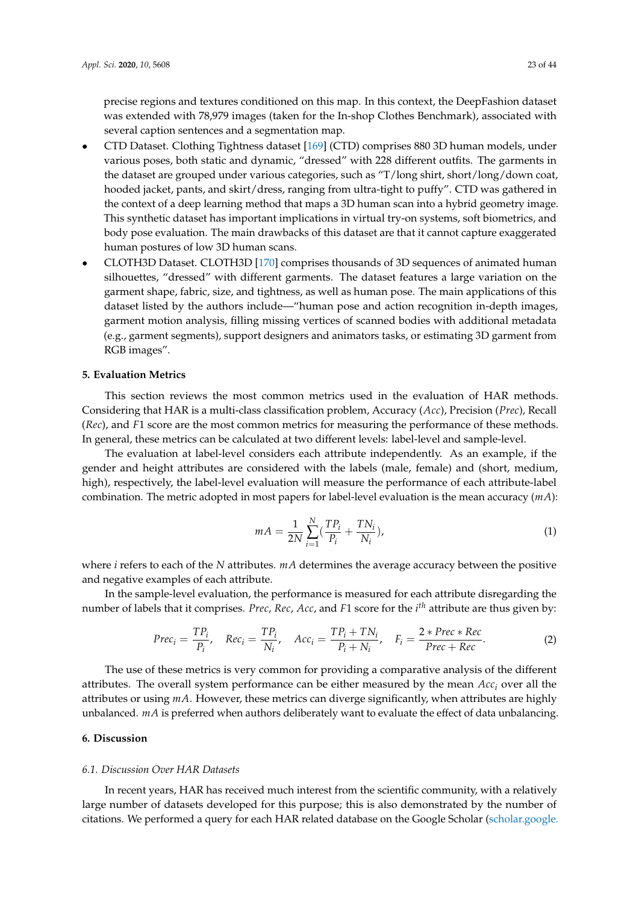precise regions and textures conditioned on this map. In this context, the DeepFashion dataset was extended with 78,979 images (taken for the In-shop Clothes Benchmark), associated with several caption sentences and a segmentation map.

- CTD Dataset. Clothing Tightness dataset [\[169\]](#page-42-1) (CTD) comprises 880 3D human models, under various poses, both static and dynamic, "dressed" with 228 different outfits. The garments in the dataset are grouped under various categories, such as "T/long shirt, short/long/down coat, hooded jacket, pants, and skirt/dress, ranging from ultra-tight to puffy". CTD was gathered in the context of a deep learning method that maps a 3D human scan into a hybrid geometry image. This synthetic dataset has important implications in virtual try-on systems, soft biometrics, and body pose evaluation. The main drawbacks of this dataset are that it cannot capture exaggerated human postures of low 3D human scans.
- CLOTH3D Dataset. CLOTH3D [\[170\]](#page-42-2) comprises thousands of 3D sequences of animated human silhouettes, "dressed" with different garments. The dataset features a large variation on the garment shape, fabric, size, and tightness, as well as human pose. The main applications of this dataset listed by the authors include—"human pose and action recognition in-depth images, garment motion analysis, filling missing vertices of scanned bodies with additional metadata (e.g., garment segments), support designers and animators tasks, or estimating 3D garment from RGB images".

## <span id="page-22-0"></span>**5. Evaluation Metrics**

This section reviews the most common metrics used in the evaluation of HAR methods. Considering that HAR is a multi-class classification problem, Accuracy (*Acc*), Precision (*Prec*), Recall (*Rec*), and *F*1 score are the most common metrics for measuring the performance of these methods. In general, these metrics can be calculated at two different levels: label-level and sample-level.

The evaluation at label-level considers each attribute independently. As an example, if the gender and height attributes are considered with the labels (male, female) and (short, medium, high), respectively, the label-level evaluation will measure the performance of each attribute-label combination. The metric adopted in most papers for label-level evaluation is the mean accuracy (*mA*):

$$
mA = \frac{1}{2N} \sum_{i=1}^{N} \left( \frac{TP_i}{P_i} + \frac{TN_i}{N_i} \right),
$$
\n(1)

where *i* refers to each of the *N* attributes. *mA* determines the average accuracy between the positive and negative examples of each attribute.

In the sample-level evaluation, the performance is measured for each attribute disregarding the number of labels that it comprises. *Prec*, *Rec*, *Acc*, and *F*1 score for the *i th* attribute are thus given by:

$$
Prec_i = \frac{TP_i}{P_i}, \quad Rec_i = \frac{TP_i}{N_i}, \quad Acc_i = \frac{TP_i + TN_i}{P_i + N_i}, \quad F_i = \frac{2 * Prec * Rec}{Prec + Rec}.
$$
 (2)

The use of these metrics is very common for providing a comparative analysis of the different attributes. The overall system performance can be either measured by the mean *Acc<sup>i</sup>* over all the attributes or using *mA*. However, these metrics can diverge significantly, when attributes are highly unbalanced. *mA* is preferred when authors deliberately want to evaluate the effect of data unbalancing.

# <span id="page-22-1"></span>**6. Discussion**

#### *6.1. Discussion Over HAR Datasets*

In recent years, HAR has received much interest from the scientific community, with a relatively large number of datasets developed for this purpose; this is also demonstrated by the number of citations. We performed a query for each HAR related database on the Google Scholar [\(scholar.google.](scholar.google.com)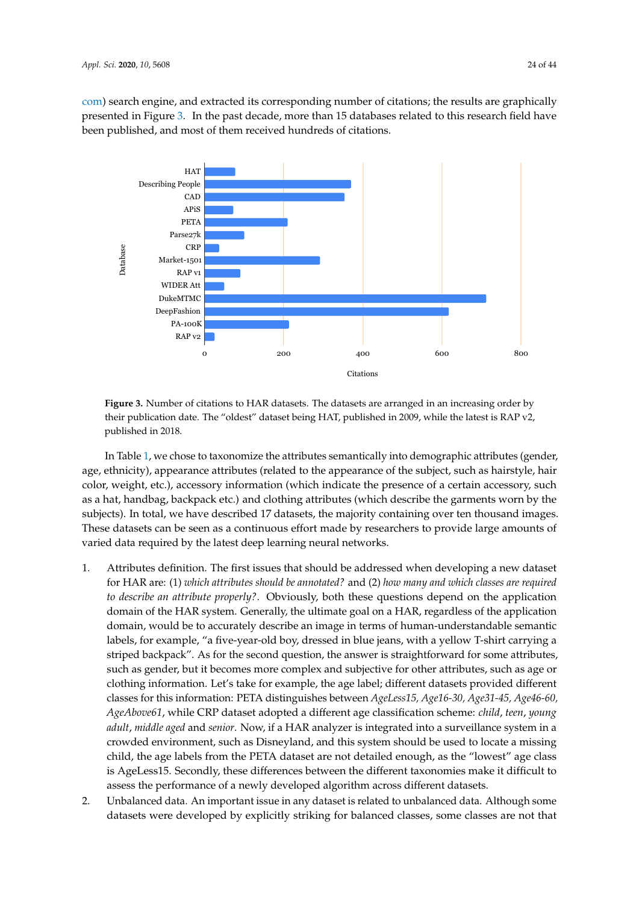[com\)](scholar.google.com) search engine, and extracted its corresponding number of citations; the results are graphically presented in Figure [3.](#page-23-0) In the past decade, more than 15 databases related to this research field have been published, and most of them received hundreds of citations.

<span id="page-23-0"></span>

**Figure 3.** Number of citations to HAR datasets. The datasets are arranged in an increasing order by their publication date. The "oldest" dataset being HAT, published in 2009, while the latest is RAP v2, published in 2018.

In Table [1,](#page-21-0) we chose to taxonomize the attributes semantically into demographic attributes (gender, age, ethnicity), appearance attributes (related to the appearance of the subject, such as hairstyle, hair color, weight, etc.), accessory information (which indicate the presence of a certain accessory, such as a hat, handbag, backpack etc.) and clothing attributes (which describe the garments worn by the subjects). In total, we have described 17 datasets, the majority containing over ten thousand images. These datasets can be seen as a continuous effort made by researchers to provide large amounts of varied data required by the latest deep learning neural networks.

- 1. Attributes definition. The first issues that should be addressed when developing a new dataset for HAR are: (1) *which attributes should be annotated?* and (2) *how many and which classes are required to describe an attribute properly?*. Obviously, both these questions depend on the application domain of the HAR system. Generally, the ultimate goal on a HAR, regardless of the application domain, would be to accurately describe an image in terms of human-understandable semantic labels, for example, "a five-year-old boy, dressed in blue jeans, with a yellow T-shirt carrying a striped backpack". As for the second question, the answer is straightforward for some attributes, such as gender, but it becomes more complex and subjective for other attributes, such as age or clothing information. Let's take for example, the age label; different datasets provided different classes for this information: PETA distinguishes between *AgeLess15, Age16-30, Age31-45, Age46-60, AgeAbove61*, while CRP dataset adopted a different age classification scheme: *child*, *teen*, *young adult*, *middle aged* and *senior*. Now, if a HAR analyzer is integrated into a surveillance system in a crowded environment, such as Disneyland, and this system should be used to locate a missing child, the age labels from the PETA dataset are not detailed enough, as the "lowest" age class is AgeLess15. Secondly, these differences between the different taxonomies make it difficult to assess the performance of a newly developed algorithm across different datasets.
- 2. Unbalanced data. An important issue in any dataset is related to unbalanced data. Although some datasets were developed by explicitly striking for balanced classes, some classes are not that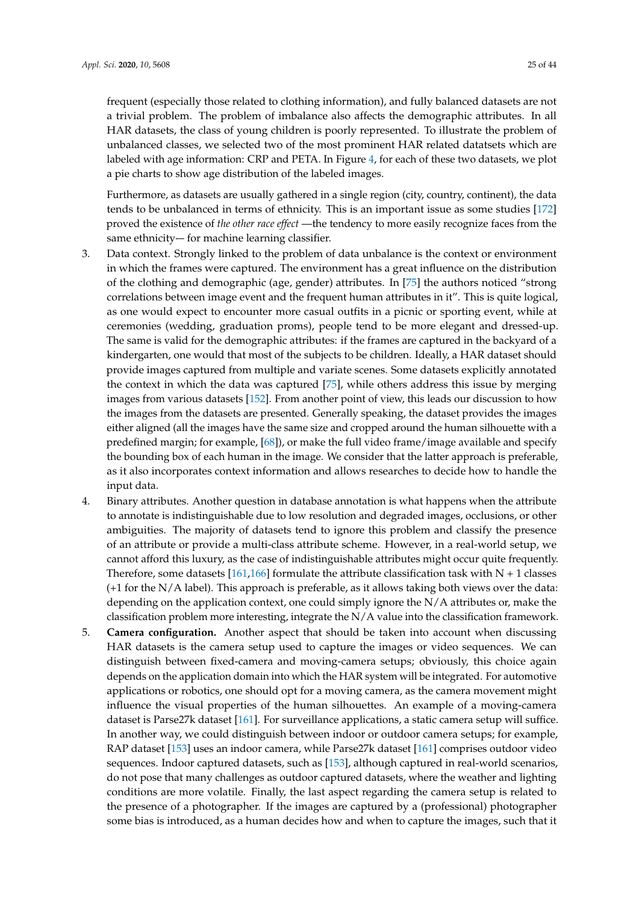frequent (especially those related to clothing information), and fully balanced datasets are not a trivial problem. The problem of imbalance also affects the demographic attributes. In all HAR datasets, the class of young children is poorly represented. To illustrate the problem of unbalanced classes, we selected two of the most prominent HAR related datatsets which are labeled with age information: CRP and PETA. In Figure [4,](#page-26-0) for each of these two datasets, we plot a pie charts to show age distribution of the labeled images.

Furthermore, as datasets are usually gathered in a single region (city, country, continent), the data tends to be unbalanced in terms of ethnicity. This is an important issue as some studies [\[172\]](#page-42-4) proved the existence of *the other race effect* —the tendency to more easily recognize faces from the same ethnicity-– for machine learning classifier.

- 3. Data context. Strongly linked to the problem of data unbalance is the context or environment in which the frames were captured. The environment has a great influence on the distribution of the clothing and demographic (age, gender) attributes. In [\[75\]](#page-37-8) the authors noticed "strong correlations between image event and the frequent human attributes in it". This is quite logical, as one would expect to encounter more casual outfits in a picnic or sporting event, while at ceremonies (wedding, graduation proms), people tend to be more elegant and dressed-up. The same is valid for the demographic attributes: if the frames are captured in the backyard of a kindergarten, one would that most of the subjects to be children. Ideally, a HAR dataset should provide images captured from multiple and variate scenes. Some datasets explicitly annotated the context in which the data was captured [\[75\]](#page-37-8), while others address this issue by merging images from various datasets [\[152\]](#page-41-5). From another point of view, this leads our discussion to how the images from the datasets are presented. Generally speaking, the dataset provides the images either aligned (all the images have the same size and cropped around the human silhouette with a predefined margin; for example, [\[68\]](#page-37-1)), or make the full video frame/image available and specify the bounding box of each human in the image. We consider that the latter approach is preferable, as it also incorporates context information and allows researches to decide how to handle the input data.
- 4. Binary attributes. Another question in database annotation is what happens when the attribute to annotate is indistinguishable due to low resolution and degraded images, occlusions, or other ambiguities. The majority of datasets tend to ignore this problem and classify the presence of an attribute or provide a multi-class attribute scheme. However, in a real-world setup, we cannot afford this luxury, as the case of indistinguishable attributes might occur quite frequently. Therefore, some datasets [\[161,](#page-41-14)[166\]](#page-41-19) formulate the attribute classification task with  $N + 1$  classes  $(+1$  for the N/A label). This approach is preferable, as it allows taking both views over the data: depending on the application context, one could simply ignore the N/A attributes or, make the classification problem more interesting, integrate the N/A value into the classification framework.
- 5. **Camera configuration.** Another aspect that should be taken into account when discussing HAR datasets is the camera setup used to capture the images or video sequences. We can distinguish between fixed-camera and moving-camera setups; obviously, this choice again depends on the application domain into which the HAR system will be integrated. For automotive applications or robotics, one should opt for a moving camera, as the camera movement might influence the visual properties of the human silhouettes. An example of a moving-camera dataset is Parse27k dataset [\[161\]](#page-41-14). For surveillance applications, a static camera setup will suffice. In another way, we could distinguish between indoor or outdoor camera setups; for example, RAP dataset [\[153\]](#page-41-6) uses an indoor camera, while Parse27k dataset [\[161\]](#page-41-14) comprises outdoor video sequences. Indoor captured datasets, such as [\[153\]](#page-41-6), although captured in real-world scenarios, do not pose that many challenges as outdoor captured datasets, where the weather and lighting conditions are more volatile. Finally, the last aspect regarding the camera setup is related to the presence of a photographer. If the images are captured by a (professional) photographer some bias is introduced, as a human decides how and when to capture the images, such that it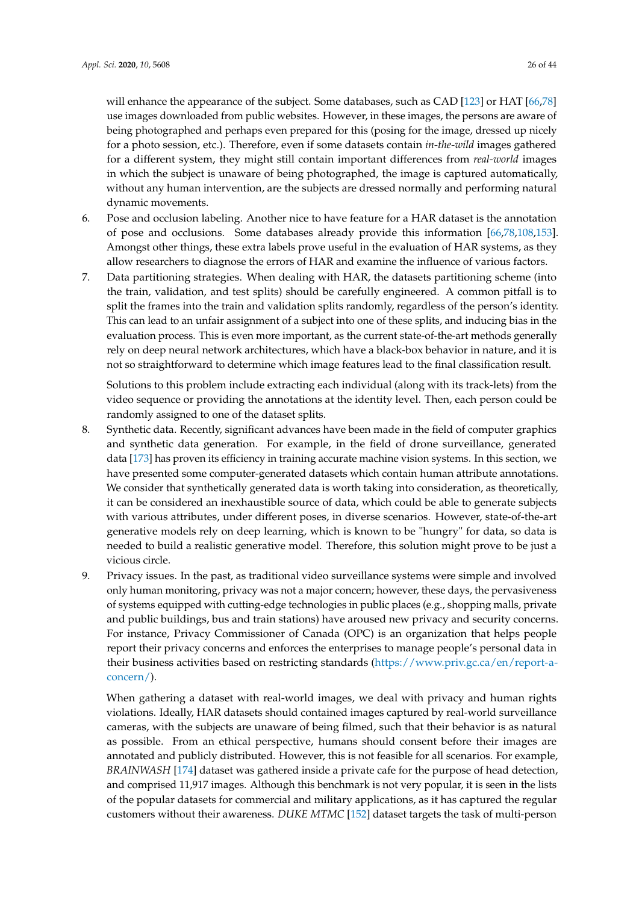will enhance the appearance of the subject. Some databases, such as CAD [\[123\]](#page-39-16) or HAT [\[66](#page-36-16)[,78\]](#page-37-11) use images downloaded from public websites. However, in these images, the persons are aware of being photographed and perhaps even prepared for this (posing for the image, dressed up nicely for a photo session, etc.). Therefore, even if some datasets contain *in-the-wild* images gathered for a different system, they might still contain important differences from *real-world* images in which the subject is unaware of being photographed, the image is captured automatically, without any human intervention, are the subjects are dressed normally and performing natural dynamic movements.

- 6. Pose and occlusion labeling. Another nice to have feature for a HAR dataset is the annotation of pose and occlusions. Some databases already provide this information [\[66,](#page-36-16)[78,](#page-37-11)[108,](#page-39-1)[153\]](#page-41-6). Amongst other things, these extra labels prove useful in the evaluation of HAR systems, as they allow researchers to diagnose the errors of HAR and examine the influence of various factors.
- 7. Data partitioning strategies. When dealing with HAR, the datasets partitioning scheme (into the train, validation, and test splits) should be carefully engineered. A common pitfall is to split the frames into the train and validation splits randomly, regardless of the person's identity. This can lead to an unfair assignment of a subject into one of these splits, and inducing bias in the evaluation process. This is even more important, as the current state-of-the-art methods generally rely on deep neural network architectures, which have a black-box behavior in nature, and it is not so straightforward to determine which image features lead to the final classification result.

Solutions to this problem include extracting each individual (along with its track-lets) from the video sequence or providing the annotations at the identity level. Then, each person could be randomly assigned to one of the dataset splits.

- 8. Synthetic data. Recently, significant advances have been made in the field of computer graphics and synthetic data generation. For example, in the field of drone surveillance, generated data [\[173\]](#page-42-5) has proven its efficiency in training accurate machine vision systems. In this section, we have presented some computer-generated datasets which contain human attribute annotations. We consider that synthetically generated data is worth taking into consideration, as theoretically, it can be considered an inexhaustible source of data, which could be able to generate subjects with various attributes, under different poses, in diverse scenarios. However, state-of-the-art generative models rely on deep learning, which is known to be "hungry" for data, so data is needed to build a realistic generative model. Therefore, this solution might prove to be just a vicious circle.
- 9. Privacy issues. In the past, as traditional video surveillance systems were simple and involved only human monitoring, privacy was not a major concern; however, these days, the pervasiveness of systems equipped with cutting-edge technologies in public places (e.g., shopping malls, private and public buildings, bus and train stations) have aroused new privacy and security concerns. For instance, Privacy Commissioner of Canada (OPC) is an organization that helps people report their privacy concerns and enforces the enterprises to manage people's personal data in their business activities based on restricting standards [\(https://www.priv.gc.ca/en/report-a](https://www.priv.gc.ca/en/report-a-concern/)[concern/\)](https://www.priv.gc.ca/en/report-a-concern/).

When gathering a dataset with real-world images, we deal with privacy and human rights violations. Ideally, HAR datasets should contained images captured by real-world surveillance cameras, with the subjects are unaware of being filmed, such that their behavior is as natural as possible. From an ethical perspective, humans should consent before their images are annotated and publicly distributed. However, this is not feasible for all scenarios. For example, *BRAINWASH* [\[174\]](#page-42-6) dataset was gathered inside a private cafe for the purpose of head detection, and comprised 11,917 images. Although this benchmark is not very popular, it is seen in the lists of the popular datasets for commercial and military applications, as it has captured the regular customers without their awareness. *DUKE MTMC* [\[152\]](#page-41-5) dataset targets the task of multi-person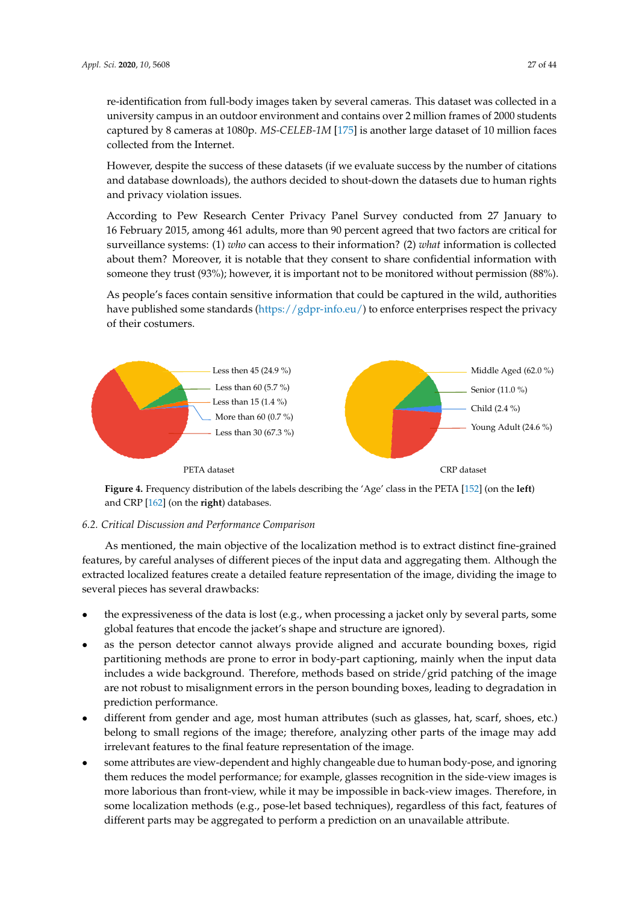re-identification from full-body images taken by several cameras. This dataset was collected in a university campus in an outdoor environment and contains over 2 million frames of 2000 students captured by 8 cameras at 1080p. *MS-CELEB-1M* [\[175\]](#page-42-7) is another large dataset of 10 million faces collected from the Internet.

However, despite the success of these datasets (if we evaluate success by the number of citations and database downloads), the authors decided to shout-down the datasets due to human rights and privacy violation issues.

According to Pew Research Center Privacy Panel Survey conducted from 27 January to 16 February 2015, among 461 adults, more than 90 percent agreed that two factors are critical for surveillance systems: (1) *who* can access to their information? (2) *what* information is collected about them? Moreover, it is notable that they consent to share confidential information with someone they trust (93%); however, it is important not to be monitored without permission (88%).

As people's faces contain sensitive information that could be captured in the wild, authorities have published some standards [\(https://gdpr-info.eu/\)](https://gdpr-info.eu/) to enforce enterprises respect the privacy of their costumers.

<span id="page-26-0"></span>

**Figure 4.** Frequency distribution of the labels describing the 'Age' class in the PETA [\[152\]](#page-41-5) (on the **left**) and CRP [\[162\]](#page-41-15) (on the **right**) databases.

# <span id="page-26-1"></span>*6.2. Critical Discussion and Performance Comparison*

As mentioned, the main objective of the localization method is to extract distinct fine-grained features, by careful analyses of different pieces of the input data and aggregating them. Although the extracted localized features create a detailed feature representation of the image, dividing the image to several pieces has several drawbacks:

- the expressiveness of the data is lost (e.g., when processing a jacket only by several parts, some global features that encode the jacket's shape and structure are ignored).
- as the person detector cannot always provide aligned and accurate bounding boxes, rigid partitioning methods are prone to error in body-part captioning, mainly when the input data includes a wide background. Therefore, methods based on stride/grid patching of the image are not robust to misalignment errors in the person bounding boxes, leading to degradation in prediction performance.
- different from gender and age, most human attributes (such as glasses, hat, scarf, shoes, etc.) belong to small regions of the image; therefore, analyzing other parts of the image may add irrelevant features to the final feature representation of the image.
- some attributes are view-dependent and highly changeable due to human body-pose, and ignoring them reduces the model performance; for example, glasses recognition in the side-view images is more laborious than front-view, while it may be impossible in back-view images. Therefore, in some localization methods (e.g., pose-let based techniques), regardless of this fact, features of different parts may be aggregated to perform a prediction on an unavailable attribute.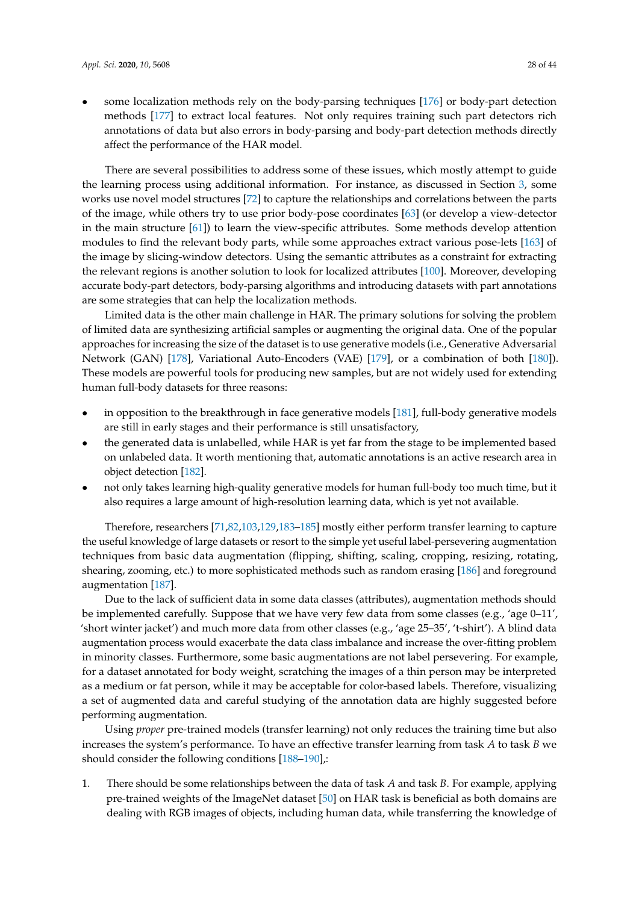• some localization methods rely on the body-parsing techniques [\[176\]](#page-42-8) or body-part detection methods [\[177\]](#page-42-9) to extract local features. Not only requires training such part detectors rich annotations of data but also errors in body-parsing and body-part detection methods directly affect the performance of the HAR model.

There are several possibilities to address some of these issues, which mostly attempt to guide the learning process using additional information. For instance, as discussed in Section [3,](#page-5-0) some works use novel model structures [\[72\]](#page-37-5) to capture the relationships and correlations between the parts of the image, while others try to use prior body-pose coordinates [\[63\]](#page-36-13) (or develop a view-detector in the main structure [\[61\]](#page-36-11)) to learn the view-specific attributes. Some methods develop attention modules to find the relevant body parts, while some approaches extract various pose-lets [\[163\]](#page-41-16) of the image by slicing-window detectors. Using the semantic attributes as a constraint for extracting the relevant regions is another solution to look for localized attributes [\[100\]](#page-38-13). Moreover, developing accurate body-part detectors, body-parsing algorithms and introducing datasets with part annotations are some strategies that can help the localization methods.

Limited data is the other main challenge in HAR. The primary solutions for solving the problem of limited data are synthesizing artificial samples or augmenting the original data. One of the popular approaches for increasing the size of the dataset is to use generative models (i.e., Generative Adversarial Network (GAN) [\[178\]](#page-42-10), Variational Auto-Encoders (VAE) [\[179\]](#page-42-11), or a combination of both [\[180\]](#page-42-12)). These models are powerful tools for producing new samples, but are not widely used for extending human full-body datasets for three reasons:

- in opposition to the breakthrough in face generative models [\[181\]](#page-42-13), full-body generative models are still in early stages and their performance is still unsatisfactory,
- the generated data is unlabelled, while HAR is yet far from the stage to be implemented based on unlabeled data. It worth mentioning that, automatic annotations is an active research area in object detection [\[182\]](#page-42-14).
- not only takes learning high-quality generative models for human full-body too much time, but it also requires a large amount of high-resolution learning data, which is yet not available.

Therefore, researchers [\[71](#page-37-4)[,82](#page-37-15)[,103](#page-38-16)[,129,](#page-40-2)[183–](#page-42-15)[185\]](#page-42-16) mostly either perform transfer learning to capture the useful knowledge of large datasets or resort to the simple yet useful label-persevering augmentation techniques from basic data augmentation (flipping, shifting, scaling, cropping, resizing, rotating, shearing, zooming, etc.) to more sophisticated methods such as random erasing [\[186\]](#page-42-17) and foreground augmentation [\[187\]](#page-42-18).

Due to the lack of sufficient data in some data classes (attributes), augmentation methods should be implemented carefully. Suppose that we have very few data from some classes (e.g., 'age 0–11', 'short winter jacket') and much more data from other classes (e.g., 'age 25–35', 't-shirt'). A blind data augmentation process would exacerbate the data class imbalance and increase the over-fitting problem in minority classes. Furthermore, some basic augmentations are not label persevering. For example, for a dataset annotated for body weight, scratching the images of a thin person may be interpreted as a medium or fat person, while it may be acceptable for color-based labels. Therefore, visualizing a set of augmented data and careful studying of the annotation data are highly suggested before performing augmentation.

Using *proper* pre-trained models (transfer learning) not only reduces the training time but also increases the system's performance. To have an effective transfer learning from task *A* to task *B* we should consider the following conditions [\[188–](#page-42-19)[190\]](#page-43-0),:

1. There should be some relationships between the data of task *A* and task *B*. For example, applying pre-trained weights of the ImageNet dataset [\[50\]](#page-36-1) on HAR task is beneficial as both domains are dealing with RGB images of objects, including human data, while transferring the knowledge of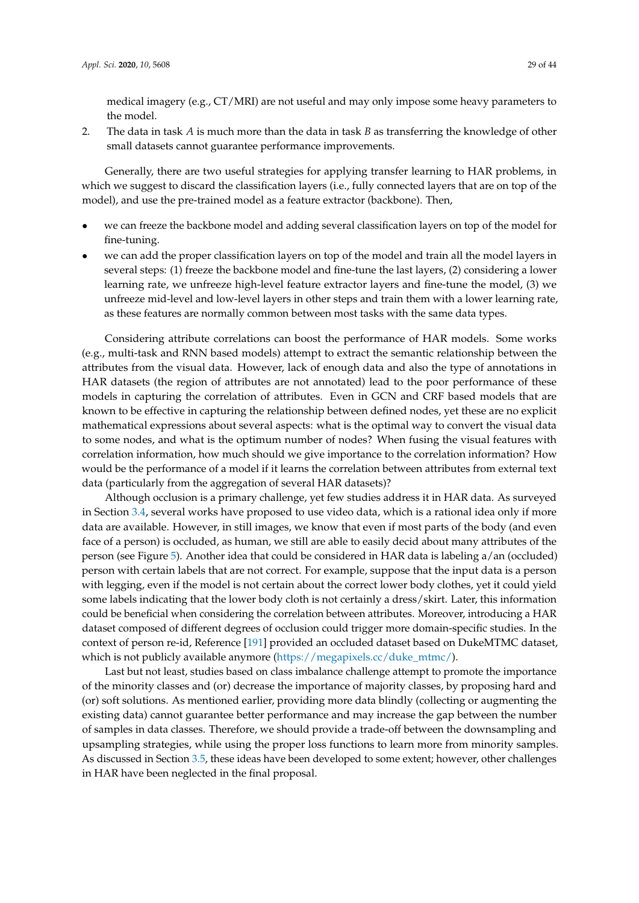medical imagery (e.g., CT/MRI) are not useful and may only impose some heavy parameters to the model.

2. The data in task *A* is much more than the data in task *B* as transferring the knowledge of other small datasets cannot guarantee performance improvements.

Generally, there are two useful strategies for applying transfer learning to HAR problems, in which we suggest to discard the classification layers (i.e., fully connected layers that are on top of the model), and use the pre-trained model as a feature extractor (backbone). Then,

- we can freeze the backbone model and adding several classification layers on top of the model for fine-tuning.
- we can add the proper classification layers on top of the model and train all the model layers in several steps: (1) freeze the backbone model and fine-tune the last layers, (2) considering a lower learning rate, we unfreeze high-level feature extractor layers and fine-tune the model, (3) we unfreeze mid-level and low-level layers in other steps and train them with a lower learning rate, as these features are normally common between most tasks with the same data types.

Considering attribute correlations can boost the performance of HAR models. Some works (e.g., multi-task and RNN based models) attempt to extract the semantic relationship between the attributes from the visual data. However, lack of enough data and also the type of annotations in HAR datasets (the region of attributes are not annotated) lead to the poor performance of these models in capturing the correlation of attributes. Even in GCN and CRF based models that are known to be effective in capturing the relationship between defined nodes, yet these are no explicit mathematical expressions about several aspects: what is the optimal way to convert the visual data to some nodes, and what is the optimum number of nodes? When fusing the visual features with correlation information, how much should we give importance to the correlation information? How would be the performance of a model if it learns the correlation between attributes from external text data (particularly from the aggregation of several HAR datasets)?

Although occlusion is a primary challenge, yet few studies address it in HAR data. As surveyed in Section [3.4,](#page-15-0) several works have proposed to use video data, which is a rational idea only if more data are available. However, in still images, we know that even if most parts of the body (and even face of a person) is occluded, as human, we still are able to easily decid about many attributes of the person (see Figure [5\)](#page-29-0). Another idea that could be considered in HAR data is labeling a/an (occluded) person with certain labels that are not correct. For example, suppose that the input data is a person with legging, even if the model is not certain about the correct lower body clothes, yet it could yield some labels indicating that the lower body cloth is not certainly a dress/skirt. Later, this information could be beneficial when considering the correlation between attributes. Moreover, introducing a HAR dataset composed of different degrees of occlusion could trigger more domain-specific studies. In the context of person re-id, Reference [\[191\]](#page-43-1) provided an occluded dataset based on DukeMTMC dataset, which is not publicly available anymore [\(https://megapixels.cc/duke\\_mtmc/\)](https://megapixels.cc/duke_mtmc/).

Last but not least, studies based on class imbalance challenge attempt to promote the importance of the minority classes and (or) decrease the importance of majority classes, by proposing hard and (or) soft solutions. As mentioned earlier, providing more data blindly (collecting or augmenting the existing data) cannot guarantee better performance and may increase the gap between the number of samples in data classes. Therefore, we should provide a trade-off between the downsampling and upsampling strategies, while using the proper loss functions to learn more from minority samples. As discussed in Section [3.5,](#page-16-0) these ideas have been developed to some extent; however, other challenges in HAR have been neglected in the final proposal.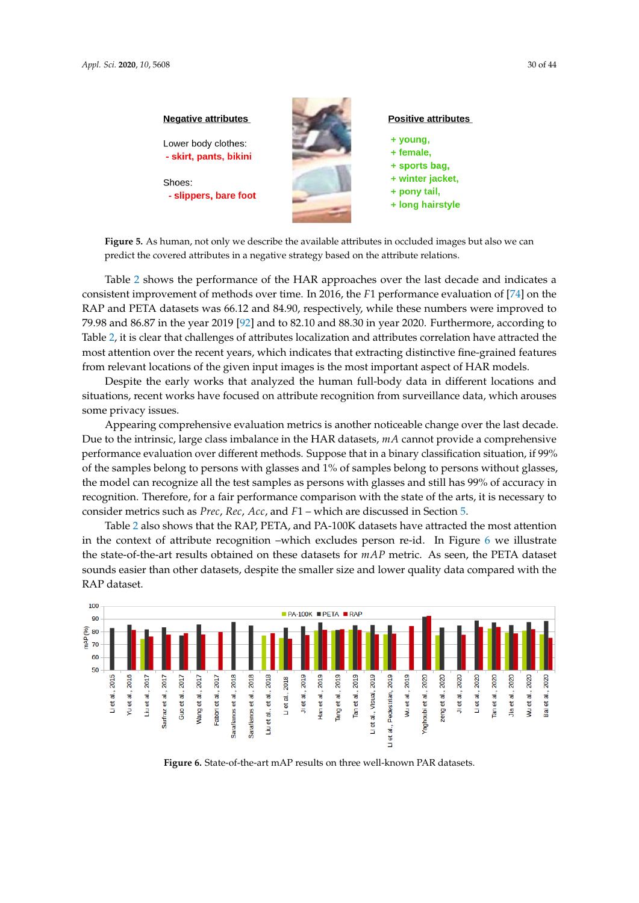<span id="page-29-0"></span>

**Figure 5.** As human, not only we describe the available attributes in occluded images but also we can predict the covered attributes in a negative strategy based on the attribute relations.

Table [2](#page-30-0) shows the performance of the HAR approaches over the last decade and indicates a consistent improvement of methods over time. In 2016, the *F*1 performance evaluation of [\[74\]](#page-37-7) on the RAP and PETA datasets was 66.12 and 84.90, respectively, while these numbers were improved to 79.98 and 86.87 in the year 2019 [\[92\]](#page-38-5) and to 82.10 and 88.30 in year 2020. Furthermore, according to Table [2,](#page-30-0) it is clear that challenges of attributes localization and attributes correlation have attracted the most attention over the recent years, which indicates that extracting distinctive fine-grained features from relevant locations of the given input images is the most important aspect of HAR models.

Despite the early works that analyzed the human full-body data in different locations and situations, recent works have focused on attribute recognition from surveillance data, which arouses some privacy issues.

Appearing comprehensive evaluation metrics is another noticeable change over the last decade. Due to the intrinsic, large class imbalance in the HAR datasets, *mA* cannot provide a comprehensive performance evaluation over different methods. Suppose that in a binary classification situation, if 99% of the samples belong to persons with glasses and 1% of samples belong to persons without glasses, the model can recognize all the test samples as persons with glasses and still has 99% of accuracy in recognition. Therefore, for a fair performance comparison with the state of the arts, it is necessary to consider metrics such as *Prec*, *Rec*, *Acc*, and *F*1 – which are discussed in Section [5.](#page-22-0)

Table [2](#page-30-0) also shows that the RAP, PETA, and PA-100K datasets have attracted the most attention in the context of attribute recognition –which excludes person re-id. In Figure [6](#page-29-1) we illustrate the state-of-the-art results obtained on these datasets for *mAP* metric. As seen, the PETA dataset sounds easier than other datasets, despite the smaller size and lower quality data compared with the RAP dataset.

<span id="page-29-1"></span>

**Figure 6.** State-of-the-art mAP results on three well-known PAR datasets.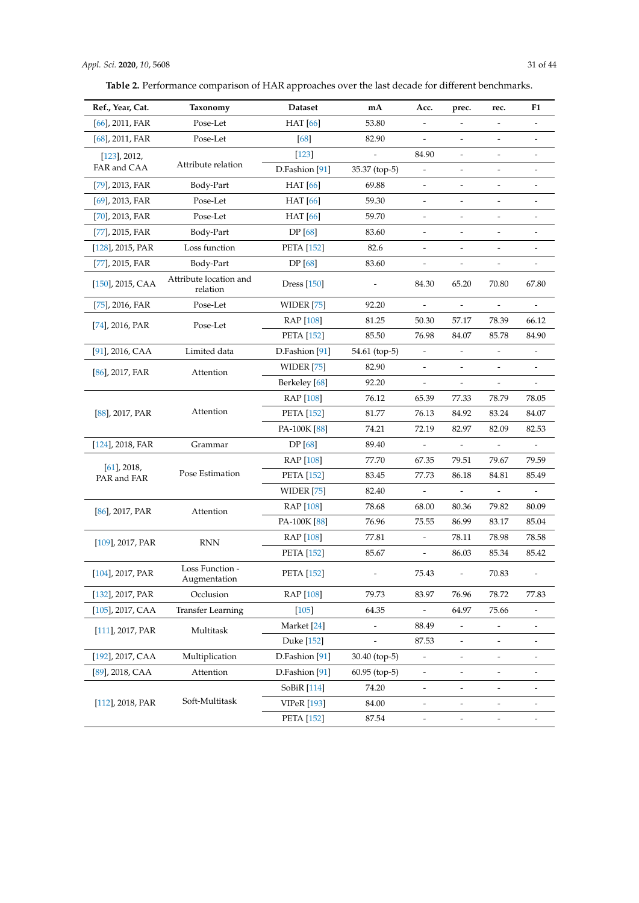| Table 2. Performance comparison of HAR approaches over the last decade for different benchmarks. |
|--------------------------------------------------------------------------------------------------|
|--------------------------------------------------------------------------------------------------|

<span id="page-30-0"></span>

| Ref., Year, Cat.              | Taxonomy                           | <b>Dataset</b>            | mA              | Acc.                     | prec.                    | rec.                         | F1                       |
|-------------------------------|------------------------------------|---------------------------|-----------------|--------------------------|--------------------------|------------------------------|--------------------------|
| $[66]$ , 2011, FAR            | Pose-Let                           | <b>HAT</b> [66]           | 53.80           |                          |                          |                              | $\overline{\phantom{a}}$ |
| $[68]$ , 2011, FAR            | Pose-Let                           | [68]                      | 82.90           |                          |                          |                              |                          |
| $[123]$ , 2012,               |                                    | $[123]$                   |                 | 84.90                    | $\overline{\phantom{m}}$ |                              |                          |
| FAR and CAA                   | Attribute relation                 | D.Fashion <sup>[91]</sup> | 35.37 (top-5)   |                          |                          |                              |                          |
| $[79]$ , 2013, FAR            | Body-Part                          | <b>HAT</b> [66]           | 69.88           |                          |                          |                              |                          |
| $[69]$ , 2013, FAR            | Pose-Let                           | <b>HAT</b> [66]           | 59.30           |                          |                          |                              |                          |
| $[70]$ , 2013, FAR            | Pose-Let                           | <b>HAT</b> [66]           | 59.70           |                          |                          |                              |                          |
| [77], 2015, FAR               | Body-Part                          | <b>DP</b> [68]            | 83.60           |                          | $\overline{\phantom{m}}$ | $\overline{\phantom{a}}$     |                          |
| $[128]$ , 2015, PAR           | Loss function                      | <b>PETA</b> [152]         | 82.6            |                          |                          |                              |                          |
| [77], 2015, FAR               | Body-Part                          | <b>DP</b> [68]            | 83.60           | $\overline{\phantom{m}}$ | $\overline{\phantom{m}}$ | $\overline{\phantom{a}}$     |                          |
| $[150]$ , 2015, CAA           | Attribute location and<br>relation | Dress $[150]$             |                 | 84.30                    | 65.20                    | 70.80                        | 67.80                    |
| $[75]$ , 2016, FAR            | Pose-Let                           | <b>WIDER</b> [75]         | 92.20           | $\frac{1}{2}$            | $\overline{a}$           |                              |                          |
| $[74]$ , 2016, PAR            | Pose-Let                           | RAP [108]                 | 81.25           | 50.30                    | 57.17                    | 78.39                        | 66.12                    |
|                               |                                    | <b>PETA</b> [152]         | 85.50           | 76.98                    | 84.07                    | 85.78                        | 84.90                    |
| $[91]$ , 2016, CAA            | Limited data                       | D.Fashion <sup>[91]</sup> | 54.61 (top-5)   |                          |                          |                              |                          |
| $[86]$ , 2017, FAR            | Attention                          | WIDER [75]                | 82.90           |                          |                          | $\overline{\phantom{m}}$     |                          |
|                               |                                    | Berkeley [68]             | 92.20           |                          |                          |                              |                          |
|                               |                                    | <b>RAP</b> [108]          | 76.12           | 65.39                    | 77.33                    | 78.79                        | 78.05                    |
| $[88]$ , 2017, PAR            | Attention                          | <b>PETA</b> [152]         | 81.77           | 76.13                    | 84.92                    | 83.24                        | 84.07                    |
|                               |                                    | PA-100K [88]              | 74.21           | 72.19                    | 82.97                    | 82.09                        | 82.53                    |
| $[124]$ , 2018, FAR           | Grammar                            | <b>DP</b> [68]            | 89.40           | $\overline{\phantom{a}}$ | $\overline{\phantom{a}}$ | $\qquad \qquad \blacksquare$ | $\overline{\phantom{a}}$ |
|                               | Pose Estimation                    | <b>RAP</b> [108]          | 77.70           | 67.35                    | 79.51                    | 79.67                        | 79.59                    |
| $[61]$ , 2018,<br>PAR and FAR |                                    | <b>PETA</b> [152]         | 83.45           | 77.73                    | 86.18                    | 84.81                        | 85.49                    |
|                               |                                    | WIDER $[75]$              | 82.40           |                          |                          |                              |                          |
| $[86]$ , 2017, PAR            | Attention                          | RAP [108]                 | 78.68           | 68.00                    | 80.36                    | 79.82                        | 80.09                    |
|                               |                                    | PA-100K [88]              | 76.96           | 75.55                    | 86.99                    | 83.17                        | 85.04                    |
| $[109]$ , 2017, PAR           | <b>RNN</b>                         | <b>RAP</b> [108]          | 77.81           |                          | 78.11                    | 78.98                        | 78.58                    |
|                               |                                    | <b>PETA</b> [152]         | 85.67           | $\overline{\phantom{a}}$ | 86.03                    | 85.34                        | 85.42                    |
| [104], 2017, PAR              | Loss Function -<br>Augmentation    | <b>PETA</b> [152]         |                 | 75.43                    |                          | 70.83                        |                          |
| [132], 2017, PAR              | Occlusion                          | RAP [108]                 | 79.73           | 83.97                    | 76.96                    | 78.72                        | 77.83                    |
| $[105]$ , 2017, CAA           | <b>Transfer Learning</b>           | $[105]$                   | 64.35           |                          | 64.97                    | 75.66                        |                          |
| $[111]$ , 2017, PAR           | Multitask                          | Market <sup>[24]</sup>    |                 | 88.49                    |                          |                              |                          |
|                               |                                    | Duke [152]                |                 | 87.53                    |                          |                              |                          |
| [192], 2017, CAA              | Multiplication                     | D.Fashion <sup>[91]</sup> | 30.40 (top-5)   |                          |                          |                              |                          |
| $[89]$ , 2018, CAA            | Attention                          | D.Fashion <sup>[91]</sup> | $60.95$ (top-5) |                          |                          |                              |                          |
|                               |                                    | SoBiR [114]               | 74.20           |                          |                          |                              |                          |
| [112], 2018, PAR              | Soft-Multitask                     | <b>VIPeR</b> [193]        | 84.00           |                          |                          |                              |                          |
|                               |                                    | <b>PETA</b> [152]         | 87.54           |                          |                          |                              |                          |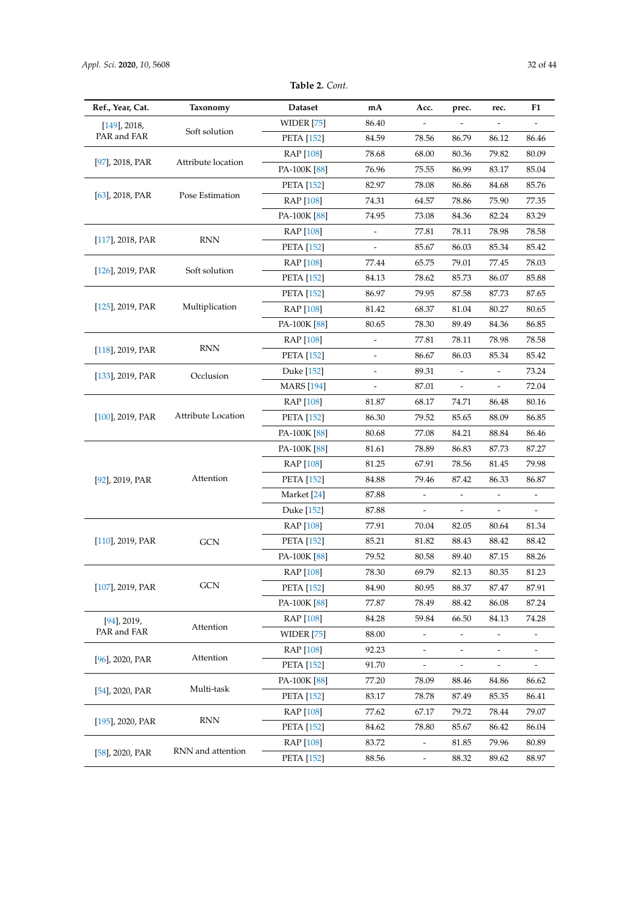| Table 2. Cont. |  |
|----------------|--|
|----------------|--|

| Ref., Year, Cat.               | Taxonomy                  | <b>Dataset</b>    | mA                           | Acc.                     | prec.                    | rec.                         | F1    |
|--------------------------------|---------------------------|-------------------|------------------------------|--------------------------|--------------------------|------------------------------|-------|
| $[149]$ , 2018,<br>PAR and FAR | Soft solution             | WIDER [75]        | 86.40                        |                          |                          |                              |       |
|                                |                           | <b>PETA</b> [152] | 84.59                        | 78.56                    | 86.79                    | 86.12                        | 86.46 |
|                                |                           | RAP [108]         | 78.68                        | 68.00                    | 80.36                    | 79.82                        | 80.09 |
| $[97]$ , 2018, PAR             | Attribute location        | PA-100K [88]      | 76.96                        | 75.55                    | 86.99                    | 83.17                        | 85.04 |
|                                |                           | <b>PETA</b> [152] | 82.97                        | 78.08                    | 86.86                    | 84.68                        | 85.76 |
| $[63]$ , 2018, PAR             | Pose Estimation           | RAP [108]         | 74.31                        | 64.57                    | 78.86                    | 75.90                        | 77.35 |
|                                |                           | PA-100K [88]      | 74.95                        | 73.08                    | 84.36                    | 82.24                        | 83.29 |
|                                |                           | RAP [108]         |                              | 77.81                    | 78.11                    | 78.98                        | 78.58 |
| $[117]$ , 2018, PAR            | <b>RNN</b>                | <b>PETA</b> [152] |                              | 85.67                    | 86.03                    | 85.34                        | 85.42 |
|                                |                           | RAP [108]         | 77.44                        | 65.75                    | 79.01                    | 77.45                        | 78.03 |
| $[126]$ , 2019, PAR            | Soft solution             | <b>PETA</b> [152] | 84.13                        | 78.62                    | 85.73                    | 86.07                        | 85.88 |
|                                |                           | <b>PETA</b> [152] | 86.97                        | 79.95                    | 87.58                    | 87.73                        | 87.65 |
| $[125]$ , 2019, PAR            | Multiplication            | RAP [108]         | 81.42                        | 68.37                    | 81.04                    | 80.27                        | 80.65 |
|                                |                           | PA-100K [88]      | 80.65                        | 78.30                    | 89.49                    | 84.36                        | 86.85 |
|                                | RNN                       | RAP [108]         | $\qquad \qquad \blacksquare$ | 77.81                    | 78.11                    | 78.98                        | 78.58 |
| $[118]$ , 2019, PAR            |                           | <b>PETA</b> [152] |                              | 86.67                    | 86.03                    | 85.34                        | 85.42 |
| $[133]$ , 2019, PAR            | Occlusion                 | Duke [152]        |                              | 89.31                    |                          |                              | 73.24 |
|                                |                           | <b>MARS</b> [194] | $\overline{\phantom{a}}$     | 87.01                    | $\overline{\phantom{a}}$ | $\qquad \qquad \blacksquare$ | 72.04 |
|                                | <b>Attribute Location</b> | <b>RAP</b> [108]  | 81.87                        | 68.17                    | 74.71                    | 86.48                        | 80.16 |
| $[100]$ , 2019, PAR            |                           | <b>PETA</b> [152] | 86.30                        | 79.52                    | 85.65                    | 88.09                        | 86.85 |
|                                |                           | PA-100K [88]      | 80.68                        | 77.08                    | 84.21                    | 88.84                        | 86.46 |
|                                |                           | PA-100K [88]      | 81.61                        | 78.89                    | 86.83                    | 87.73                        | 87.27 |
|                                |                           | RAP [108]         | 81.25                        | 67.91                    | 78.56                    | 81.45                        | 79.98 |
| $[92]$ , 2019, PAR             | Attention                 | <b>PETA</b> [152] | 84.88                        | 79.46                    | 87.42                    | 86.33                        | 86.87 |
|                                |                           | Market [24]       | 87.88                        | $\overline{\phantom{a}}$ |                          |                              |       |
|                                |                           | Duke [152]        | 87.88                        | $\blacksquare$           | $\overline{\phantom{m}}$ |                              |       |
|                                |                           | RAP [108]         | 77.91                        | 70.04                    | 82.05                    | 80.64                        | 81.34 |
| $[110]$ , 2019, PAR            | GCN                       | <b>PETA</b> [152] | 85.21                        | 81.82                    | 88.43                    | 88.42                        | 88.42 |
|                                |                           | PA-100K [88]      | 79.52                        | 80.58                    | 89.40                    | 87.15                        | 88.26 |
|                                |                           | RAP [108]         | 78.30                        | 69.79                    | 82.13                    | 80.35                        | 81.23 |
| [107], 2019, PAR               | <b>GCN</b>                | <b>PETA</b> [152] | 84.90                        | 80.95                    | 88.37                    | 87.47                        | 87.91 |
|                                |                           | PA-100K [88]      | 77.87                        | 78.49                    | 88.42                    | 86.08                        | 87.24 |
| $[94]$ , 2019,                 |                           | RAP [108]         | 84.28                        | 59.84                    | 66.50                    | 84.13                        | 74.28 |
| PAR and FAR                    | Attention                 | WIDER $[75]$      | 88.00                        |                          |                          |                              |       |
|                                | Attention                 | RAP [108]         | 92.23                        |                          |                          |                              |       |
| $[96]$ , 2020, PAR             |                           | <b>PETA</b> [152] | 91.70                        |                          |                          |                              |       |
|                                |                           | PA-100K [88]      | 77.20                        | 78.09                    | 88.46                    | 84.86                        | 86.62 |
| $[54]$ , 2020, PAR             | Multi-task                | <b>PETA</b> [152] | 83.17                        | 78.78                    | 87.49                    | 85.35                        | 86.41 |
|                                |                           | RAP [108]         | 77.62                        | 67.17                    | 79.72                    | 78.44                        | 79.07 |
| [ $195$ ], 2020, PAR           | <b>RNN</b>                | <b>PETA</b> [152] | 84.62                        | 78.80                    | 85.67                    | 86.42                        | 86.04 |
|                                |                           | RAP [108]         | 83.72                        |                          | 81.85                    | 79.96                        | 80.89 |
| $[58]$ , 2020, PAR             | RNN and attention         | <b>PETA</b> [152] | 88.56                        | $\overline{\phantom{a}}$ | 88.32                    | 89.62                        | 88.97 |
|                                |                           |                   |                              |                          |                          |                              |       |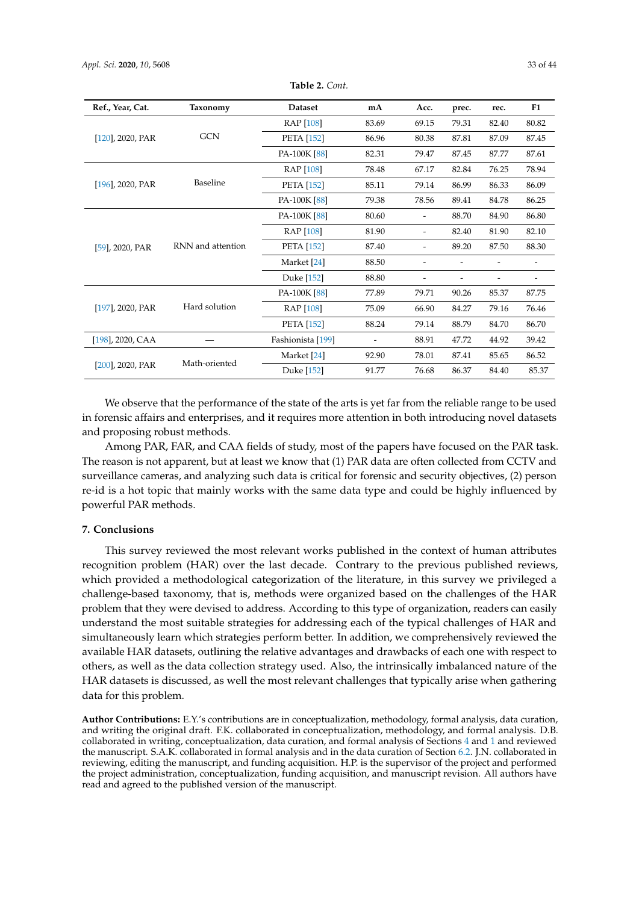| Ref., Year, Cat.    | Taxonomy          | <b>Dataset</b>    | mA    | Acc.  | prec. | rec.  | F1    |
|---------------------|-------------------|-------------------|-------|-------|-------|-------|-------|
|                     |                   | <b>RAP</b> [108]  | 83.69 | 69.15 | 79.31 | 82.40 | 80.82 |
| $[120]$ , 2020, PAR | <b>GCN</b>        | <b>PETA</b> [152] | 86.96 | 80.38 | 87.81 | 87.09 | 87.45 |
|                     |                   | PA-100K [88]      | 82.31 | 79.47 | 87.45 | 87.77 | 87.61 |
|                     | Baseline          | <b>RAP</b> [108]  | 78.48 | 67.17 | 82.84 | 76.25 | 78.94 |
| $[196]$ , 2020, PAR |                   | <b>PETA</b> [152] | 85.11 | 79.14 | 86.99 | 86.33 | 86.09 |
|                     |                   | PA-100K [88]      | 79.38 | 78.56 | 89.41 | 84.78 | 86.25 |
|                     | RNN and attention | PA-100K [88]      | 80.60 |       | 88.70 | 84.90 | 86.80 |
|                     |                   | <b>RAP</b> [108]  | 81.90 | -     | 82.40 | 81.90 | 82.10 |
| $[59]$ , 2020, PAR  |                   | <b>PETA</b> [152] | 87.40 | -     | 89.20 | 87.50 | 88.30 |
|                     |                   | Market [24]       | 88.50 |       |       |       |       |
|                     |                   | Duke [152]        | 88.80 |       |       |       |       |
|                     | Hard solution     | PA-100K [88]      | 77.89 | 79.71 | 90.26 | 85.37 | 87.75 |
| [197], 2020, PAR    |                   | <b>RAP</b> [108]  | 75.09 | 66.90 | 84.27 | 79.16 | 76.46 |
|                     |                   | <b>PETA</b> [152] | 88.24 | 79.14 | 88.79 | 84.70 | 86.70 |
| $[198]$ , 2020, CAA |                   | Fashionista [199] |       | 88.91 | 47.72 | 44.92 | 39.42 |
|                     |                   | Market [24]       | 92.90 | 78.01 | 87.41 | 85.65 | 86.52 |
| $[200]$ , 2020, PAR | Math-oriented     | Duke [152]        | 91.77 | 76.68 | 86.37 | 84.40 | 85.37 |

**Table 2.** *Cont.*

We observe that the performance of the state of the arts is yet far from the reliable range to be used in forensic affairs and enterprises, and it requires more attention in both introducing novel datasets and proposing robust methods.

Among PAR, FAR, and CAA fields of study, most of the papers have focused on the PAR task. The reason is not apparent, but at least we know that (1) PAR data are often collected from CCTV and surveillance cameras, and analyzing such data is critical for forensic and security objectives, (2) person re-id is a hot topic that mainly works with the same data type and could be highly influenced by powerful PAR methods.

# **7. Conclusions**

This survey reviewed the most relevant works published in the context of human attributes recognition problem (HAR) over the last decade. Contrary to the previous published reviews, which provided a methodological categorization of the literature, in this survey we privileged a challenge-based taxonomy, that is, methods were organized based on the challenges of the HAR problem that they were devised to address. According to this type of organization, readers can easily understand the most suitable strategies for addressing each of the typical challenges of HAR and simultaneously learn which strategies perform better. In addition, we comprehensively reviewed the available HAR datasets, outlining the relative advantages and drawbacks of each one with respect to others, as well as the data collection strategy used. Also, the intrinsically imbalanced nature of the HAR datasets is discussed, as well the most relevant challenges that typically arise when gathering data for this problem.

**Author Contributions:** E.Y.'s contributions are in conceptualization, methodology, formal analysis, data curation, and writing the original draft. F.K. collaborated in conceptualization, methodology, and formal analysis. D.B. collaborated in writing, conceptualization, data curation, and formal analysis of Sections [4](#page-17-0) and [1](#page-1-0) and reviewed the manuscript. S.A.K. collaborated in formal analysis and in the data curation of Section [6.2.](#page-26-1) J.N. collaborated in reviewing, editing the manuscript, and funding acquisition. H.P. is the supervisor of the project and performed the project administration, conceptualization, funding acquisition, and manuscript revision. All authors have read and agreed to the published version of the manuscript.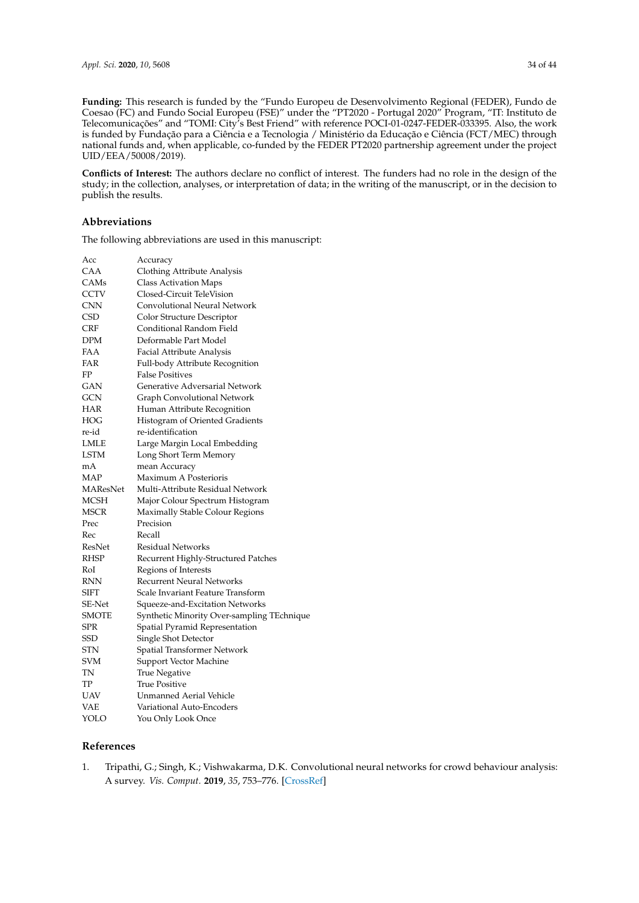**Funding:** This research is funded by the "Fundo Europeu de Desenvolvimento Regional (FEDER), Fundo de Coesao (FC) and Fundo Social Europeu (FSE)" under the "PT2020 - Portugal 2020" Program, "IT: Instituto de Telecomunicações" and "TOMI: City's Best Friend" with reference POCI-01-0247-FEDER-033395. Also, the work is funded by Fundação para a Ciência e a Tecnologia / Ministério da Educação e Ciência (FCT/MEC) through national funds and, when applicable, co-funded by the FEDER PT2020 partnership agreement under the project UID/EEA/50008/2019).

**Conflicts of Interest:** The authors declare no conflict of interest. The funders had no role in the design of the study; in the collection, analyses, or interpretation of data; in the writing of the manuscript, or in the decision to publish the results.

# **Abbreviations**

The following abbreviations are used in this manuscript:

| Acc          | Accuracy                                   |
|--------------|--------------------------------------------|
| CAA          | Clothing Attribute Analysis                |
| CAMs         | Class Activation Maps                      |
| <b>CCTV</b>  | Closed-Circuit TeleVision                  |
| <b>CNN</b>   | Convolutional Neural Network               |
| <b>CSD</b>   | Color Structure Descriptor                 |
| CRF          | Conditional Random Field                   |
| <b>DPM</b>   | Deformable Part Model                      |
| <b>FAA</b>   | Facial Attribute Analysis                  |
| FAR          | Full-body Attribute Recognition            |
| FP           | <b>False Positives</b>                     |
| <b>GAN</b>   | Generative Adversarial Network             |
| GCN          | Graph Convolutional Network                |
| HAR          | Human Attribute Recognition                |
| HOG          | Histogram of Oriented Gradients            |
| re-id        | re-identification                          |
| LMLE         | Large Margin Local Embedding               |
| <b>LSTM</b>  | Long Short Term Memory                     |
| mA           | mean Accuracy                              |
| MAP          | Maximum A Posterioris                      |
| MAResNet     | Multi-Attribute Residual Network           |
| MCSH         | Major Colour Spectrum Histogram            |
| <b>MSCR</b>  | Maximally Stable Colour Regions            |
| Prec         | Precision                                  |
| Rec          | Recall                                     |
| ResNet       | <b>Residual Networks</b>                   |
| <b>RHSP</b>  | Recurrent Highly-Structured Patches        |
| RoI          | Regions of Interests                       |
| <b>RNN</b>   | <b>Recurrent Neural Networks</b>           |
| SIFT         | Scale Invariant Feature Transform          |
| SE-Net       | Squeeze-and-Excitation Networks            |
| <b>SMOTE</b> | Synthetic Minority Over-sampling TEchnique |
| <b>SPR</b>   | Spatial Pyramid Representation             |
| <b>SSD</b>   | Single Shot Detector                       |
| STN          | Spatial Transformer Network                |
| <b>SVM</b>   | Support Vector Machine                     |
| TN           | True Negative                              |
| TP           | <b>True Positive</b>                       |
| UAV          | <b>Unmanned Aerial Vehicle</b>             |
| VAE          | Variational Auto-Encoders                  |
| YOLO         | You Only Look Once                         |

# **References**

<span id="page-33-0"></span>1. Tripathi, G.; Singh, K.; Vishwakarma, D.K. Convolutional neural networks for crowd behaviour analysis: A survey. *Vis. Comput.* **2019**, *35*, 753–776. [\[CrossRef\]](http://dx.doi.org/10.1007/s00371-018-1499-5)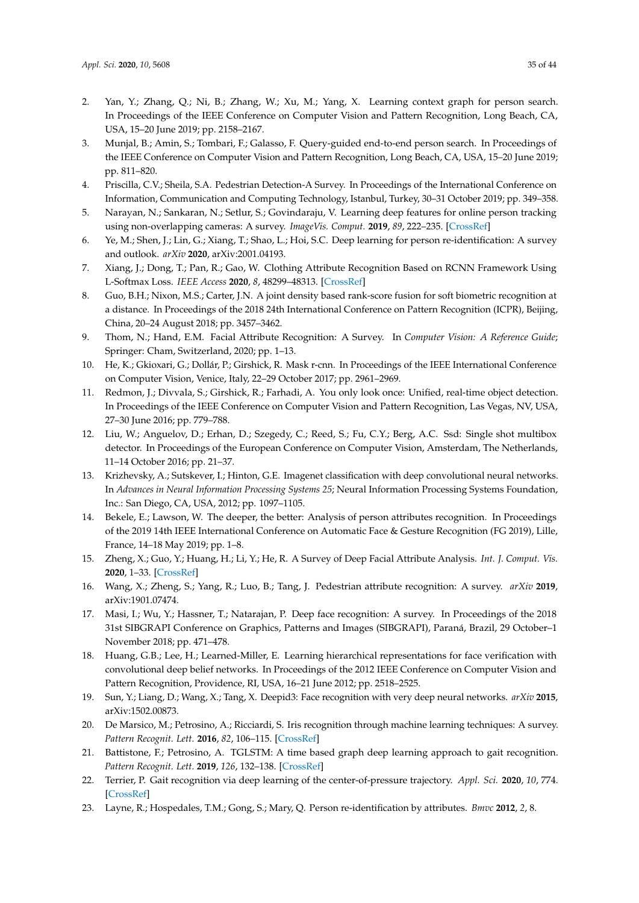- <span id="page-34-0"></span>2. Yan, Y.; Zhang, Q.; Ni, B.; Zhang, W.; Xu, M.; Yang, X. Learning context graph for person search. In Proceedings of the IEEE Conference on Computer Vision and Pattern Recognition, Long Beach, CA, USA, 15–20 June 2019; pp. 2158–2167.
- <span id="page-34-1"></span>3. Munjal, B.; Amin, S.; Tombari, F.; Galasso, F. Query-guided end-to-end person search. In Proceedings of the IEEE Conference on Computer Vision and Pattern Recognition, Long Beach, CA, USA, 15–20 June 2019; pp. 811–820.
- <span id="page-34-2"></span>4. Priscilla, C.V.; Sheila, S.A. Pedestrian Detection-A Survey. In Proceedings of the International Conference on Information, Communication and Computing Technology, Istanbul, Turkey, 30–31 October 2019; pp. 349–358.
- <span id="page-34-3"></span>5. Narayan, N.; Sankaran, N.; Setlur, S.; Govindaraju, V. Learning deep features for online person tracking using non-overlapping cameras: A survey. *ImageVis. Comput.* **2019**, *89*, 222–235. [\[CrossRef\]](http://dx.doi.org/10.1016/j.imavis.2019.07.007)
- <span id="page-34-4"></span>6. Ye, M.; Shen, J.; Lin, G.; Xiang, T.; Shao, L.; Hoi, S.C. Deep learning for person re-identification: A survey and outlook. *arXiv* **2020**, arXiv:2001.04193.
- <span id="page-34-5"></span>7. Xiang, J.; Dong, T.; Pan, R.; Gao, W. Clothing Attribute Recognition Based on RCNN Framework Using L-Softmax Loss. *IEEE Access* **2020**, *8*, 48299–48313. [\[CrossRef\]](http://dx.doi.org/10.1109/ACCESS.2020.2979164)
- <span id="page-34-6"></span>8. Guo, B.H.; Nixon, M.S.; Carter, J.N. A joint density based rank-score fusion for soft biometric recognition at a distance. In Proceedings of the 2018 24th International Conference on Pattern Recognition (ICPR), Beijing, China, 20–24 August 2018; pp. 3457–3462.
- <span id="page-34-7"></span>9. Thom, N.; Hand, E.M. Facial Attribute Recognition: A Survey. In *Computer Vision: A Reference Guide*; Springer: Cham, Switzerland, 2020; pp. 1–13.
- <span id="page-34-8"></span>10. He, K.; Gkioxari, G.; Dollár, P.; Girshick, R. Mask r-cnn. In Proceedings of the IEEE International Conference on Computer Vision, Venice, Italy, 22–29 October 2017; pp. 2961–2969.
- <span id="page-34-9"></span>11. Redmon, J.; Divvala, S.; Girshick, R.; Farhadi, A. You only look once: Unified, real-time object detection. In Proceedings of the IEEE Conference on Computer Vision and Pattern Recognition, Las Vegas, NV, USA, 27–30 June 2016; pp. 779–788.
- <span id="page-34-10"></span>12. Liu, W.; Anguelov, D.; Erhan, D.; Szegedy, C.; Reed, S.; Fu, C.Y.; Berg, A.C. Ssd: Single shot multibox detector. In Proceedings of the European Conference on Computer Vision, Amsterdam, The Netherlands, 11–14 October 2016; pp. 21–37.
- <span id="page-34-11"></span>13. Krizhevsky, A.; Sutskever, I.; Hinton, G.E. Imagenet classification with deep convolutional neural networks. In *Advances in Neural Information Processing Systems 25*; Neural Information Processing Systems Foundation, Inc.: San Diego, CA, USA, 2012; pp. 1097–1105.
- <span id="page-34-12"></span>14. Bekele, E.; Lawson, W. The deeper, the better: Analysis of person attributes recognition. In Proceedings of the 2019 14th IEEE International Conference on Automatic Face & Gesture Recognition (FG 2019), Lille, France, 14–18 May 2019; pp. 1–8.
- <span id="page-34-13"></span>15. Zheng, X.; Guo, Y.; Huang, H.; Li, Y.; He, R. A Survey of Deep Facial Attribute Analysis. *Int. J. Comput. Vis.* **2020**, 1–33. [\[CrossRef\]](http://dx.doi.org/10.1007/s11263-020-01308-z)
- <span id="page-34-14"></span>16. Wang, X.; Zheng, S.; Yang, R.; Luo, B.; Tang, J. Pedestrian attribute recognition: A survey. *arXiv* **2019**, arXiv:1901.07474.
- <span id="page-34-15"></span>17. Masi, I.; Wu, Y.; Hassner, T.; Natarajan, P. Deep face recognition: A survey. In Proceedings of the 2018 31st SIBGRAPI Conference on Graphics, Patterns and Images (SIBGRAPI), Paraná, Brazil, 29 October–1 November 2018; pp. 471–478.
- 18. Huang, G.B.; Lee, H.; Learned-Miller, E. Learning hierarchical representations for face verification with convolutional deep belief networks. In Proceedings of the 2012 IEEE Conference on Computer Vision and Pattern Recognition, Providence, RI, USA, 16–21 June 2012; pp. 2518–2525.
- <span id="page-34-16"></span>19. Sun, Y.; Liang, D.; Wang, X.; Tang, X. Deepid3: Face recognition with very deep neural networks. *arXiv* **2015**, arXiv:1502.00873.
- <span id="page-34-17"></span>20. De Marsico, M.; Petrosino, A.; Ricciardi, S. Iris recognition through machine learning techniques: A survey. *Pattern Recognit. Lett.* **2016**, *82*, 106–115. [\[CrossRef\]](http://dx.doi.org/10.1016/j.patrec.2016.02.001)
- <span id="page-34-18"></span>21. Battistone, F.; Petrosino, A. TGLSTM: A time based graph deep learning approach to gait recognition. *Pattern Recognit. Lett.* **2019**, *126*, 132–138. [\[CrossRef\]](http://dx.doi.org/10.1016/j.patrec.2018.05.004)
- <span id="page-34-19"></span>22. Terrier, P. Gait recognition via deep learning of the center-of-pressure trajectory. *Appl. Sci.* **2020**, *10*, 774. [\[CrossRef\]](http://dx.doi.org/10.3390/app10030774)
- <span id="page-34-20"></span>23. Layne, R.; Hospedales, T.M.; Gong, S.; Mary, Q. Person re-identification by attributes. *Bmvc* **2012**, *2*, 8.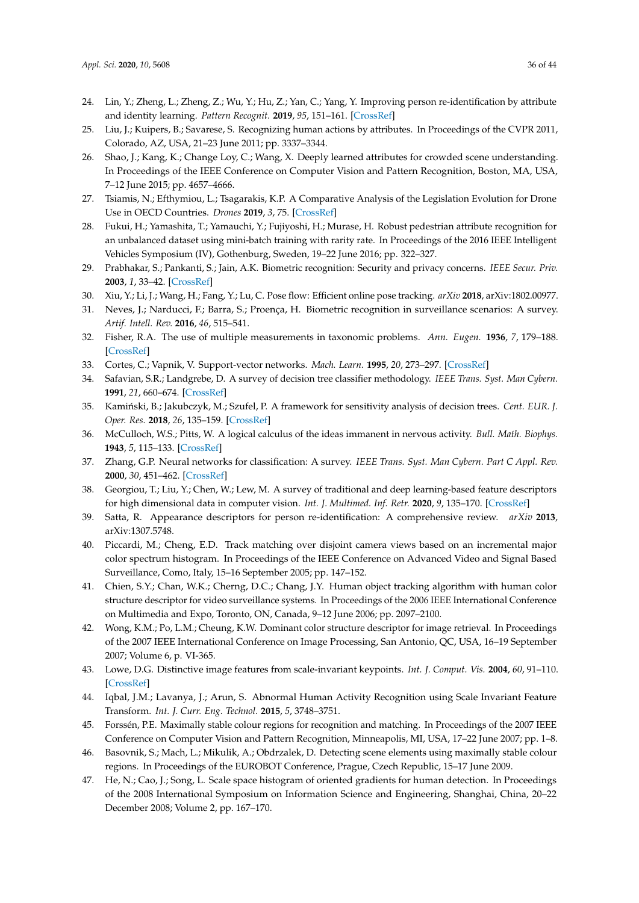- <span id="page-35-0"></span>24. Lin, Y.; Zheng, L.; Zheng, Z.; Wu, Y.; Hu, Z.; Yan, C.; Yang, Y. Improving person re-identification by attribute and identity learning. *Pattern Recognit.* **2019**, *95*, 151–161. [\[CrossRef\]](http://dx.doi.org/10.1016/j.patcog.2019.06.006)
- <span id="page-35-1"></span>25. Liu, J.; Kuipers, B.; Savarese, S. Recognizing human actions by attributes. In Proceedings of the CVPR 2011, Colorado, AZ, USA, 21–23 June 2011; pp. 3337–3344.
- <span id="page-35-2"></span>26. Shao, J.; Kang, K.; Change Loy, C.; Wang, X. Deeply learned attributes for crowded scene understanding. In Proceedings of the IEEE Conference on Computer Vision and Pattern Recognition, Boston, MA, USA, 7–12 June 2015; pp. 4657–4666.
- <span id="page-35-3"></span>27. Tsiamis, N.; Efthymiou, L.; Tsagarakis, K.P. A Comparative Analysis of the Legislation Evolution for Drone Use in OECD Countries. *Drones* **2019**, *3*, 75. [\[CrossRef\]](http://dx.doi.org/10.3390/drones3040075)
- <span id="page-35-4"></span>28. Fukui, H.; Yamashita, T.; Yamauchi, Y.; Fujiyoshi, H.; Murase, H. Robust pedestrian attribute recognition for an unbalanced dataset using mini-batch training with rarity rate. In Proceedings of the 2016 IEEE Intelligent Vehicles Symposium (IV), Gothenburg, Sweden, 19–22 June 2016; pp. 322–327.
- <span id="page-35-5"></span>29. Prabhakar, S.; Pankanti, S.; Jain, A.K. Biometric recognition: Security and privacy concerns. *IEEE Secur. Priv.* **2003**, *1*, 33–42. [\[CrossRef\]](http://dx.doi.org/10.1109/MSECP.2003.1193209)
- <span id="page-35-6"></span>30. Xiu, Y.; Li, J.; Wang, H.; Fang, Y.; Lu, C. Pose flow: Efficient online pose tracking. *arXiv* **2018**, arXiv:1802.00977.
- <span id="page-35-7"></span>31. Neves, J.; Narducci, F.; Barra, S.; Proença, H. Biometric recognition in surveillance scenarios: A survey. *Artif. Intell. Rev.* **2016**, *46*, 515–541.
- <span id="page-35-8"></span>32. Fisher, R.A. The use of multiple measurements in taxonomic problems. *Ann. Eugen.* **1936**, *7*, 179–188. [\[CrossRef\]](http://dx.doi.org/10.1111/j.1469-1809.1936.tb02137.x)
- <span id="page-35-10"></span><span id="page-35-9"></span>33. Cortes, C.; Vapnik, V. Support-vector networks. *Mach. Learn.* **1995**, *20*, 273–297. [\[CrossRef\]](http://dx.doi.org/10.1007/BF00994018)
- 34. Safavian, S.R.; Landgrebe, D. A survey of decision tree classifier methodology. *IEEE Trans. Syst. Man Cybern.* **1991**, *21*, 660–674. [\[CrossRef\]](http://dx.doi.org/10.1109/21.97458)
- <span id="page-35-11"></span>35. Kamiński, B.; Jakubczyk, M.; Szufel, P. A framework for sensitivity analysis of decision trees. *Cent. EUR. J. Oper. Res.* **2018**, *26*, 135–159. [\[CrossRef\]](http://dx.doi.org/10.1007/s10100-017-0479-6)
- <span id="page-35-12"></span>36. McCulloch, W.S.; Pitts, W. A logical calculus of the ideas immanent in nervous activity. *Bull. Math. Biophys.* **1943**, *5*, 115–133. [\[CrossRef\]](http://dx.doi.org/10.1007/BF02478259)
- <span id="page-35-13"></span>37. Zhang, G.P. Neural networks for classification: A survey. *IEEE Trans. Syst. Man Cybern. Part C Appl. Rev.* **2000**, *30*, 451–462. [\[CrossRef\]](http://dx.doi.org/10.1109/5326.897072)
- <span id="page-35-14"></span>38. Georgiou, T.; Liu, Y.; Chen, W.; Lew, M. A survey of traditional and deep learning-based feature descriptors for high dimensional data in computer vision. *Int. J. Multimed. Inf. Retr.* **2020**, *9*, 135–170. [\[CrossRef\]](http://dx.doi.org/10.1007/s13735-019-00183-w)
- <span id="page-35-15"></span>39. Satta, R. Appearance descriptors for person re-identification: A comprehensive review. *arXiv* **2013**, arXiv:1307.5748.
- <span id="page-35-16"></span>40. Piccardi, M.; Cheng, E.D. Track matching over disjoint camera views based on an incremental major color spectrum histogram. In Proceedings of the IEEE Conference on Advanced Video and Signal Based Surveillance, Como, Italy, 15–16 September 2005; pp. 147–152.
- <span id="page-35-17"></span>41. Chien, S.Y.; Chan, W.K.; Cherng, D.C.; Chang, J.Y. Human object tracking algorithm with human color structure descriptor for video surveillance systems. In Proceedings of the 2006 IEEE International Conference on Multimedia and Expo, Toronto, ON, Canada, 9–12 June 2006; pp. 2097–2100.
- <span id="page-35-18"></span>42. Wong, K.M.; Po, L.M.; Cheung, K.W. Dominant color structure descriptor for image retrieval. In Proceedings of the 2007 IEEE International Conference on Image Processing, San Antonio, QC, USA, 16–19 September 2007; Volume 6, p. VI-365.
- <span id="page-35-19"></span>43. Lowe, D.G. Distinctive image features from scale-invariant keypoints. *Int. J. Comput. Vis.* **2004**, *60*, 91–110. [\[CrossRef\]](http://dx.doi.org/10.1023/B:VISI.0000029664.99615.94)
- <span id="page-35-20"></span>44. Iqbal, J.M.; Lavanya, J.; Arun, S. Abnormal Human Activity Recognition using Scale Invariant Feature Transform. *Int. J. Curr. Eng. Technol.* **2015**, *5*, 3748–3751.
- <span id="page-35-21"></span>45. Forssén, P.E. Maximally stable colour regions for recognition and matching. In Proceedings of the 2007 IEEE Conference on Computer Vision and Pattern Recognition, Minneapolis, MI, USA, 17–22 June 2007; pp. 1–8.
- <span id="page-35-22"></span>46. Basovnik, S.; Mach, L.; Mikulik, A.; Obdrzalek, D. Detecting scene elements using maximally stable colour regions. In Proceedings of the EUROBOT Conference, Prague, Czech Republic, 15–17 June 2009.
- <span id="page-35-23"></span>47. He, N.; Cao, J.; Song, L. Scale space histogram of oriented gradients for human detection. In Proceedings of the 2008 International Symposium on Information Science and Engineering, Shanghai, China, 20–22 December 2008; Volume 2, pp. 167–170.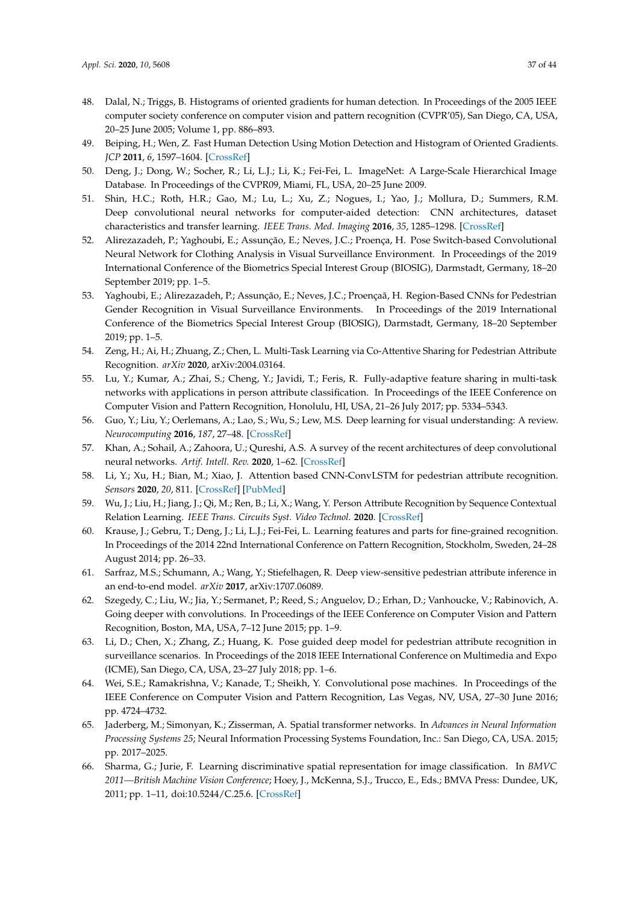- <span id="page-36-17"></span>48. Dalal, N.; Triggs, B. Histograms of oriented gradients for human detection. In Proceedings of the 2005 IEEE computer society conference on computer vision and pattern recognition (CVPR'05), San Diego, CA, USA, 20–25 June 2005; Volume 1, pp. 886–893.
- <span id="page-36-0"></span>49. Beiping, H.; Wen, Z. Fast Human Detection Using Motion Detection and Histogram of Oriented Gradients. *JCP* **2011**, *6*, 1597–1604. [\[CrossRef\]](http://dx.doi.org/10.4304/jcp.6.8.1597-1604)
- <span id="page-36-1"></span>50. Deng, J.; Dong, W.; Socher, R.; Li, L.J.; Li, K.; Fei-Fei, L. ImageNet: A Large-Scale Hierarchical Image Database. In Proceedings of the CVPR09, Miami, FL, USA, 20–25 June 2009.
- <span id="page-36-2"></span>51. Shin, H.C.; Roth, H.R.; Gao, M.; Lu, L.; Xu, Z.; Nogues, I.; Yao, J.; Mollura, D.; Summers, R.M. Deep convolutional neural networks for computer-aided detection: CNN architectures, dataset characteristics and transfer learning. *IEEE Trans. Med. Imaging* **2016**, *35*, 1285–1298. [\[CrossRef\]](http://dx.doi.org/10.1109/TMI.2016.2528162)
- 52. Alirezazadeh, P.; Yaghoubi, E.; Assunção, E.; Neves, J.C.; Proença, H. Pose Switch-based Convolutional Neural Network for Clothing Analysis in Visual Surveillance Environment. In Proceedings of the 2019 International Conference of the Biometrics Special Interest Group (BIOSIG), Darmstadt, Germany, 18–20 September 2019; pp. 1–5.
- <span id="page-36-3"></span>53. Yaghoubi, E.; Alirezazadeh, P.; Assunção, E.; Neves, J.C.; Proençaã, H. Region-Based CNNs for Pedestrian Gender Recognition in Visual Surveillance Environments. In Proceedings of the 2019 International Conference of the Biometrics Special Interest Group (BIOSIG), Darmstadt, Germany, 18–20 September 2019; pp. 1–5.
- <span id="page-36-4"></span>54. Zeng, H.; Ai, H.; Zhuang, Z.; Chen, L. Multi-Task Learning via Co-Attentive Sharing for Pedestrian Attribute Recognition. *arXiv* **2020**, arXiv:2004.03164.
- <span id="page-36-5"></span>55. Lu, Y.; Kumar, A.; Zhai, S.; Cheng, Y.; Javidi, T.; Feris, R. Fully-adaptive feature sharing in multi-task networks with applications in person attribute classification. In Proceedings of the IEEE Conference on Computer Vision and Pattern Recognition, Honolulu, HI, USA, 21–26 July 2017; pp. 5334–5343.
- <span id="page-36-6"></span>56. Guo, Y.; Liu, Y.; Oerlemans, A.; Lao, S.; Wu, S.; Lew, M.S. Deep learning for visual understanding: A review. *Neurocomputing* **2016**, *187*, 27–48. [\[CrossRef\]](http://dx.doi.org/10.1016/j.neucom.2015.09.116)
- <span id="page-36-7"></span>57. Khan, A.; Sohail, A.; Zahoora, U.; Qureshi, A.S. A survey of the recent architectures of deep convolutional neural networks. *Artif. Intell. Rev.* **2020**, 1–62. [\[CrossRef\]](http://dx.doi.org/10.1007/s10462-020-09825-6)
- <span id="page-36-8"></span>58. Li, Y.; Xu, H.; Bian, M.; Xiao, J. Attention based CNN-ConvLSTM for pedestrian attribute recognition. *Sensors* **2020**, *20*, 811. [\[CrossRef\]](http://dx.doi.org/10.3390/s20030811) [\[PubMed\]](http://www.ncbi.nlm.nih.gov/pubmed/32028568)
- <span id="page-36-9"></span>59. Wu, J.; Liu, H.; Jiang, J.; Qi, M.; Ren, B.; Li, X.; Wang, Y. Person Attribute Recognition by Sequence Contextual Relation Learning. *IEEE Trans. Circuits Syst. Video Technol.* **2020**. [\[CrossRef\]](http://dx.doi.org/10.1109/TCSVT.2020.2982962)
- <span id="page-36-10"></span>60. Krause, J.; Gebru, T.; Deng, J.; Li, L.J.; Fei-Fei, L. Learning features and parts for fine-grained recognition. In Proceedings of the 2014 22nd International Conference on Pattern Recognition, Stockholm, Sweden, 24–28 August 2014; pp. 26–33.
- <span id="page-36-11"></span>61. Sarfraz, M.S.; Schumann, A.; Wang, Y.; Stiefelhagen, R. Deep view-sensitive pedestrian attribute inference in an end-to-end model. *arXiv* **2017**, arXiv:1707.06089.
- <span id="page-36-12"></span>62. Szegedy, C.; Liu, W.; Jia, Y.; Sermanet, P.; Reed, S.; Anguelov, D.; Erhan, D.; Vanhoucke, V.; Rabinovich, A. Going deeper with convolutions. In Proceedings of the IEEE Conference on Computer Vision and Pattern Recognition, Boston, MA, USA, 7–12 June 2015; pp. 1–9.
- <span id="page-36-13"></span>63. Li, D.; Chen, X.; Zhang, Z.; Huang, K. Pose guided deep model for pedestrian attribute recognition in surveillance scenarios. In Proceedings of the 2018 IEEE International Conference on Multimedia and Expo (ICME), San Diego, CA, USA, 23–27 July 2018; pp. 1–6.
- <span id="page-36-14"></span>64. Wei, S.E.; Ramakrishna, V.; Kanade, T.; Sheikh, Y. Convolutional pose machines. In Proceedings of the IEEE Conference on Computer Vision and Pattern Recognition, Las Vegas, NV, USA, 27–30 June 2016; pp. 4724–4732.
- <span id="page-36-15"></span>65. Jaderberg, M.; Simonyan, K.; Zisserman, A. Spatial transformer networks. In *Advances in Neural Information Processing Systems 25*; Neural Information Processing Systems Foundation, Inc.: San Diego, CA, USA. 2015; pp. 2017–2025.
- <span id="page-36-16"></span>66. Sharma, G.; Jurie, F. Learning discriminative spatial representation for image classification. In *BMVC 2011—British Machine Vision Conference*; Hoey, J., McKenna, S.J., Trucco, E., Eds.; BMVA Press: Dundee, UK, 2011; pp. 1–11, doi[:10.5244/C.25.6.](https://doi.org/10.5244/C.25.6) [\[CrossRef\]](http://dx.doi.org/10.5244/C.25.6)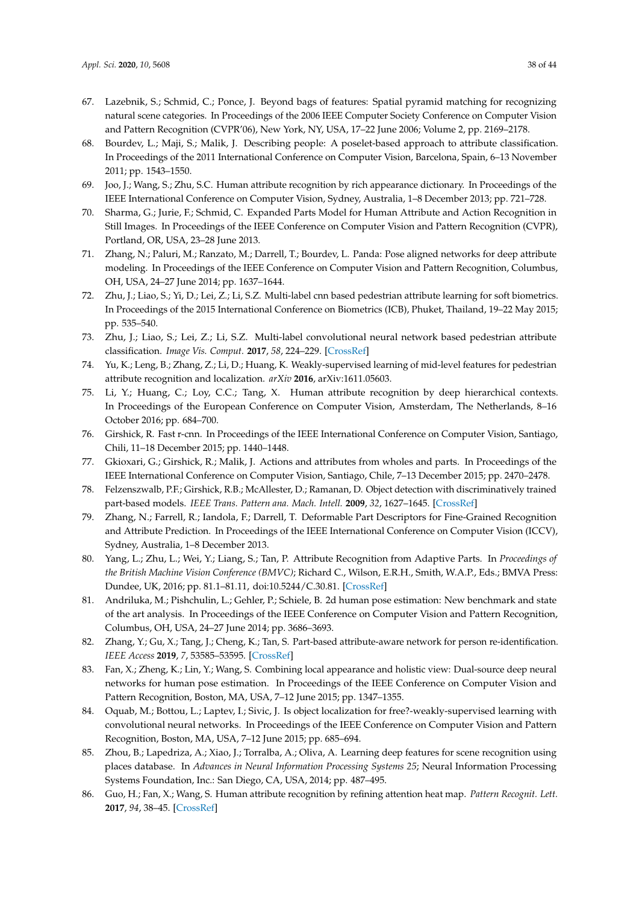- <span id="page-37-0"></span>67. Lazebnik, S.; Schmid, C.; Ponce, J. Beyond bags of features: Spatial pyramid matching for recognizing natural scene categories. In Proceedings of the 2006 IEEE Computer Society Conference on Computer Vision and Pattern Recognition (CVPR'06), New York, NY, USA, 17–22 June 2006; Volume 2, pp. 2169–2178.
- <span id="page-37-1"></span>68. Bourdev, L.; Maji, S.; Malik, J. Describing people: A poselet-based approach to attribute classification. In Proceedings of the 2011 International Conference on Computer Vision, Barcelona, Spain, 6–13 November 2011; pp. 1543–1550.
- <span id="page-37-2"></span>69. Joo, J.; Wang, S.; Zhu, S.C. Human attribute recognition by rich appearance dictionary. In Proceedings of the IEEE International Conference on Computer Vision, Sydney, Australia, 1–8 December 2013; pp. 721–728.
- <span id="page-37-3"></span>70. Sharma, G.; Jurie, F.; Schmid, C. Expanded Parts Model for Human Attribute and Action Recognition in Still Images. In Proceedings of the IEEE Conference on Computer Vision and Pattern Recognition (CVPR), Portland, OR, USA, 23–28 June 2013.
- <span id="page-37-4"></span>71. Zhang, N.; Paluri, M.; Ranzato, M.; Darrell, T.; Bourdev, L. Panda: Pose aligned networks for deep attribute modeling. In Proceedings of the IEEE Conference on Computer Vision and Pattern Recognition, Columbus, OH, USA, 24–27 June 2014; pp. 1637–1644.
- <span id="page-37-5"></span>72. Zhu, J.; Liao, S.; Yi, D.; Lei, Z.; Li, S.Z. Multi-label cnn based pedestrian attribute learning for soft biometrics. In Proceedings of the 2015 International Conference on Biometrics (ICB), Phuket, Thailand, 19–22 May 2015; pp. 535–540.
- <span id="page-37-6"></span>73. Zhu, J.; Liao, S.; Lei, Z.; Li, S.Z. Multi-label convolutional neural network based pedestrian attribute classification. *Image Vis. Comput.* **2017**, *58*, 224–229. [\[CrossRef\]](http://dx.doi.org/10.1016/j.imavis.2016.07.004)
- <span id="page-37-7"></span>74. Yu, K.; Leng, B.; Zhang, Z.; Li, D.; Huang, K. Weakly-supervised learning of mid-level features for pedestrian attribute recognition and localization. *arXiv* **2016**, arXiv:1611.05603.
- <span id="page-37-8"></span>75. Li, Y.; Huang, C.; Loy, C.C.; Tang, X. Human attribute recognition by deep hierarchical contexts. In Proceedings of the European Conference on Computer Vision, Amsterdam, The Netherlands, 8–16 October 2016; pp. 684–700.
- <span id="page-37-9"></span>76. Girshick, R. Fast r-cnn. In Proceedings of the IEEE International Conference on Computer Vision, Santiago, Chili, 11–18 December 2015; pp. 1440–1448.
- <span id="page-37-10"></span>77. Gkioxari, G.; Girshick, R.; Malik, J. Actions and attributes from wholes and parts. In Proceedings of the IEEE International Conference on Computer Vision, Santiago, Chile, 7–13 December 2015; pp. 2470–2478.
- <span id="page-37-11"></span>78. Felzenszwalb, P.F.; Girshick, R.B.; McAllester, D.; Ramanan, D. Object detection with discriminatively trained part-based models. *IEEE Trans. Pattern ana. Mach. Intell.* **2009**, *32*, 1627–1645. [\[CrossRef\]](http://dx.doi.org/10.1109/TPAMI.2009.167)
- <span id="page-37-12"></span>79. Zhang, N.; Farrell, R.; Iandola, F.; Darrell, T. Deformable Part Descriptors for Fine-Grained Recognition and Attribute Prediction. In Proceedings of the IEEE International Conference on Computer Vision (ICCV), Sydney, Australia, 1–8 December 2013.
- <span id="page-37-13"></span>80. Yang, L.; Zhu, L.; Wei, Y.; Liang, S.; Tan, P. Attribute Recognition from Adaptive Parts. In *Proceedings of the British Machine Vision Conference (BMVC)*; Richard C., Wilson, E.R.H., Smith, W.A.P., Eds.; BMVA Press: Dundee, UK, 2016; pp. 81.1–81.11, doi[:10.5244/C.30.81.](https://doi.org/10.5244/C.30.81) [\[CrossRef\]](http://dx.doi.org/10.5244/C.30.81)
- <span id="page-37-14"></span>81. Andriluka, M.; Pishchulin, L.; Gehler, P.; Schiele, B. 2d human pose estimation: New benchmark and state of the art analysis. In Proceedings of the IEEE Conference on Computer Vision and Pattern Recognition, Columbus, OH, USA, 24–27 June 2014; pp. 3686–3693.
- <span id="page-37-15"></span>82. Zhang, Y.; Gu, X.; Tang, J.; Cheng, K.; Tan, S. Part-based attribute-aware network for person re-identification. *IEEE Access* **2019**, *7*, 53585–53595. [\[CrossRef\]](http://dx.doi.org/10.1109/ACCESS.2019.2912844)
- <span id="page-37-16"></span>83. Fan, X.; Zheng, K.; Lin, Y.; Wang, S. Combining local appearance and holistic view: Dual-source deep neural networks for human pose estimation. In Proceedings of the IEEE Conference on Computer Vision and Pattern Recognition, Boston, MA, USA, 7–12 June 2015; pp. 1347–1355.
- <span id="page-37-17"></span>84. Oquab, M.; Bottou, L.; Laptev, I.; Sivic, J. Is object localization for free?-weakly-supervised learning with convolutional neural networks. In Proceedings of the IEEE Conference on Computer Vision and Pattern Recognition, Boston, MA, USA, 7–12 June 2015; pp. 685–694.
- <span id="page-37-18"></span>85. Zhou, B.; Lapedriza, A.; Xiao, J.; Torralba, A.; Oliva, A. Learning deep features for scene recognition using places database. In *Advances in Neural Information Processing Systems 25*; Neural Information Processing Systems Foundation, Inc.: San Diego, CA, USA, 2014; pp. 487–495.
- <span id="page-37-19"></span>86. Guo, H.; Fan, X.; Wang, S. Human attribute recognition by refining attention heat map. *Pattern Recognit. Lett.* **2017**, *94*, 38–45. [\[CrossRef\]](http://dx.doi.org/10.1016/j.patrec.2017.05.012)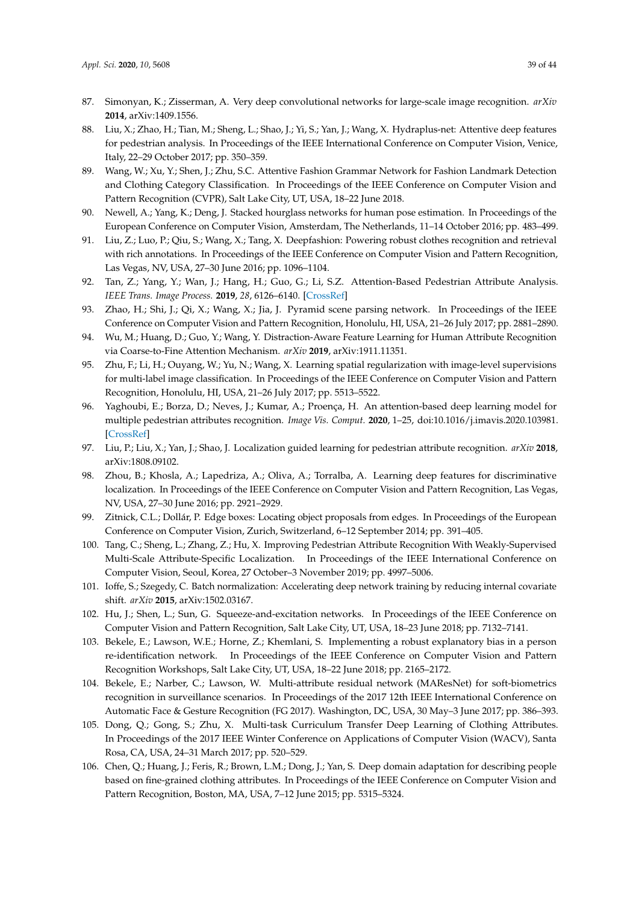- <span id="page-38-0"></span>87. Simonyan, K.; Zisserman, A. Very deep convolutional networks for large-scale image recognition. *arXiv* **2014**, arXiv:1409.1556.
- <span id="page-38-1"></span>88. Liu, X.; Zhao, H.; Tian, M.; Sheng, L.; Shao, J.; Yi, S.; Yan, J.; Wang, X. Hydraplus-net: Attentive deep features for pedestrian analysis. In Proceedings of the IEEE International Conference on Computer Vision, Venice, Italy, 22–29 October 2017; pp. 350–359.
- <span id="page-38-2"></span>89. Wang, W.; Xu, Y.; Shen, J.; Zhu, S.C. Attentive Fashion Grammar Network for Fashion Landmark Detection and Clothing Category Classification. In Proceedings of the IEEE Conference on Computer Vision and Pattern Recognition (CVPR), Salt Lake City, UT, USA, 18–22 June 2018.
- <span id="page-38-3"></span>90. Newell, A.; Yang, K.; Deng, J. Stacked hourglass networks for human pose estimation. In Proceedings of the European Conference on Computer Vision, Amsterdam, The Netherlands, 11–14 October 2016; pp. 483–499.
- <span id="page-38-4"></span>91. Liu, Z.; Luo, P.; Qiu, S.; Wang, X.; Tang, X. Deepfashion: Powering robust clothes recognition and retrieval with rich annotations. In Proceedings of the IEEE Conference on Computer Vision and Pattern Recognition, Las Vegas, NV, USA, 27–30 June 2016; pp. 1096–1104.
- <span id="page-38-5"></span>92. Tan, Z.; Yang, Y.; Wan, J.; Hang, H.; Guo, G.; Li, S.Z. Attention-Based Pedestrian Attribute Analysis. *IEEE Trans. Image Process.* **2019**, *28*, 6126–6140. [\[CrossRef\]](http://dx.doi.org/10.1109/TIP.2019.2919199)
- <span id="page-38-6"></span>93. Zhao, H.; Shi, J.; Qi, X.; Wang, X.; Jia, J. Pyramid scene parsing network. In Proceedings of the IEEE Conference on Computer Vision and Pattern Recognition, Honolulu, HI, USA, 21–26 July 2017; pp. 2881–2890.
- <span id="page-38-7"></span>94. Wu, M.; Huang, D.; Guo, Y.; Wang, Y. Distraction-Aware Feature Learning for Human Attribute Recognition via Coarse-to-Fine Attention Mechanism. *arXiv* **2019**, arXiv:1911.11351.
- <span id="page-38-8"></span>95. Zhu, F.; Li, H.; Ouyang, W.; Yu, N.; Wang, X. Learning spatial regularization with image-level supervisions for multi-label image classification. In Proceedings of the IEEE Conference on Computer Vision and Pattern Recognition, Honolulu, HI, USA, 21–26 July 2017; pp. 5513–5522.
- <span id="page-38-9"></span>96. Yaghoubi, E.; Borza, D.; Neves, J.; Kumar, A.; Proença, H. An attention-based deep learning model for multiple pedestrian attributes recognition. *Image Vis. Comput.* **2020**, 1–25, doi[:10.1016/j.imavis.2020.103981.](https://doi.org/10.1016/j.imavis.2020.103981) [\[CrossRef\]](http://dx.doi.org/10.1016/j.imavis.2020.103981)
- <span id="page-38-10"></span>97. Liu, P.; Liu, X.; Yan, J.; Shao, J. Localization guided learning for pedestrian attribute recognition. *arXiv* **2018**, arXiv:1808.09102.
- <span id="page-38-11"></span>98. Zhou, B.; Khosla, A.; Lapedriza, A.; Oliva, A.; Torralba, A. Learning deep features for discriminative localization. In Proceedings of the IEEE Conference on Computer Vision and Pattern Recognition, Las Vegas, NV, USA, 27–30 June 2016; pp. 2921–2929.
- <span id="page-38-12"></span>99. Zitnick, C.L.; Dollár, P. Edge boxes: Locating object proposals from edges. In Proceedings of the European Conference on Computer Vision, Zurich, Switzerland, 6–12 September 2014; pp. 391–405.
- <span id="page-38-13"></span>100. Tang, C.; Sheng, L.; Zhang, Z.; Hu, X. Improving Pedestrian Attribute Recognition With Weakly-Supervised Multi-Scale Attribute-Specific Localization. In Proceedings of the IEEE International Conference on Computer Vision, Seoul, Korea, 27 October–3 November 2019; pp. 4997–5006.
- <span id="page-38-14"></span>101. Ioffe, S.; Szegedy, C. Batch normalization: Accelerating deep network training by reducing internal covariate shift. *arXiv* **2015**, arXiv:1502.03167.
- <span id="page-38-15"></span>102. Hu, J.; Shen, L.; Sun, G. Squeeze-and-excitation networks. In Proceedings of the IEEE Conference on Computer Vision and Pattern Recognition, Salt Lake City, UT, USA, 18–23 June 2018; pp. 7132–7141.
- <span id="page-38-16"></span>103. Bekele, E.; Lawson, W.E.; Horne, Z.; Khemlani, S. Implementing a robust explanatory bias in a person re-identification network. In Proceedings of the IEEE Conference on Computer Vision and Pattern Recognition Workshops, Salt Lake City, UT, USA, 18–22 June 2018; pp. 2165–2172.
- <span id="page-38-17"></span>104. Bekele, E.; Narber, C.; Lawson, W. Multi-attribute residual network (MAResNet) for soft-biometrics recognition in surveillance scenarios. In Proceedings of the 2017 12th IEEE International Conference on Automatic Face & Gesture Recognition (FG 2017). Washington, DC, USA, 30 May–3 June 2017; pp. 386–393.
- <span id="page-38-18"></span>105. Dong, Q.; Gong, S.; Zhu, X. Multi-task Curriculum Transfer Deep Learning of Clothing Attributes. In Proceedings of the 2017 IEEE Winter Conference on Applications of Computer Vision (WACV), Santa Rosa, CA, USA, 24–31 March 2017; pp. 520–529.
- <span id="page-38-19"></span>106. Chen, Q.; Huang, J.; Feris, R.; Brown, L.M.; Dong, J.; Yan, S. Deep domain adaptation for describing people based on fine-grained clothing attributes. In Proceedings of the IEEE Conference on Computer Vision and Pattern Recognition, Boston, MA, USA, 7–12 June 2015; pp. 5315–5324.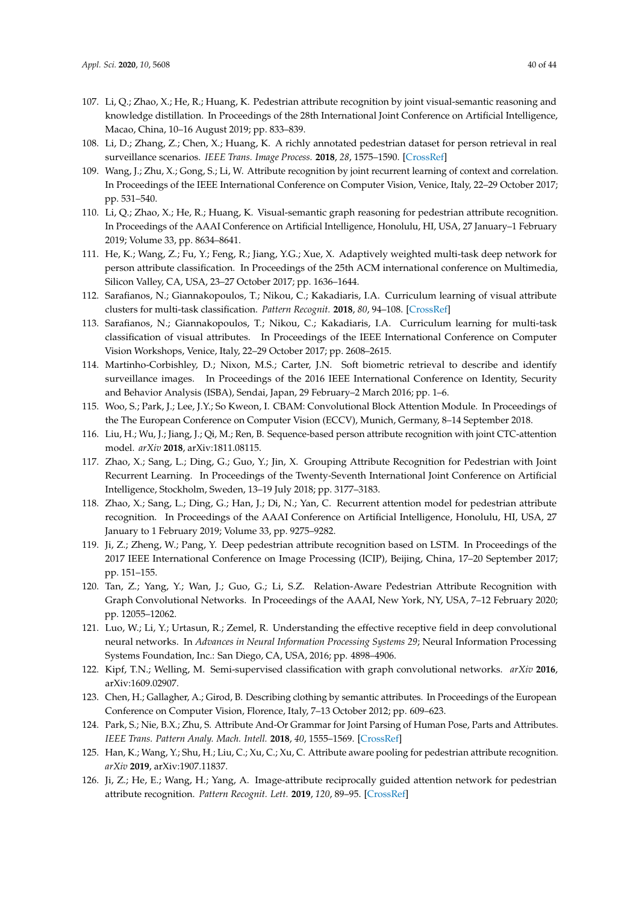- <span id="page-39-0"></span>107. Li, Q.; Zhao, X.; He, R.; Huang, K. Pedestrian attribute recognition by joint visual-semantic reasoning and knowledge distillation. In Proceedings of the 28th International Joint Conference on Artificial Intelligence, Macao, China, 10–16 August 2019; pp. 833–839.
- <span id="page-39-1"></span>108. Li, D.; Zhang, Z.; Chen, X.; Huang, K. A richly annotated pedestrian dataset for person retrieval in real surveillance scenarios. *IEEE Trans. Image Process.* **2018**, *28*, 1575–1590. [\[CrossRef\]](http://dx.doi.org/10.1109/TIP.2018.2878349)
- <span id="page-39-2"></span>109. Wang, J.; Zhu, X.; Gong, S.; Li, W. Attribute recognition by joint recurrent learning of context and correlation. In Proceedings of the IEEE International Conference on Computer Vision, Venice, Italy, 22–29 October 2017; pp. 531–540.
- <span id="page-39-3"></span>110. Li, Q.; Zhao, X.; He, R.; Huang, K. Visual-semantic graph reasoning for pedestrian attribute recognition. In Proceedings of the AAAI Conference on Artificial Intelligence, Honolulu, HI, USA, 27 January–1 February 2019; Volume 33, pp. 8634–8641.
- <span id="page-39-4"></span>111. He, K.; Wang, Z.; Fu, Y.; Feng, R.; Jiang, Y.G.; Xue, X. Adaptively weighted multi-task deep network for person attribute classification. In Proceedings of the 25th ACM international conference on Multimedia, Silicon Valley, CA, USA, 23–27 October 2017; pp. 1636–1644.
- <span id="page-39-5"></span>112. Sarafianos, N.; Giannakopoulos, T.; Nikou, C.; Kakadiaris, I.A. Curriculum learning of visual attribute clusters for multi-task classification. *Pattern Recognit.* **2018**, *80*, 94–108. [\[CrossRef\]](http://dx.doi.org/10.1016/j.patcog.2018.02.028)
- <span id="page-39-6"></span>113. Sarafianos, N.; Giannakopoulos, T.; Nikou, C.; Kakadiaris, I.A. Curriculum learning for multi-task classification of visual attributes. In Proceedings of the IEEE International Conference on Computer Vision Workshops, Venice, Italy, 22–29 October 2017; pp. 2608–2615.
- <span id="page-39-7"></span>114. Martinho-Corbishley, D.; Nixon, M.S.; Carter, J.N. Soft biometric retrieval to describe and identify surveillance images. In Proceedings of the 2016 IEEE International Conference on Identity, Security and Behavior Analysis (ISBA), Sendai, Japan, 29 February–2 March 2016; pp. 1–6.
- <span id="page-39-8"></span>115. Woo, S.; Park, J.; Lee, J.Y.; So Kweon, I. CBAM: Convolutional Block Attention Module. In Proceedings of the The European Conference on Computer Vision (ECCV), Munich, Germany, 8–14 September 2018.
- <span id="page-39-9"></span>116. Liu, H.; Wu, J.; Jiang, J.; Qi, M.; Ren, B. Sequence-based person attribute recognition with joint CTC-attention model. *arXiv* **2018**, arXiv:1811.08115.
- <span id="page-39-10"></span>117. Zhao, X.; Sang, L.; Ding, G.; Guo, Y.; Jin, X. Grouping Attribute Recognition for Pedestrian with Joint Recurrent Learning. In Proceedings of the Twenty-Seventh International Joint Conference on Artificial Intelligence, Stockholm, Sweden, 13–19 July 2018; pp. 3177–3183.
- <span id="page-39-11"></span>118. Zhao, X.; Sang, L.; Ding, G.; Han, J.; Di, N.; Yan, C. Recurrent attention model for pedestrian attribute recognition. In Proceedings of the AAAI Conference on Artificial Intelligence, Honolulu, HI, USA, 27 January to 1 February 2019; Volume 33, pp. 9275–9282.
- <span id="page-39-12"></span>119. Ji, Z.; Zheng, W.; Pang, Y. Deep pedestrian attribute recognition based on LSTM. In Proceedings of the 2017 IEEE International Conference on Image Processing (ICIP), Beijing, China, 17–20 September 2017; pp. 151–155.
- <span id="page-39-13"></span>120. Tan, Z.; Yang, Y.; Wan, J.; Guo, G.; Li, S.Z. Relation-Aware Pedestrian Attribute Recognition with Graph Convolutional Networks. In Proceedings of the AAAI, New York, NY, USA, 7–12 February 2020; pp. 12055–12062.
- <span id="page-39-14"></span>121. Luo, W.; Li, Y.; Urtasun, R.; Zemel, R. Understanding the effective receptive field in deep convolutional neural networks. In *Advances in Neural Information Processing Systems 29*; Neural Information Processing Systems Foundation, Inc.: San Diego, CA, USA, 2016; pp. 4898–4906.
- <span id="page-39-15"></span>122. Kipf, T.N.; Welling, M. Semi-supervised classification with graph convolutional networks. *arXiv* **2016**, arXiv:1609.02907.
- <span id="page-39-16"></span>123. Chen, H.; Gallagher, A.; Girod, B. Describing clothing by semantic attributes. In Proceedings of the European Conference on Computer Vision, Florence, Italy, 7–13 October 2012; pp. 609–623.
- <span id="page-39-17"></span>124. Park, S.; Nie, B.X.; Zhu, S. Attribute And-Or Grammar for Joint Parsing of Human Pose, Parts and Attributes. *IEEE Trans. Pattern Analy. Mach. Intell.* **2018**, *40*, 1555–1569. [\[CrossRef\]](http://dx.doi.org/10.1109/TPAMI.2017.2731842)
- <span id="page-39-18"></span>125. Han, K.; Wang, Y.; Shu, H.; Liu, C.; Xu, C.; Xu, C. Attribute aware pooling for pedestrian attribute recognition. *arXiv* **2019**, arXiv:1907.11837.
- <span id="page-39-19"></span>126. Ji, Z.; He, E.; Wang, H.; Yang, A. Image-attribute reciprocally guided attention network for pedestrian attribute recognition. *Pattern Recognit. Lett.* **2019**, *120*, 89–95. [\[CrossRef\]](http://dx.doi.org/10.1016/j.patrec.2019.01.010)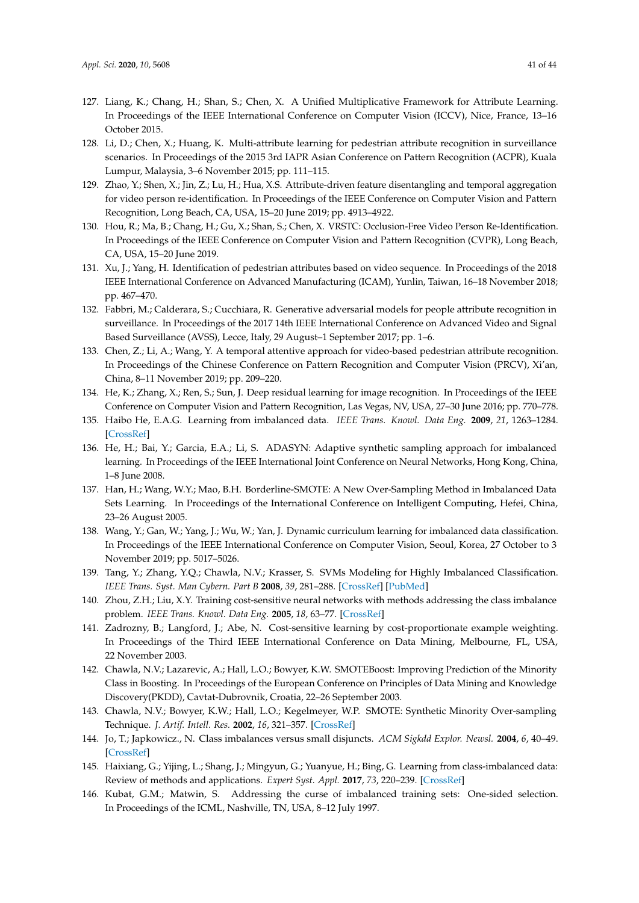- <span id="page-40-0"></span>127. Liang, K.; Chang, H.; Shan, S.; Chen, X. A Unified Multiplicative Framework for Attribute Learning. In Proceedings of the IEEE International Conference on Computer Vision (ICCV), Nice, France, 13–16 October 2015.
- <span id="page-40-1"></span>128. Li, D.; Chen, X.; Huang, K. Multi-attribute learning for pedestrian attribute recognition in surveillance scenarios. In Proceedings of the 2015 3rd IAPR Asian Conference on Pattern Recognition (ACPR), Kuala Lumpur, Malaysia, 3–6 November 2015; pp. 111–115.
- <span id="page-40-2"></span>129. Zhao, Y.; Shen, X.; Jin, Z.; Lu, H.; Hua, X.S. Attribute-driven feature disentangling and temporal aggregation for video person re-identification. In Proceedings of the IEEE Conference on Computer Vision and Pattern Recognition, Long Beach, CA, USA, 15–20 June 2019; pp. 4913–4922.
- <span id="page-40-3"></span>130. Hou, R.; Ma, B.; Chang, H.; Gu, X.; Shan, S.; Chen, X. VRSTC: Occlusion-Free Video Person Re-Identification. In Proceedings of the IEEE Conference on Computer Vision and Pattern Recognition (CVPR), Long Beach, CA, USA, 15–20 June 2019.
- <span id="page-40-4"></span>131. Xu, J.; Yang, H. Identification of pedestrian attributes based on video sequence. In Proceedings of the 2018 IEEE International Conference on Advanced Manufacturing (ICAM), Yunlin, Taiwan, 16–18 November 2018; pp. 467–470.
- <span id="page-40-5"></span>132. Fabbri, M.; Calderara, S.; Cucchiara, R. Generative adversarial models for people attribute recognition in surveillance. In Proceedings of the 2017 14th IEEE International Conference on Advanced Video and Signal Based Surveillance (AVSS), Lecce, Italy, 29 August–1 September 2017; pp. 1–6.
- <span id="page-40-6"></span>133. Chen, Z.; Li, A.; Wang, Y. A temporal attentive approach for video-based pedestrian attribute recognition. In Proceedings of the Chinese Conference on Pattern Recognition and Computer Vision (PRCV), Xi'an, China, 8–11 November 2019; pp. 209–220.
- <span id="page-40-7"></span>134. He, K.; Zhang, X.; Ren, S.; Sun, J. Deep residual learning for image recognition. In Proceedings of the IEEE Conference on Computer Vision and Pattern Recognition, Las Vegas, NV, USA, 27–30 June 2016; pp. 770–778.
- <span id="page-40-8"></span>135. Haibo He, E.A.G. Learning from imbalanced data. *IEEE Trans. Knowl. Data Eng.* **2009**, *21*, 1263–1284. [\[CrossRef\]](http://dx.doi.org/10.1109/TKDE.2008.239)
- 136. He, H.; Bai, Y.; Garcia, E.A.; Li, S. ADASYN: Adaptive synthetic sampling approach for imbalanced learning. In Proceedings of the IEEE International Joint Conference on Neural Networks, Hong Kong, China, 1–8 June 2008.
- <span id="page-40-9"></span>137. Han, H.; Wang, W.Y.; Mao, B.H. Borderline-SMOTE: A New Over-Sampling Method in Imbalanced Data Sets Learning. In Proceedings of the International Conference on Intelligent Computing, Hefei, China, 23–26 August 2005.
- <span id="page-40-10"></span>138. Wang, Y.; Gan, W.; Yang, J.; Wu, W.; Yan, J. Dynamic curriculum learning for imbalanced data classification. In Proceedings of the IEEE International Conference on Computer Vision, Seoul, Korea, 27 October to 3 November 2019; pp. 5017–5026.
- <span id="page-40-11"></span>139. Tang, Y.; Zhang, Y.Q.; Chawla, N.V.; Krasser, S. SVMs Modeling for Highly Imbalanced Classification. *IEEE Trans. Syst. Man Cybern. Part B* **2008**, *39*, 281–288. [\[CrossRef\]](http://dx.doi.org/10.1109/TSMCB.2008.2002909) [\[PubMed\]](http://www.ncbi.nlm.nih.gov/pubmed/19068445)
- 140. Zhou, Z.H.; Liu, X.Y. Training cost-sensitive neural networks with methods addressing the class imbalance problem. *IEEE Trans. Knowl. Data Eng.* **2005**, *18*, 63–77. [\[CrossRef\]](http://dx.doi.org/10.1109/TKDE.2006.17)
- <span id="page-40-12"></span>141. Zadrozny, B.; Langford, J.; Abe, N. Cost-sensitive learning by cost-proportionate example weighting. In Proceedings of the Third IEEE International Conference on Data Mining, Melbourne, FL, USA, 22 November 2003.
- <span id="page-40-13"></span>142. Chawla, N.V.; Lazarevic, A.; Hall, L.O.; Bowyer, K.W. SMOTEBoost: Improving Prediction of the Minority Class in Boosting. In Proceedings of the European Conference on Principles of Data Mining and Knowledge Discovery(PKDD), Cavtat-Dubrovnik, Croatia, 22–26 September 2003.
- <span id="page-40-14"></span>143. Chawla, N.V.; Bowyer, K.W.; Hall, L.O.; Kegelmeyer, W.P. SMOTE: Synthetic Minority Over-sampling Technique. *J. Artif. Intell. Res.* **2002**, *16*, 321–357. [\[CrossRef\]](http://dx.doi.org/10.1613/jair.953)
- <span id="page-40-15"></span>144. Jo, T.; Japkowicz., N. Class imbalances versus small disjuncts. *ACM Sigkdd Explor. Newsl.* **2004**, *6*, 40–49. [\[CrossRef\]](http://dx.doi.org/10.1145/1007730.1007737)
- <span id="page-40-16"></span>145. Haixiang, G.; Yijing, L.; Shang, J.; Mingyun, G.; Yuanyue, H.; Bing, G. Learning from class-imbalanced data: Review of methods and applications. *Expert Syst. Appl.* **2017**, *73*, 220–239. [\[CrossRef\]](http://dx.doi.org/10.1016/j.eswa.2016.12.035)
- <span id="page-40-17"></span>146. Kubat, G.M.; Matwin, S. Addressing the curse of imbalanced training sets: One-sided selection. In Proceedings of the ICML, Nashville, TN, USA, 8–12 July 1997.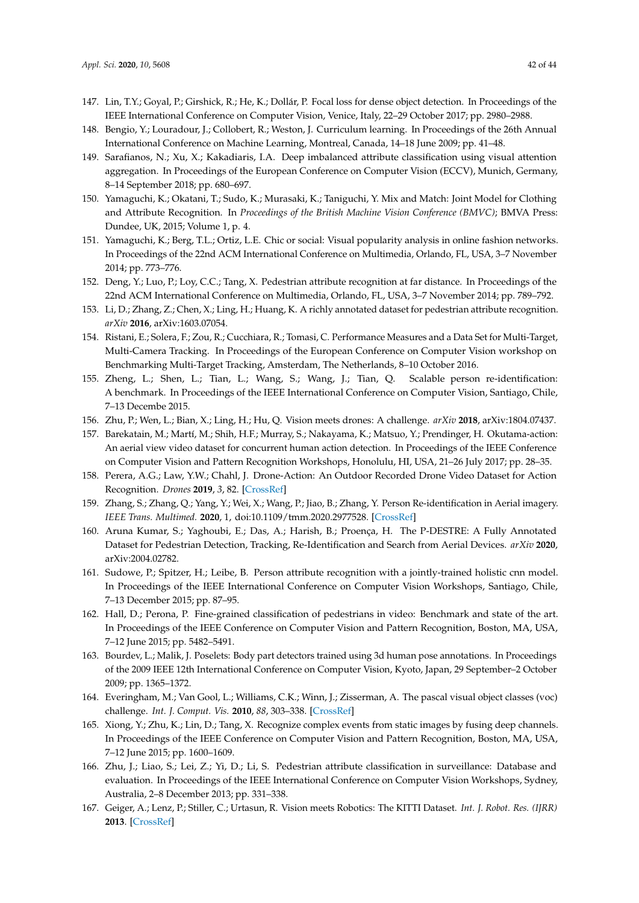- <span id="page-41-0"></span>147. Lin, T.Y.; Goyal, P.; Girshick, R.; He, K.; Dollár, P. Focal loss for dense object detection. In Proceedings of the IEEE International Conference on Computer Vision, Venice, Italy, 22–29 October 2017; pp. 2980–2988.
- <span id="page-41-1"></span>148. Bengio, Y.; Louradour, J.; Collobert, R.; Weston, J. Curriculum learning. In Proceedings of the 26th Annual International Conference on Machine Learning, Montreal, Canada, 14–18 June 2009; pp. 41–48.
- <span id="page-41-2"></span>149. Sarafianos, N.; Xu, X.; Kakadiaris, I.A. Deep imbalanced attribute classification using visual attention aggregation. In Proceedings of the European Conference on Computer Vision (ECCV), Munich, Germany, 8–14 September 2018; pp. 680–697.
- <span id="page-41-3"></span>150. Yamaguchi, K.; Okatani, T.; Sudo, K.; Murasaki, K.; Taniguchi, Y. Mix and Match: Joint Model for Clothing and Attribute Recognition. In *Proceedings of the British Machine Vision Conference (BMVC)*; BMVA Press: Dundee, UK, 2015; Volume 1, p. 4.
- <span id="page-41-4"></span>151. Yamaguchi, K.; Berg, T.L.; Ortiz, L.E. Chic or social: Visual popularity analysis in online fashion networks. In Proceedings of the 22nd ACM International Conference on Multimedia, Orlando, FL, USA, 3–7 November 2014; pp. 773–776.
- <span id="page-41-5"></span>152. Deng, Y.; Luo, P.; Loy, C.C.; Tang, X. Pedestrian attribute recognition at far distance. In Proceedings of the 22nd ACM International Conference on Multimedia, Orlando, FL, USA, 3–7 November 2014; pp. 789–792.
- <span id="page-41-6"></span>153. Li, D.; Zhang, Z.; Chen, X.; Ling, H.; Huang, K. A richly annotated dataset for pedestrian attribute recognition. *arXiv* **2016**, arXiv:1603.07054.
- <span id="page-41-7"></span>154. Ristani, E.; Solera, F.; Zou, R.; Cucchiara, R.; Tomasi, C. Performance Measures and a Data Set for Multi-Target, Multi-Camera Tracking. In Proceedings of the European Conference on Computer Vision workshop on Benchmarking Multi-Target Tracking, Amsterdam, The Netherlands, 8–10 October 2016.
- <span id="page-41-8"></span>155. Zheng, L.; Shen, L.; Tian, L.; Wang, S.; Wang, J.; Tian, Q. Scalable person re-identification: A benchmark. In Proceedings of the IEEE International Conference on Computer Vision, Santiago, Chile, 7–13 Decembe 2015.
- <span id="page-41-9"></span>156. Zhu, P.; Wen, L.; Bian, X.; Ling, H.; Hu, Q. Vision meets drones: A challenge. *arXiv* **2018**, arXiv:1804.07437.
- <span id="page-41-10"></span>157. Barekatain, M.; Martí, M.; Shih, H.F.; Murray, S.; Nakayama, K.; Matsuo, Y.; Prendinger, H. Okutama-action: An aerial view video dataset for concurrent human action detection. In Proceedings of the IEEE Conference on Computer Vision and Pattern Recognition Workshops, Honolulu, HI, USA, 21–26 July 2017; pp. 28–35.
- <span id="page-41-11"></span>158. Perera, A.G.; Law, Y.W.; Chahl, J. Drone-Action: An Outdoor Recorded Drone Video Dataset for Action Recognition. *Drones* **2019**, *3*, 82. [\[CrossRef\]](http://dx.doi.org/10.3390/drones3040082)
- <span id="page-41-12"></span>159. Zhang, S.; Zhang, Q.; Yang, Y.; Wei, X.; Wang, P.; Jiao, B.; Zhang, Y. Person Re-identification in Aerial imagery. *IEEE Trans. Multimed.* **2020**, 1, doi[:10.1109/tmm.2020.2977528.](https://doi.org/10.1109/tmm.2020.2977528) [\[CrossRef\]](http://dx.doi.org/10.1109/TMM.2020.2977528)
- <span id="page-41-13"></span>160. Aruna Kumar, S.; Yaghoubi, E.; Das, A.; Harish, B.; Proença, H. The P-DESTRE: A Fully Annotated Dataset for Pedestrian Detection, Tracking, Re-Identification and Search from Aerial Devices. *arXiv* **2020**, arXiv:2004.02782.
- <span id="page-41-14"></span>161. Sudowe, P.; Spitzer, H.; Leibe, B. Person attribute recognition with a jointly-trained holistic cnn model. In Proceedings of the IEEE International Conference on Computer Vision Workshops, Santiago, Chile, 7–13 December 2015; pp. 87–95.
- <span id="page-41-15"></span>162. Hall, D.; Perona, P. Fine-grained classification of pedestrians in video: Benchmark and state of the art. In Proceedings of the IEEE Conference on Computer Vision and Pattern Recognition, Boston, MA, USA, 7–12 June 2015; pp. 5482–5491.
- <span id="page-41-16"></span>163. Bourdev, L.; Malik, J. Poselets: Body part detectors trained using 3d human pose annotations. In Proceedings of the 2009 IEEE 12th International Conference on Computer Vision, Kyoto, Japan, 29 September–2 October 2009; pp. 1365–1372.
- <span id="page-41-17"></span>164. Everingham, M.; Van Gool, L.; Williams, C.K.; Winn, J.; Zisserman, A. The pascal visual object classes (voc) challenge. *Int. J. Comput. Vis.* **2010**, *88*, 303–338. [\[CrossRef\]](http://dx.doi.org/10.1007/s11263-009-0275-4)
- <span id="page-41-18"></span>165. Xiong, Y.; Zhu, K.; Lin, D.; Tang, X. Recognize complex events from static images by fusing deep channels. In Proceedings of the IEEE Conference on Computer Vision and Pattern Recognition, Boston, MA, USA, 7–12 June 2015; pp. 1600–1609.
- <span id="page-41-19"></span>166. Zhu, J.; Liao, S.; Lei, Z.; Yi, D.; Li, S. Pedestrian attribute classification in surveillance: Database and evaluation. In Proceedings of the IEEE International Conference on Computer Vision Workshops, Sydney, Australia, 2–8 December 2013; pp. 331–338.
- <span id="page-41-20"></span>167. Geiger, A.; Lenz, P.; Stiller, C.; Urtasun, R. Vision meets Robotics: The KITTI Dataset. *Int. J. Robot. Res. (IJRR)* **2013**. [\[CrossRef\]](http://dx.doi.org/10.1177/0278364913491297)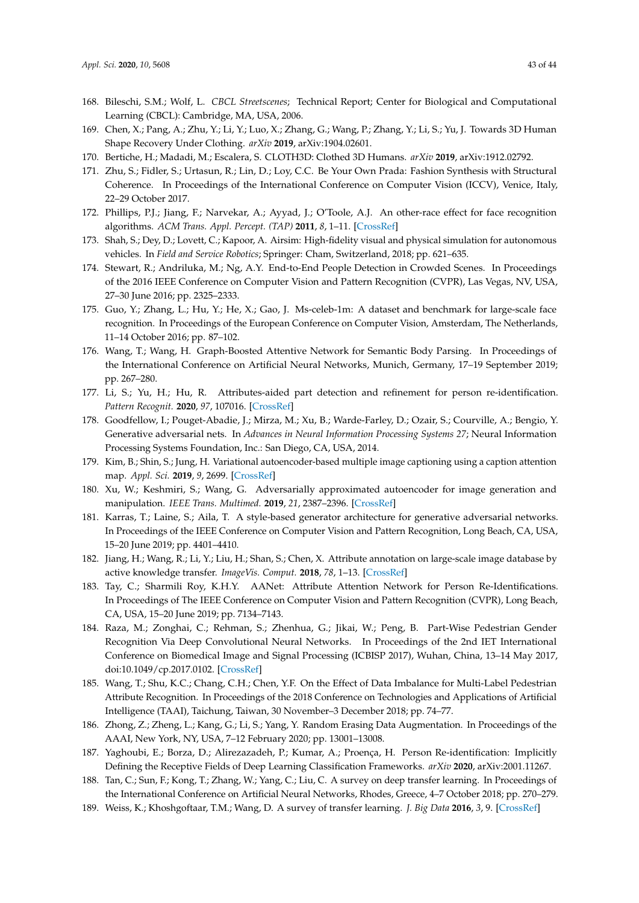- <span id="page-42-0"></span>168. Bileschi, S.M.; Wolf, L. *CBCL Streetscenes*; Technical Report; Center for Biological and Computational Learning (CBCL): Cambridge, MA, USA, 2006.
- <span id="page-42-1"></span>169. Chen, X.; Pang, A.; Zhu, Y.; Li, Y.; Luo, X.; Zhang, G.; Wang, P.; Zhang, Y.; Li, S.; Yu, J. Towards 3D Human Shape Recovery Under Clothing. *arXiv* **2019**, arXiv:1904.02601.
- <span id="page-42-2"></span>170. Bertiche, H.; Madadi, M.; Escalera, S. CLOTH3D: Clothed 3D Humans. *arXiv* **2019**, arXiv:1912.02792.
- <span id="page-42-3"></span>171. Zhu, S.; Fidler, S.; Urtasun, R.; Lin, D.; Loy, C.C. Be Your Own Prada: Fashion Synthesis with Structural Coherence. In Proceedings of the International Conference on Computer Vision (ICCV), Venice, Italy, 22–29 October 2017.
- <span id="page-42-4"></span>172. Phillips, P.J.; Jiang, F.; Narvekar, A.; Ayyad, J.; O'Toole, A.J. An other-race effect for face recognition algorithms. *ACM Trans. Appl. Percept. (TAP)* **2011**, *8*, 1–11. [\[CrossRef\]](http://dx.doi.org/10.1145/1870076.1870082)
- <span id="page-42-5"></span>173. Shah, S.; Dey, D.; Lovett, C.; Kapoor, A. Airsim: High-fidelity visual and physical simulation for autonomous vehicles. In *Field and Service Robotics*; Springer: Cham, Switzerland, 2018; pp. 621–635.
- <span id="page-42-6"></span>174. Stewart, R.; Andriluka, M.; Ng, A.Y. End-to-End People Detection in Crowded Scenes. In Proceedings of the 2016 IEEE Conference on Computer Vision and Pattern Recognition (CVPR), Las Vegas, NV, USA, 27–30 June 2016; pp. 2325–2333.
- <span id="page-42-7"></span>175. Guo, Y.; Zhang, L.; Hu, Y.; He, X.; Gao, J. Ms-celeb-1m: A dataset and benchmark for large-scale face recognition. In Proceedings of the European Conference on Computer Vision, Amsterdam, The Netherlands, 11–14 October 2016; pp. 87–102.
- <span id="page-42-8"></span>176. Wang, T.; Wang, H. Graph-Boosted Attentive Network for Semantic Body Parsing. In Proceedings of the International Conference on Artificial Neural Networks, Munich, Germany, 17–19 September 2019; pp. 267–280.
- <span id="page-42-9"></span>177. Li, S.; Yu, H.; Hu, R. Attributes-aided part detection and refinement for person re-identification. *Pattern Recognit.* **2020**, *97*, 107016. [\[CrossRef\]](http://dx.doi.org/10.1016/j.patcog.2019.107016)
- <span id="page-42-10"></span>178. Goodfellow, I.; Pouget-Abadie, J.; Mirza, M.; Xu, B.; Warde-Farley, D.; Ozair, S.; Courville, A.; Bengio, Y. Generative adversarial nets. In *Advances in Neural Information Processing Systems 27*; Neural Information Processing Systems Foundation, Inc.: San Diego, CA, USA, 2014.
- <span id="page-42-11"></span>179. Kim, B.; Shin, S.; Jung, H. Variational autoencoder-based multiple image captioning using a caption attention map. *Appl. Sci.* **2019**, *9*, 2699. [\[CrossRef\]](http://dx.doi.org/10.3390/app9132699)
- <span id="page-42-12"></span>180. Xu, W.; Keshmiri, S.; Wang, G. Adversarially approximated autoencoder for image generation and manipulation. *IEEE Trans. Multimed.* **2019**, *21*, 2387–2396. [\[CrossRef\]](http://dx.doi.org/10.1109/TMM.2019.2898777)
- <span id="page-42-13"></span>181. Karras, T.; Laine, S.; Aila, T. A style-based generator architecture for generative adversarial networks. In Proceedings of the IEEE Conference on Computer Vision and Pattern Recognition, Long Beach, CA, USA, 15–20 June 2019; pp. 4401–4410.
- <span id="page-42-14"></span>182. Jiang, H.; Wang, R.; Li, Y.; Liu, H.; Shan, S.; Chen, X. Attribute annotation on large-scale image database by active knowledge transfer. *ImageVis. Comput.* **2018**, *78*, 1–13. [\[CrossRef\]](http://dx.doi.org/10.1016/j.imavis.2018.06.012)
- <span id="page-42-15"></span>183. Tay, C.; Sharmili Roy, K.H.Y. AANet: Attribute Attention Network for Person Re-Identifications. In Proceedings of The IEEE Conference on Computer Vision and Pattern Recognition (CVPR), Long Beach, CA, USA, 15–20 June 2019; pp. 7134–7143.
- 184. Raza, M.; Zonghai, C.; Rehman, S.; Zhenhua, G.; Jikai, W.; Peng, B. Part-Wise Pedestrian Gender Recognition Via Deep Convolutional Neural Networks. In Proceedings of the 2nd IET International Conference on Biomedical Image and Signal Processing (ICBISP 2017), Wuhan, China, 13–14 May 2017, doi[:10.1049/cp.2017.0102.](https://doi.org/10.1049/cp.2017.0102) [\[CrossRef\]](http://dx.doi.org/10.1049/cp.2017.0102)
- <span id="page-42-16"></span>185. Wang, T.; Shu, K.C.; Chang, C.H.; Chen, Y.F. On the Effect of Data Imbalance for Multi-Label Pedestrian Attribute Recognition. In Proceedings of the 2018 Conference on Technologies and Applications of Artificial Intelligence (TAAI), Taichung, Taiwan, 30 November–3 December 2018; pp. 74–77.
- <span id="page-42-17"></span>186. Zhong, Z.; Zheng, L.; Kang, G.; Li, S.; Yang, Y. Random Erasing Data Augmentation. In Proceedings of the AAAI, New York, NY, USA, 7–12 February 2020; pp. 13001–13008.
- <span id="page-42-18"></span>187. Yaghoubi, E.; Borza, D.; Alirezazadeh, P.; Kumar, A.; Proença, H. Person Re-identification: Implicitly Defining the Receptive Fields of Deep Learning Classification Frameworks. *arXiv* **2020**, arXiv:2001.11267.
- <span id="page-42-19"></span>188. Tan, C.; Sun, F.; Kong, T.; Zhang, W.; Yang, C.; Liu, C. A survey on deep transfer learning. In Proceedings of the International Conference on Artificial Neural Networks, Rhodes, Greece, 4–7 October 2018; pp. 270–279.
- 189. Weiss, K.; Khoshgoftaar, T.M.; Wang, D. A survey of transfer learning. *J. Big Data* **2016**, *3*, 9. [\[CrossRef\]](http://dx.doi.org/10.1186/s40537-016-0043-6)